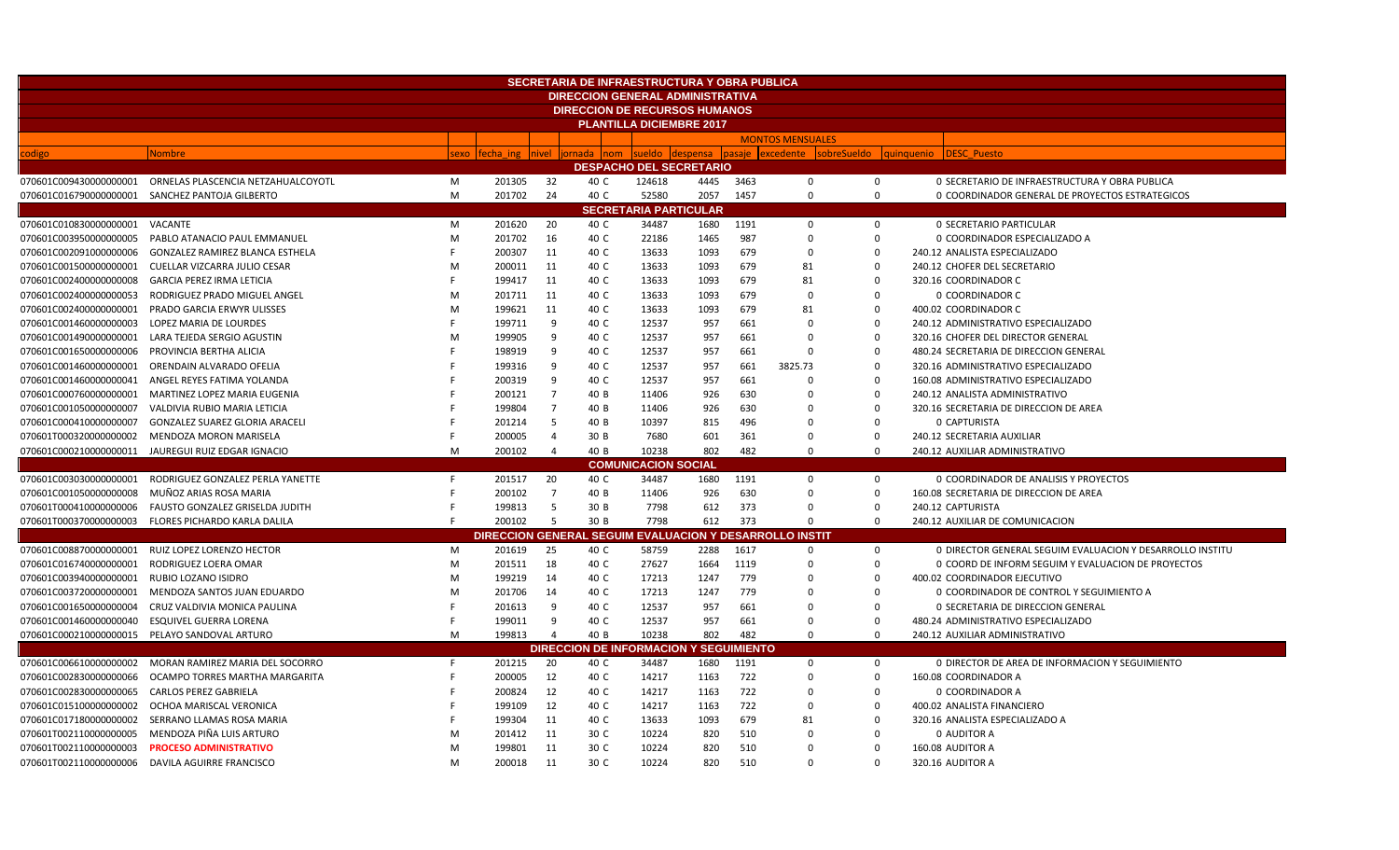| <b>SECRETARIA DE INFRAESTRUCTURA Y OBRA PUBLICA</b> |                                                 |      |           |                |                                         |                              |                                |      |                                       |             |                                                           |  |  |  |
|-----------------------------------------------------|-------------------------------------------------|------|-----------|----------------|-----------------------------------------|------------------------------|--------------------------------|------|---------------------------------------|-------------|-----------------------------------------------------------|--|--|--|
|                                                     |                                                 |      |           |                | <b>DIRECCION GENERAL ADMINISTRATIVA</b> |                              |                                |      |                                       |             |                                                           |  |  |  |
|                                                     |                                                 |      |           |                | <b>DIRECCION DE RECURSOS HUMANOS</b>    |                              |                                |      |                                       |             |                                                           |  |  |  |
| <b>PLANTILLA DICIEMBRE 2017</b>                     |                                                 |      |           |                |                                         |                              |                                |      |                                       |             |                                                           |  |  |  |
|                                                     |                                                 |      |           |                |                                         |                              |                                |      | <b>MONTOS MENSUALES</b>               |             |                                                           |  |  |  |
| odigo                                               | <b>Nombre</b>                                   | sexo | fecha ing | <b>Inivel</b>  | ornada<br>nom                           | sueldo                       | <b>despensa</b>                |      | pasaje excedente<br>sobreSueldo       |             | <b>DESC Puesto</b><br>quinquenio                          |  |  |  |
|                                                     |                                                 |      |           |                |                                         |                              | <b>DESPACHO DEL SECRETARIO</b> |      |                                       |             |                                                           |  |  |  |
| 070601C009430000000001                              | ORNELAS PLASCENCIA NETZAHUALCOYOTL              | M    | 201305    | 32             | 40 C                                    | 124618                       | 4445                           | 3463 | $\mathbf 0$                           | $\mathbf 0$ | 0 SECRETARIO DE INFRAESTRUCTURA Y OBRA PUBLICA            |  |  |  |
|                                                     | 070601C016790000000001 SANCHEZ PANTOJA GILBERTO | M    | 201702    | 24             | 40 C                                    | 52580                        | 2057                           | 1457 | 0                                     | 0           | 0 COORDINADOR GENERAL DE PROYECTOS ESTRATEGICOS           |  |  |  |
|                                                     |                                                 |      |           |                |                                         | <b>SECRETARIA PARTICULAR</b> |                                |      |                                       |             |                                                           |  |  |  |
| 070601C010830000000001                              | VACANTE                                         | M    | 201620    | 20             | 40 C                                    | 34487                        | 1680                           | 1191 | $\Omega$                              | 0           | <b>0 SECRETARIO PARTICULAR</b>                            |  |  |  |
| 070601C003950000000005                              | PABLO ATANACIO PAUL EMMANUEL                    | M    | 201702    | 16             | 40 C                                    | 22186                        | 1465                           | 987  | $\Omega$                              | $\mathbf 0$ | 0 COORDINADOR ESPECIALIZADO A                             |  |  |  |
| 070601C002091000000006                              | <b>GONZALEZ RAMIREZ BLANCA ESTHELA</b>          |      | 200307    | 11             | 40 C                                    | 13633                        | 1093                           | 679  | $\Omega$                              | $\mathbf 0$ | 240.12 ANALISTA ESPECIALIZADO                             |  |  |  |
| 070601C001500000000001                              | CUELLAR VIZCARRA JULIO CESAR                    | M    | 200011    | 11             | 40 C                                    | 13633                        | 1093                           | 679  | 81                                    | $\mathbf 0$ | 240.12 CHOFER DEL SECRETARIO                              |  |  |  |
| 070601C002400000000008                              | <b>GARCIA PEREZ IRMA LETICIA</b>                |      | 199417    | 11             | 40 C                                    | 13633                        | 1093                           | 679  | 81                                    | $\Omega$    | 320.16 COORDINADOR C                                      |  |  |  |
| 070601C002400000000053                              | RODRIGUEZ PRADO MIGUEL ANGEL                    | M    | 201711    | 11             | 40 C                                    | 13633                        | 1093                           | 679  | $\Omega$                              | $\mathbf 0$ | 0 COORDINADOR C                                           |  |  |  |
| 070601C002400000000001                              | PRADO GARCIA ERWYR ULISSES                      | M    | 199621    | 11             | 40 C                                    | 13633                        | 1093                           | 679  | 81                                    | $\mathbf 0$ | 400.02 COORDINADOR C                                      |  |  |  |
| 070601C001460000000003                              | LOPEZ MARIA DE LOURDES                          |      | 199711    | 9              | 40 C                                    | 12537                        | 957                            | 661  | 0                                     | $\mathbf 0$ | 240.12 ADMINISTRATIVO ESPECIALIZADO                       |  |  |  |
| 070601C001490000000001                              | LARA TEJEDA SERGIO AGUSTIN                      | M    | 199905    | 9              | 40 C                                    | 12537                        | 957                            | 661  | $\Omega$                              | $\Omega$    | 320.16 CHOFER DEL DIRECTOR GENERAL                        |  |  |  |
| 070601C001650000000006                              | PROVINCIA BERTHA ALICIA                         |      | 198919    | 9              | 40 C                                    | 12537                        | 957                            | 661  | $\Omega$                              | $\Omega$    | 480.24 SECRETARIA DE DIRECCION GENERAL                    |  |  |  |
| 070601C001460000000001                              | ORENDAIN ALVARADO OFELIA                        |      | 199316    | 9              | 40 C                                    | 12537                        | 957                            | 661  | 3825.73                               | $\Omega$    | 320.16 ADMINISTRATIVO ESPECIALIZADO                       |  |  |  |
| 070601C001460000000041                              | ANGEL REYES FATIMA YOLANDA                      |      | 200319    | 9              | 40 C                                    | 12537                        | 957                            | 661  | $\Omega$                              | $\Omega$    | 160.08 ADMINISTRATIVO ESPECIALIZADO                       |  |  |  |
| 070601C000760000000001                              | MARTINEZ LOPEZ MARIA EUGENIA                    |      | 200121    | 7              | 40 B                                    | 11406                        | 926                            | 630  | $\Omega$                              | $\Omega$    | 240.12 ANALISTA ADMINISTRATIVO                            |  |  |  |
| 070601C001050000000007                              | VALDIVIA RUBIO MARIA LETICIA                    |      | 199804    | $\overline{7}$ | 40 B                                    | 11406                        | 926                            | 630  | $\Omega$                              | $\Omega$    | 320.16 SECRETARIA DE DIRECCION DE AREA                    |  |  |  |
| 070601C000410000000007                              | <b>GONZALEZ SUAREZ GLORIA ARACELI</b>           |      | 201214    | 5              | 40 B                                    | 10397                        | 815                            | 496  | 0                                     | $\mathbf 0$ | 0 CAPTURISTA                                              |  |  |  |
| 070601T000320000000002                              | MENDOZA MORON MARISELA                          |      | 200005    | $\overline{4}$ | 30 B                                    | 7680                         | 601                            | 361  | 0                                     | $\mathbf 0$ | 240.12 SECRETARIA AUXILIAR                                |  |  |  |
| 070601C000210000000011                              | JAUREGUI RUIZ EDGAR IGNACIO                     | M    | 200102    | $\overline{4}$ | 40 B                                    | 10238                        | 802                            | 482  | $\Omega$                              | $\Omega$    | 240.12 AUXILIAR ADMINISTRATIVO                            |  |  |  |
|                                                     |                                                 |      |           |                |                                         | <b>COMUNICACION SOCIAL</b>   |                                |      |                                       |             |                                                           |  |  |  |
| 070601C003030000000001                              | RODRIGUEZ GONZALEZ PERLA YANETTE                | F    | 201517    | 20             | 40 C                                    | 34487                        | 1680                           | 1191 | $\mathbf 0$                           | $\mathbf 0$ | 0 COORDINADOR DE ANALISIS Y PROYECTOS                     |  |  |  |
| 070601C001050000000008                              | MUÑOZ ARIAS ROSA MARIA                          |      | 200102    | $\overline{7}$ | 40 B                                    | 11406                        | 926                            | 630  | 0                                     | $\mathbf 0$ | 160.08 SECRETARIA DE DIRECCION DE AREA                    |  |  |  |
| 070601T000410000000006                              | FAUSTO GONZALEZ GRISELDA JUDITH                 |      | 199813    | 5              | 30 B                                    | 7798                         | 612                            | 373  | 0                                     | $\mathbf 0$ | 240.12 CAPTURISTA                                         |  |  |  |
| 070601T000370000000003                              | FLORES PICHARDO KARLA DALILA                    |      | 200102    | 5              | 30 B                                    | 7798                         | 612                            | 373  | $\Omega$                              | $\mathbf 0$ | 240.12 AUXILIAR DE COMUNICACION                           |  |  |  |
|                                                     |                                                 |      |           |                | <b>DIRECCION GENERAL SEGU</b>           |                              |                                |      | <b>EVALUACION Y DESARROLLO INSTIT</b> |             |                                                           |  |  |  |
| 070601C008870000000001                              | RUIZ LOPEZ LORENZO HECTOR                       | M    | 201619    | 25             | 40 C                                    | 58759                        | 2288                           | 1617 | $\mathbf 0$                           | $\mathbf 0$ | 0 DIRECTOR GENERAL SEGUIM EVALUACION Y DESARROLLO INSTITU |  |  |  |
| 070601C016740000000001                              | RODRIGUEZ LOERA OMAR                            | M    | 201511    | 18             | 40 C                                    | 27627                        | 1664                           | 1119 | $\Omega$                              | $\mathbf 0$ | 0 COORD DE INFORM SEGUIM Y EVALUACION DE PROYECTOS        |  |  |  |
| 070601C003940000000001                              | RUBIO LOZANO ISIDRO                             | M    | 199219    | 14             | 40 C                                    | 17213                        | 1247                           | 779  | $\Omega$                              | $\Omega$    | 400.02 COORDINADOR EJECUTIVO                              |  |  |  |
| 070601C003720000000001                              | MENDOZA SANTOS JUAN EDUARDO                     | M    | 201706    | 14             | 40 C                                    | 17213                        | 1247                           | 779  | $\Omega$                              | $\Omega$    | O COORDINADOR DE CONTROL Y SEGUIMIENTO A                  |  |  |  |
| 070601C001650000000004                              | CRUZ VALDIVIA MONICA PAULINA                    |      | 201613    | q              | 40 C                                    | 12537                        | 957                            | 661  | $\Omega$                              | $\Omega$    | 0 SECRETARIA DE DIRECCION GENERAL                         |  |  |  |
| 070601C001460000000040                              | <b>ESQUIVEL GUERRA LORENA</b>                   |      | 199011    | 9              | 40 C                                    | 12537                        | 957                            | 661  | 0                                     | $\mathbf 0$ | 480.24 ADMINISTRATIVO ESPECIALIZADO                       |  |  |  |
| 070601C000210000000015                              | PELAYO SANDOVAL ARTURO                          | M    | 199813    | $\overline{4}$ | 40 B                                    | 10238                        | 802                            | 482  | $\Omega$                              | $\Omega$    | 240.12 AUXILIAR ADMINISTRATIVO                            |  |  |  |
|                                                     |                                                 |      |           |                | <b>DIRECCION DE INFORMACION</b>         |                              | <b>Y SEGUIMIENTO</b>           |      |                                       |             |                                                           |  |  |  |
| 070601C006610000000002                              | MORAN RAMIREZ MARIA DEL SOCORRO                 | F    | 201215    | 20             | 40 C                                    | 34487                        | 1680                           | 1191 | $\mathbf 0$                           | 0           | 0 DIRECTOR DE AREA DE INFORMACION Y SEGUIMIENTO           |  |  |  |
| 070601C002830000000066                              | OCAMPO TORRES MARTHA MARGARITA                  |      | 200005    | 12             | 40 C                                    | 14217                        | 1163                           | 722  | $\mathbf 0$                           | 0           | 160.08 COORDINADOR A                                      |  |  |  |
| 070601C002830000000065                              | <b>CARLOS PEREZ GABRIELA</b>                    |      | 200824    | 12             | 40 C                                    | 14217                        | 1163                           | 722  | $\Omega$                              | $\mathbf 0$ | 0 COORDINADOR A                                           |  |  |  |
| 070601C015100000000002                              | OCHOA MARISCAL VERONICA                         |      | 199109    | 12             | 40 C                                    | 14217                        | 1163                           | 722  | $\Omega$                              | $\mathbf 0$ | 400.02 ANALISTA FINANCIERC                                |  |  |  |
| 070601C017180000000002                              | SERRANO LLAMAS ROSA MARIA                       |      | 199304    | 11             | 40 C                                    | 13633                        | 1093                           | 679  | 81                                    | $\Omega$    | 320.16 ANALISTA ESPECIALIZADO A                           |  |  |  |
| 070601T002110000000005                              | MENDOZA PIÑA LUIS ARTURO                        | M    | 201412    | 11             | 30 C                                    | 10224                        | 820                            | 510  | $\Omega$                              | $\mathbf 0$ | 0 AUDITOR A                                               |  |  |  |
| 070601T002110000000003                              | <b>PROCESO ADMINISTRATIVO</b>                   | M    | 199801    | 11             | 30 C                                    | 10224                        | 820                            | 510  | ŋ                                     | $\Omega$    | 160.08 AUDITOR A                                          |  |  |  |
| 070601T002110000000006                              | DAVILA AGUIRRE FRANCISCO                        | M    | 200018    | 11             | 30 C                                    | 10224                        | 820                            | 510  | $\Omega$                              | $\Omega$    | 320.16 AUDITOR A                                          |  |  |  |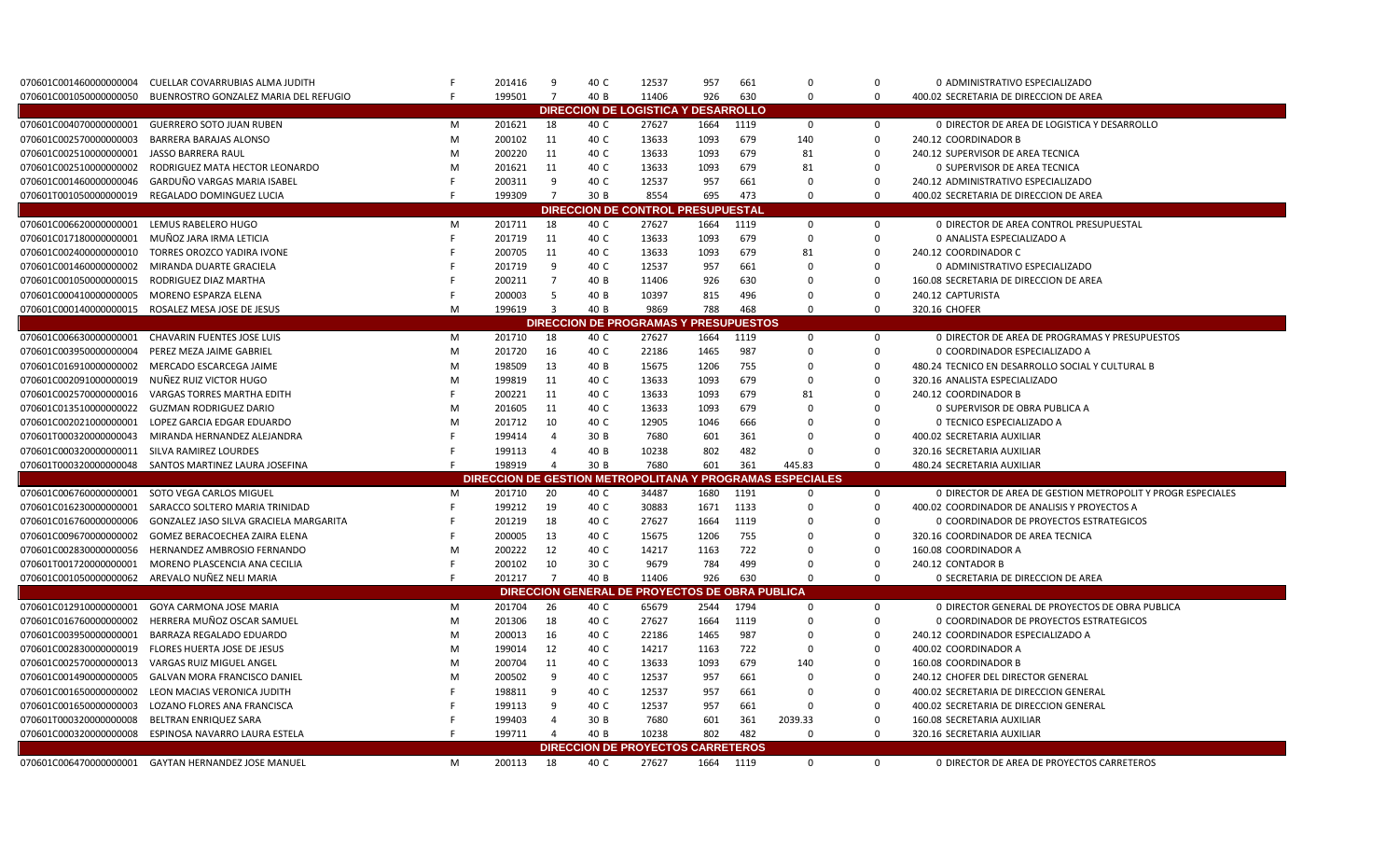| $\overline{7}$<br>926<br>BUENROSTRO GONZALEZ MARIA DEL REFUGIO<br>199501<br>40 B<br>11406<br>630<br>$\Omega$<br>$\mathbf 0$<br>400.02 SECRETARIA DE DIRECCION DE AREA<br>070601C0010500000000050<br><b>DESARROLLO</b><br><b>DIRECCION DE LOGISTICA Y</b><br><b>GUERRERO SOTO JUAN RUBEN</b><br>27627<br>M<br>201621<br>18<br>40 C<br>1664<br>1119<br>$\mathbf 0$<br>0<br>0 DIRECTOR DE AREA DE LOGISTICA Y DESARROLLO<br>40 C<br>140<br><b>BARRERA BARAJAS ALONSO</b><br>M<br>200102<br>11<br>13633<br>1093<br>679<br>0<br>240.12 COORDINADOR B<br>$\mathbf 0$<br>JASSO BARRERA RAUL<br>M<br>200220<br>11<br>40 C<br>13633<br>1093<br>679<br>81<br>240.12 SUPERVISOR DE AREA TECNICA<br>RODRIGUEZ MATA HECTOR LEONARDO<br>M<br>201621<br>11<br>40 C<br>13633<br>1093<br>679<br>81<br>$\mathbf 0$<br><b>0 SUPERVISOR DE AREA TECNICA</b><br>GARDUÑO VARGAS MARIA ISABEL<br>200311<br>9<br>40 C<br>12537<br>957<br>661<br>$\Omega$<br>$\mathbf 0$<br>240.12 ADMINISTRATIVO ESPECIALIZADO<br>REGALADO DOMINGUEZ LUCIA<br>199309<br>$\overline{7}$<br>30 B<br>8554<br>695<br>473<br>$\Omega$<br>$\Omega$<br>400.02 SECRETARIA DE DIRECCION DE AREA<br><b>DIRECCION DE CONTROL PRESUPUESTAI</b><br>18<br>27627<br>1664<br>LEMUS RABELERO HUGO<br>M<br>201711<br>40 C<br>1119<br>$\mathbf 0$<br><b>0 DIRECTOR DE AREA CONTROL PRESUPUESTAL</b><br>0<br>MUÑOZ JARA IRMA LETICIA<br>11<br>40 C<br>13633<br>1093<br>679<br>$\Omega$<br>$\mathbf 0$<br>201719<br>0 ANALISTA ESPECIALIZADO A<br>13633<br>TORRES OROZCO YADIRA IVONE<br>200705<br>11<br>40 C<br>1093<br>679<br>81<br>0<br>240.12 COORDINADOR C<br>9<br>957<br>$\mathbf 0$<br>070601C001460000000002<br>MIRANDA DUARTE GRACIELA<br>201719<br>40 C<br>12537<br>661<br>$\Omega$<br>0 ADMINISTRATIVO ESPECIALIZADO<br>$\overline{7}$<br>RODRIGUEZ DIAZ MARTHA<br>200211<br>40 B<br>11406<br>926<br>630<br>$\Omega$<br>0<br>160.08 SECRETARIA DE DIRECCION DE AREA<br>5<br>$\Omega$<br>MORENO ESPARZA ELENA<br>200003<br>40 B<br>10397<br>815<br>496<br>240.12 CAPTURISTA<br>$\Omega$<br>070601C000140000000015 ROSALEZ MESA JOSE DE JESUS<br>M<br>199619<br>$\overline{3}$<br>40 B<br>9869<br>788<br>468<br>$\mathbf 0$<br>$\Omega$<br>320.16 CHOFER<br><b>DIRECCION DE PROGRAMAS</b><br>PRESUPUESTOS<br>27627<br>CHAVARIN FUENTES JOSE LUIS<br>201710<br>18<br>40 C<br>1664<br>1119<br>0 DIRECTOR DE AREA DE PROGRAMAS Y PRESUPUESTOS<br>M<br>0<br>0<br>M<br>201720<br>16<br>40 C<br>22186<br>1465<br>987<br>$\Omega$<br>PEREZ MEZA JAIME GABRIEL<br>$\Omega$<br>0 COORDINADOR ESPECIALIZADO A<br>MERCADO ESCARCEGA JAIME<br>M<br>198509<br>13<br>40 B<br>15675<br>1206<br>755<br>0<br>480.24 TECNICO EN DESARROLLO SOCIAL Y CULTURAL B<br>$\Omega$<br>NUÑEZ RUIZ VICTOR HUGO<br>M<br>199819<br>40 C<br>13633<br>1093<br>679<br>$\Omega$<br>320.16 ANALISTA ESPECIALIZADO<br>-11<br>$\Omega$<br><b>VARGAS TORRES MARTHA EDITH</b><br>11<br>40 C<br>13633<br>679<br>$\mathbf 0$<br>240.12 COORDINADOR B<br>070601C0025700000000016<br>200221<br>1093<br>81<br><b>GUZMAN RODRIGUEZ DARIO</b><br>201605<br>11<br>40 C<br>13633<br>679<br>M<br>1093<br>$\Omega$<br>0<br>0 SUPERVISOR DE OBRA PUBLICA A<br>10<br>12905<br>666<br>070601C002021000000001<br>LOPEZ GARCIA EDGAR EDUARDO<br>M<br>201712<br>40 C<br>1046<br>$\mathbf 0$<br>0 TECNICO ESPECIALIZADO A<br>$\Omega$<br>MIRANDA HERNANDEZ ALEJANDRA<br>199414<br>30 B<br>7680<br>601<br>361<br>0<br>400.02 SECRETARIA AUXILIAR<br>$\overline{4}$<br>$\Omega$<br>070601C000320000000011 SILVA RAMIREZ LOURDES<br>199113<br>$\overline{4}$<br>40 B<br>10238<br>802<br>482<br>$\mathbf 0$<br>320.16 SECRETARIA AUXILIAR<br>$\Omega$<br>198919<br>070601T000320000000048 SANTOS MARTINEZ LAURA JOSEFINA<br>30 B<br>7680<br>601<br>361<br>445.83<br>$\mathbf 0$<br>480.24 SECRETARIA AUXILIAR<br>$\overline{4}$<br><b>DIRECCION DE GESTION METROPOLITANA Y PROGRAMAS ESPECIALES</b><br>1680<br>1191<br>SOTO VEGA CARLOS MIGUEL<br>20<br>40 C<br>34487<br>$\mathbf 0$<br>0 DIRECTOR DE AREA DE GESTION METROPOLIT Y PROGR ESPECIALES<br>201710<br>$\Omega$<br>M<br>19<br>40 C<br>30883<br>1671<br>1133<br>$\mathbf 0$<br>SARACCO SOLTERO MARIA TRINIDAD<br>199212<br>400.02 COORDINADOR DE ANALISIS Y PROYECTOS A<br>$\Omega$<br>201219<br>18<br>40 C<br>27627<br>1664<br>1119<br>$\mathbf 0$<br>GONZALEZ JASO SILVA GRACIELA MARGARITA<br>$\Omega$<br>O COORDINADOR DE PROYECTOS ESTRATEGICOS<br>GOMEZ BERACOECHEA ZAIRA ELENA<br>200005<br>13<br>40 C<br>15675<br>1206<br>755<br>$\mathbf 0$<br>320.16 COORDINADOR DE AREA TECNICA<br>$\Omega$<br>HERNANDEZ AMBROSIO FERNANDO<br>M<br>200222<br>12<br>40 C<br>14217<br>722<br>$\mathbf 0$<br>160.08 COORDINADOR A<br>070601C0028300000000056<br>1163<br>$\Omega$<br>10<br>30 C<br>9679<br>784<br>499<br>$\mathbf 0$<br>070601T001720000000001<br>MORENO PLASCENCIA ANA CECILIA<br>200102<br>240.12 CONTADOR B<br>$\Omega$<br>AREVALO NUÑEZ NELI MARIA<br>201217<br>$\overline{7}$<br>40 B<br>070601C001050000000062<br>11406<br>926<br>630<br>$\Omega$<br>$\Omega$<br>0 SECRETARIA DE DIRECCION DE AREA<br>DIRECCION GENERAL DE PROYECTOS DE OBRA PUBLICA<br>GOYA CARMONA JOSE MARIA<br>1794<br>201704<br>26<br>40 C<br>65679<br>2544<br>$\mathbf 0$<br>0 DIRECTOR GENERAL DE PROYECTOS DE OBRA PUBLICA<br>M<br>$\Omega$<br>HERRERA MUÑOZ OSCAR SAMUEL<br>M<br>201306<br>18<br>40 C<br>27627<br>1664<br>1119<br>$\mathbf 0$<br>0 COORDINADOR DE PROYECTOS ESTRATEGICOS<br>$\Omega$<br>M<br>200013<br>16<br>40 C<br>22186<br>1465<br>987<br>$\mathbf 0$<br>BARRAZA REGALADO EDUARDO<br>$\Omega$<br>240.12 COORDINADOR ESPECIALIZADO A<br>722<br>$\Omega$<br>FLORES HUERTA JOSE DE JESUS<br>M<br>199014<br>12<br>40 C<br>14217<br>1163<br>400.02 COORDINADOR A<br>$\Omega$<br>VARGAS RUIZ MIGUEL ANGEL<br>M<br>200704<br>11<br>40 C<br>13633<br>1093<br>679<br>140<br>$\Omega$<br>160.08 COORDINADOR B<br><b>GALVAN MORA FRANCISCO DANIEL</b><br>200502<br>9<br>40 C<br>12537<br>957<br>$\Omega$<br>M<br>661<br>240.12 CHOFER DEL DIRECTOR GENERAL<br>$\Omega$<br>198811<br>12537<br>$\mathbf 0$<br>LEON MACIAS VERONICA JUDITH<br>9<br>40 C<br>957<br>661<br>$\Omega$<br>400.02 SECRETARIA DE DIRECCION GENERAL<br>199113<br>12537<br>957<br>$\mathbf 0$<br>LOZANO FLORES ANA FRANCISCA<br>9<br>40 C<br>661<br>$\Omega$<br>400.02 SECRETARIA DE DIRECCION GENERAL<br>199403<br>30 B<br>7680<br>$\Omega$<br>070601T000320000000008<br>BELTRAN ENRIQUEZ SARA<br>$\overline{4}$<br>601<br>361<br>2039.33<br>160.08 SECRETARIA AUXILIAR<br>10238<br>802<br>482<br>070601C000320000000008 ESPINOSA NAVARRO LAURA ESTELA<br>199711<br>40 B<br>$\Omega$<br>$\mathbf 0$<br>320.16 SECRETARIA AUXILIAR<br><b>DIRECCION DE PROYECTOS CARRETEROS</b><br>070601C006470000000001 GAYTAN HERNANDEZ JOSE MANUEL<br>1119 | 070601C001460000000004  | CUELLAR COVARRUBIAS ALMA JUDITH |   | 201416 | 9  | 40 C | 12537 | 957  | 661 | $\Omega$    | $\Omega$    | 0 ADMINISTRATIVO ESPECIALIZADO             |
|---------------------------------------------------------------------------------------------------------------------------------------------------------------------------------------------------------------------------------------------------------------------------------------------------------------------------------------------------------------------------------------------------------------------------------------------------------------------------------------------------------------------------------------------------------------------------------------------------------------------------------------------------------------------------------------------------------------------------------------------------------------------------------------------------------------------------------------------------------------------------------------------------------------------------------------------------------------------------------------------------------------------------------------------------------------------------------------------------------------------------------------------------------------------------------------------------------------------------------------------------------------------------------------------------------------------------------------------------------------------------------------------------------------------------------------------------------------------------------------------------------------------------------------------------------------------------------------------------------------------------------------------------------------------------------------------------------------------------------------------------------------------------------------------------------------------------------------------------------------------------------------------------------------------------------------------------------------------------------------------------------------------------------------------------------------------------------------------------------------------------------------------------------------------------------------------------------------------------------------------------------------------------------------------------------------------------------------------------------------------------------------------------------------------------------------------------------------------------------------------------------------------------------------------------------------------------------------------------------------------------------------------------------------------------------------------------------------------------------------------------------------------------------------------------------------------------------------------------------------------------------------------------------------------------------------------------------------------------------------------------------------------------------------------------------------------------------------------------------------------------------------------------------------------------------------------------------------------------------------------------------------------------------------------------------------------------------------------------------------------------------------------------------------------------------------------------------------------------------------------------------------------------------------------------------------------------------------------------------------------------------------------------------------------------------------------------------------------------------------------------------------------------------------------------------------------------------------------------------------------------------------------------------------------------------------------------------------------------------------------------------------------------------------------------------------------------------------------------------------------------------------------------------------------------------------------------------------------------------------------------------------------------------------------------------------------------------------------------------------------------------------------------------------------------------------------------------------------------------------------------------------------------------------------------------------------------------------------------------------------------------------------------------------------------------------------------------------------------------------------------------------------------------------------------------------------------------------------------------------------------------------------------------------------------------------------------------------------------------------------------------------------------------------------------------------------------------------------------------------------------------------------------------------------------------------------------------------------------------------------------------------------------------------------------------------------------------------------------------------------------------------------------------------------------------------------------------------------------------------------------------------------------------------------------------------------------------------------------------------------------------------------------------------------------------------------------------------------------------------------------------------------------------------------------------------------------------------------------------------------------------------------------------------------------------------------------------------------------------------------------------------------------------------------------------------------------------------------------------------------------------------------------------------------------------------------------------------------------------------------------------------------------------------------------------------------------------------------------------------------------------------------------------------------------------------------------------------------------------------------------------------------------------------------------------------------------------------------------------------------------------------------------------------------------------------------------------------------------------------------------------|-------------------------|---------------------------------|---|--------|----|------|-------|------|-----|-------------|-------------|--------------------------------------------|
|                                                                                                                                                                                                                                                                                                                                                                                                                                                                                                                                                                                                                                                                                                                                                                                                                                                                                                                                                                                                                                                                                                                                                                                                                                                                                                                                                                                                                                                                                                                                                                                                                                                                                                                                                                                                                                                                                                                                                                                                                                                                                                                                                                                                                                                                                                                                                                                                                                                                                                                                                                                                                                                                                                                                                                                                                                                                                                                                                                                                                                                                                                                                                                                                                                                                                                                                                                                                                                                                                                                                                                                                                                                                                                                                                                                                                                                                                                                                                                                                                                                                                                                                                                                                                                                                                                                                                                                                                                                                                                                                                                                                                                                                                                                                                                                                                                                                                                                                                                                                                                                                                                                                                                                                                                                                                                                                                                                                                                                                                                                                                                                                                                                                                                                                                                                                                                                                                                                                                                                                                                                                                                                                                                                                                                                                                                                                                                                                                                                                                                                                                                                                                                                                                                                                                         |                         |                                 |   |        |    |      |       |      |     |             |             |                                            |
|                                                                                                                                                                                                                                                                                                                                                                                                                                                                                                                                                                                                                                                                                                                                                                                                                                                                                                                                                                                                                                                                                                                                                                                                                                                                                                                                                                                                                                                                                                                                                                                                                                                                                                                                                                                                                                                                                                                                                                                                                                                                                                                                                                                                                                                                                                                                                                                                                                                                                                                                                                                                                                                                                                                                                                                                                                                                                                                                                                                                                                                                                                                                                                                                                                                                                                                                                                                                                                                                                                                                                                                                                                                                                                                                                                                                                                                                                                                                                                                                                                                                                                                                                                                                                                                                                                                                                                                                                                                                                                                                                                                                                                                                                                                                                                                                                                                                                                                                                                                                                                                                                                                                                                                                                                                                                                                                                                                                                                                                                                                                                                                                                                                                                                                                                                                                                                                                                                                                                                                                                                                                                                                                                                                                                                                                                                                                                                                                                                                                                                                                                                                                                                                                                                                                                         |                         |                                 |   |        |    |      |       |      |     |             |             |                                            |
|                                                                                                                                                                                                                                                                                                                                                                                                                                                                                                                                                                                                                                                                                                                                                                                                                                                                                                                                                                                                                                                                                                                                                                                                                                                                                                                                                                                                                                                                                                                                                                                                                                                                                                                                                                                                                                                                                                                                                                                                                                                                                                                                                                                                                                                                                                                                                                                                                                                                                                                                                                                                                                                                                                                                                                                                                                                                                                                                                                                                                                                                                                                                                                                                                                                                                                                                                                                                                                                                                                                                                                                                                                                                                                                                                                                                                                                                                                                                                                                                                                                                                                                                                                                                                                                                                                                                                                                                                                                                                                                                                                                                                                                                                                                                                                                                                                                                                                                                                                                                                                                                                                                                                                                                                                                                                                                                                                                                                                                                                                                                                                                                                                                                                                                                                                                                                                                                                                                                                                                                                                                                                                                                                                                                                                                                                                                                                                                                                                                                                                                                                                                                                                                                                                                                                         | 070601C004070000000001  |                                 |   |        |    |      |       |      |     |             |             |                                            |
|                                                                                                                                                                                                                                                                                                                                                                                                                                                                                                                                                                                                                                                                                                                                                                                                                                                                                                                                                                                                                                                                                                                                                                                                                                                                                                                                                                                                                                                                                                                                                                                                                                                                                                                                                                                                                                                                                                                                                                                                                                                                                                                                                                                                                                                                                                                                                                                                                                                                                                                                                                                                                                                                                                                                                                                                                                                                                                                                                                                                                                                                                                                                                                                                                                                                                                                                                                                                                                                                                                                                                                                                                                                                                                                                                                                                                                                                                                                                                                                                                                                                                                                                                                                                                                                                                                                                                                                                                                                                                                                                                                                                                                                                                                                                                                                                                                                                                                                                                                                                                                                                                                                                                                                                                                                                                                                                                                                                                                                                                                                                                                                                                                                                                                                                                                                                                                                                                                                                                                                                                                                                                                                                                                                                                                                                                                                                                                                                                                                                                                                                                                                                                                                                                                                                                         | 070601C002570000000003  |                                 |   |        |    |      |       |      |     |             |             |                                            |
|                                                                                                                                                                                                                                                                                                                                                                                                                                                                                                                                                                                                                                                                                                                                                                                                                                                                                                                                                                                                                                                                                                                                                                                                                                                                                                                                                                                                                                                                                                                                                                                                                                                                                                                                                                                                                                                                                                                                                                                                                                                                                                                                                                                                                                                                                                                                                                                                                                                                                                                                                                                                                                                                                                                                                                                                                                                                                                                                                                                                                                                                                                                                                                                                                                                                                                                                                                                                                                                                                                                                                                                                                                                                                                                                                                                                                                                                                                                                                                                                                                                                                                                                                                                                                                                                                                                                                                                                                                                                                                                                                                                                                                                                                                                                                                                                                                                                                                                                                                                                                                                                                                                                                                                                                                                                                                                                                                                                                                                                                                                                                                                                                                                                                                                                                                                                                                                                                                                                                                                                                                                                                                                                                                                                                                                                                                                                                                                                                                                                                                                                                                                                                                                                                                                                                         | 070601C002510000000001  |                                 |   |        |    |      |       |      |     |             |             |                                            |
|                                                                                                                                                                                                                                                                                                                                                                                                                                                                                                                                                                                                                                                                                                                                                                                                                                                                                                                                                                                                                                                                                                                                                                                                                                                                                                                                                                                                                                                                                                                                                                                                                                                                                                                                                                                                                                                                                                                                                                                                                                                                                                                                                                                                                                                                                                                                                                                                                                                                                                                                                                                                                                                                                                                                                                                                                                                                                                                                                                                                                                                                                                                                                                                                                                                                                                                                                                                                                                                                                                                                                                                                                                                                                                                                                                                                                                                                                                                                                                                                                                                                                                                                                                                                                                                                                                                                                                                                                                                                                                                                                                                                                                                                                                                                                                                                                                                                                                                                                                                                                                                                                                                                                                                                                                                                                                                                                                                                                                                                                                                                                                                                                                                                                                                                                                                                                                                                                                                                                                                                                                                                                                                                                                                                                                                                                                                                                                                                                                                                                                                                                                                                                                                                                                                                                         | 070601C002510000000002  |                                 |   |        |    |      |       |      |     |             |             |                                            |
|                                                                                                                                                                                                                                                                                                                                                                                                                                                                                                                                                                                                                                                                                                                                                                                                                                                                                                                                                                                                                                                                                                                                                                                                                                                                                                                                                                                                                                                                                                                                                                                                                                                                                                                                                                                                                                                                                                                                                                                                                                                                                                                                                                                                                                                                                                                                                                                                                                                                                                                                                                                                                                                                                                                                                                                                                                                                                                                                                                                                                                                                                                                                                                                                                                                                                                                                                                                                                                                                                                                                                                                                                                                                                                                                                                                                                                                                                                                                                                                                                                                                                                                                                                                                                                                                                                                                                                                                                                                                                                                                                                                                                                                                                                                                                                                                                                                                                                                                                                                                                                                                                                                                                                                                                                                                                                                                                                                                                                                                                                                                                                                                                                                                                                                                                                                                                                                                                                                                                                                                                                                                                                                                                                                                                                                                                                                                                                                                                                                                                                                                                                                                                                                                                                                                                         | 070601C001460000000046  |                                 |   |        |    |      |       |      |     |             |             |                                            |
|                                                                                                                                                                                                                                                                                                                                                                                                                                                                                                                                                                                                                                                                                                                                                                                                                                                                                                                                                                                                                                                                                                                                                                                                                                                                                                                                                                                                                                                                                                                                                                                                                                                                                                                                                                                                                                                                                                                                                                                                                                                                                                                                                                                                                                                                                                                                                                                                                                                                                                                                                                                                                                                                                                                                                                                                                                                                                                                                                                                                                                                                                                                                                                                                                                                                                                                                                                                                                                                                                                                                                                                                                                                                                                                                                                                                                                                                                                                                                                                                                                                                                                                                                                                                                                                                                                                                                                                                                                                                                                                                                                                                                                                                                                                                                                                                                                                                                                                                                                                                                                                                                                                                                                                                                                                                                                                                                                                                                                                                                                                                                                                                                                                                                                                                                                                                                                                                                                                                                                                                                                                                                                                                                                                                                                                                                                                                                                                                                                                                                                                                                                                                                                                                                                                                                         | 070601T001050000000019  |                                 |   |        |    |      |       |      |     |             |             |                                            |
|                                                                                                                                                                                                                                                                                                                                                                                                                                                                                                                                                                                                                                                                                                                                                                                                                                                                                                                                                                                                                                                                                                                                                                                                                                                                                                                                                                                                                                                                                                                                                                                                                                                                                                                                                                                                                                                                                                                                                                                                                                                                                                                                                                                                                                                                                                                                                                                                                                                                                                                                                                                                                                                                                                                                                                                                                                                                                                                                                                                                                                                                                                                                                                                                                                                                                                                                                                                                                                                                                                                                                                                                                                                                                                                                                                                                                                                                                                                                                                                                                                                                                                                                                                                                                                                                                                                                                                                                                                                                                                                                                                                                                                                                                                                                                                                                                                                                                                                                                                                                                                                                                                                                                                                                                                                                                                                                                                                                                                                                                                                                                                                                                                                                                                                                                                                                                                                                                                                                                                                                                                                                                                                                                                                                                                                                                                                                                                                                                                                                                                                                                                                                                                                                                                                                                         |                         |                                 |   |        |    |      |       |      |     |             |             |                                            |
|                                                                                                                                                                                                                                                                                                                                                                                                                                                                                                                                                                                                                                                                                                                                                                                                                                                                                                                                                                                                                                                                                                                                                                                                                                                                                                                                                                                                                                                                                                                                                                                                                                                                                                                                                                                                                                                                                                                                                                                                                                                                                                                                                                                                                                                                                                                                                                                                                                                                                                                                                                                                                                                                                                                                                                                                                                                                                                                                                                                                                                                                                                                                                                                                                                                                                                                                                                                                                                                                                                                                                                                                                                                                                                                                                                                                                                                                                                                                                                                                                                                                                                                                                                                                                                                                                                                                                                                                                                                                                                                                                                                                                                                                                                                                                                                                                                                                                                                                                                                                                                                                                                                                                                                                                                                                                                                                                                                                                                                                                                                                                                                                                                                                                                                                                                                                                                                                                                                                                                                                                                                                                                                                                                                                                                                                                                                                                                                                                                                                                                                                                                                                                                                                                                                                                         | 070601C006620000000001  |                                 |   |        |    |      |       |      |     |             |             |                                            |
|                                                                                                                                                                                                                                                                                                                                                                                                                                                                                                                                                                                                                                                                                                                                                                                                                                                                                                                                                                                                                                                                                                                                                                                                                                                                                                                                                                                                                                                                                                                                                                                                                                                                                                                                                                                                                                                                                                                                                                                                                                                                                                                                                                                                                                                                                                                                                                                                                                                                                                                                                                                                                                                                                                                                                                                                                                                                                                                                                                                                                                                                                                                                                                                                                                                                                                                                                                                                                                                                                                                                                                                                                                                                                                                                                                                                                                                                                                                                                                                                                                                                                                                                                                                                                                                                                                                                                                                                                                                                                                                                                                                                                                                                                                                                                                                                                                                                                                                                                                                                                                                                                                                                                                                                                                                                                                                                                                                                                                                                                                                                                                                                                                                                                                                                                                                                                                                                                                                                                                                                                                                                                                                                                                                                                                                                                                                                                                                                                                                                                                                                                                                                                                                                                                                                                         | 070601C017180000000001  |                                 |   |        |    |      |       |      |     |             |             |                                            |
|                                                                                                                                                                                                                                                                                                                                                                                                                                                                                                                                                                                                                                                                                                                                                                                                                                                                                                                                                                                                                                                                                                                                                                                                                                                                                                                                                                                                                                                                                                                                                                                                                                                                                                                                                                                                                                                                                                                                                                                                                                                                                                                                                                                                                                                                                                                                                                                                                                                                                                                                                                                                                                                                                                                                                                                                                                                                                                                                                                                                                                                                                                                                                                                                                                                                                                                                                                                                                                                                                                                                                                                                                                                                                                                                                                                                                                                                                                                                                                                                                                                                                                                                                                                                                                                                                                                                                                                                                                                                                                                                                                                                                                                                                                                                                                                                                                                                                                                                                                                                                                                                                                                                                                                                                                                                                                                                                                                                                                                                                                                                                                                                                                                                                                                                                                                                                                                                                                                                                                                                                                                                                                                                                                                                                                                                                                                                                                                                                                                                                                                                                                                                                                                                                                                                                         | 070601C002400000000010  |                                 |   |        |    |      |       |      |     |             |             |                                            |
|                                                                                                                                                                                                                                                                                                                                                                                                                                                                                                                                                                                                                                                                                                                                                                                                                                                                                                                                                                                                                                                                                                                                                                                                                                                                                                                                                                                                                                                                                                                                                                                                                                                                                                                                                                                                                                                                                                                                                                                                                                                                                                                                                                                                                                                                                                                                                                                                                                                                                                                                                                                                                                                                                                                                                                                                                                                                                                                                                                                                                                                                                                                                                                                                                                                                                                                                                                                                                                                                                                                                                                                                                                                                                                                                                                                                                                                                                                                                                                                                                                                                                                                                                                                                                                                                                                                                                                                                                                                                                                                                                                                                                                                                                                                                                                                                                                                                                                                                                                                                                                                                                                                                                                                                                                                                                                                                                                                                                                                                                                                                                                                                                                                                                                                                                                                                                                                                                                                                                                                                                                                                                                                                                                                                                                                                                                                                                                                                                                                                                                                                                                                                                                                                                                                                                         |                         |                                 |   |        |    |      |       |      |     |             |             |                                            |
|                                                                                                                                                                                                                                                                                                                                                                                                                                                                                                                                                                                                                                                                                                                                                                                                                                                                                                                                                                                                                                                                                                                                                                                                                                                                                                                                                                                                                                                                                                                                                                                                                                                                                                                                                                                                                                                                                                                                                                                                                                                                                                                                                                                                                                                                                                                                                                                                                                                                                                                                                                                                                                                                                                                                                                                                                                                                                                                                                                                                                                                                                                                                                                                                                                                                                                                                                                                                                                                                                                                                                                                                                                                                                                                                                                                                                                                                                                                                                                                                                                                                                                                                                                                                                                                                                                                                                                                                                                                                                                                                                                                                                                                                                                                                                                                                                                                                                                                                                                                                                                                                                                                                                                                                                                                                                                                                                                                                                                                                                                                                                                                                                                                                                                                                                                                                                                                                                                                                                                                                                                                                                                                                                                                                                                                                                                                                                                                                                                                                                                                                                                                                                                                                                                                                                         | 070601C001050000000015  |                                 |   |        |    |      |       |      |     |             |             |                                            |
|                                                                                                                                                                                                                                                                                                                                                                                                                                                                                                                                                                                                                                                                                                                                                                                                                                                                                                                                                                                                                                                                                                                                                                                                                                                                                                                                                                                                                                                                                                                                                                                                                                                                                                                                                                                                                                                                                                                                                                                                                                                                                                                                                                                                                                                                                                                                                                                                                                                                                                                                                                                                                                                                                                                                                                                                                                                                                                                                                                                                                                                                                                                                                                                                                                                                                                                                                                                                                                                                                                                                                                                                                                                                                                                                                                                                                                                                                                                                                                                                                                                                                                                                                                                                                                                                                                                                                                                                                                                                                                                                                                                                                                                                                                                                                                                                                                                                                                                                                                                                                                                                                                                                                                                                                                                                                                                                                                                                                                                                                                                                                                                                                                                                                                                                                                                                                                                                                                                                                                                                                                                                                                                                                                                                                                                                                                                                                                                                                                                                                                                                                                                                                                                                                                                                                         | 070601C000410000000005  |                                 |   |        |    |      |       |      |     |             |             |                                            |
|                                                                                                                                                                                                                                                                                                                                                                                                                                                                                                                                                                                                                                                                                                                                                                                                                                                                                                                                                                                                                                                                                                                                                                                                                                                                                                                                                                                                                                                                                                                                                                                                                                                                                                                                                                                                                                                                                                                                                                                                                                                                                                                                                                                                                                                                                                                                                                                                                                                                                                                                                                                                                                                                                                                                                                                                                                                                                                                                                                                                                                                                                                                                                                                                                                                                                                                                                                                                                                                                                                                                                                                                                                                                                                                                                                                                                                                                                                                                                                                                                                                                                                                                                                                                                                                                                                                                                                                                                                                                                                                                                                                                                                                                                                                                                                                                                                                                                                                                                                                                                                                                                                                                                                                                                                                                                                                                                                                                                                                                                                                                                                                                                                                                                                                                                                                                                                                                                                                                                                                                                                                                                                                                                                                                                                                                                                                                                                                                                                                                                                                                                                                                                                                                                                                                                         |                         |                                 |   |        |    |      |       |      |     |             |             |                                            |
|                                                                                                                                                                                                                                                                                                                                                                                                                                                                                                                                                                                                                                                                                                                                                                                                                                                                                                                                                                                                                                                                                                                                                                                                                                                                                                                                                                                                                                                                                                                                                                                                                                                                                                                                                                                                                                                                                                                                                                                                                                                                                                                                                                                                                                                                                                                                                                                                                                                                                                                                                                                                                                                                                                                                                                                                                                                                                                                                                                                                                                                                                                                                                                                                                                                                                                                                                                                                                                                                                                                                                                                                                                                                                                                                                                                                                                                                                                                                                                                                                                                                                                                                                                                                                                                                                                                                                                                                                                                                                                                                                                                                                                                                                                                                                                                                                                                                                                                                                                                                                                                                                                                                                                                                                                                                                                                                                                                                                                                                                                                                                                                                                                                                                                                                                                                                                                                                                                                                                                                                                                                                                                                                                                                                                                                                                                                                                                                                                                                                                                                                                                                                                                                                                                                                                         |                         |                                 |   |        |    |      |       |      |     |             |             |                                            |
|                                                                                                                                                                                                                                                                                                                                                                                                                                                                                                                                                                                                                                                                                                                                                                                                                                                                                                                                                                                                                                                                                                                                                                                                                                                                                                                                                                                                                                                                                                                                                                                                                                                                                                                                                                                                                                                                                                                                                                                                                                                                                                                                                                                                                                                                                                                                                                                                                                                                                                                                                                                                                                                                                                                                                                                                                                                                                                                                                                                                                                                                                                                                                                                                                                                                                                                                                                                                                                                                                                                                                                                                                                                                                                                                                                                                                                                                                                                                                                                                                                                                                                                                                                                                                                                                                                                                                                                                                                                                                                                                                                                                                                                                                                                                                                                                                                                                                                                                                                                                                                                                                                                                                                                                                                                                                                                                                                                                                                                                                                                                                                                                                                                                                                                                                                                                                                                                                                                                                                                                                                                                                                                                                                                                                                                                                                                                                                                                                                                                                                                                                                                                                                                                                                                                                         | 070601C006630000000001  |                                 |   |        |    |      |       |      |     |             |             |                                            |
|                                                                                                                                                                                                                                                                                                                                                                                                                                                                                                                                                                                                                                                                                                                                                                                                                                                                                                                                                                                                                                                                                                                                                                                                                                                                                                                                                                                                                                                                                                                                                                                                                                                                                                                                                                                                                                                                                                                                                                                                                                                                                                                                                                                                                                                                                                                                                                                                                                                                                                                                                                                                                                                                                                                                                                                                                                                                                                                                                                                                                                                                                                                                                                                                                                                                                                                                                                                                                                                                                                                                                                                                                                                                                                                                                                                                                                                                                                                                                                                                                                                                                                                                                                                                                                                                                                                                                                                                                                                                                                                                                                                                                                                                                                                                                                                                                                                                                                                                                                                                                                                                                                                                                                                                                                                                                                                                                                                                                                                                                                                                                                                                                                                                                                                                                                                                                                                                                                                                                                                                                                                                                                                                                                                                                                                                                                                                                                                                                                                                                                                                                                                                                                                                                                                                                         | 070601C003950000000004  |                                 |   |        |    |      |       |      |     |             |             |                                            |
|                                                                                                                                                                                                                                                                                                                                                                                                                                                                                                                                                                                                                                                                                                                                                                                                                                                                                                                                                                                                                                                                                                                                                                                                                                                                                                                                                                                                                                                                                                                                                                                                                                                                                                                                                                                                                                                                                                                                                                                                                                                                                                                                                                                                                                                                                                                                                                                                                                                                                                                                                                                                                                                                                                                                                                                                                                                                                                                                                                                                                                                                                                                                                                                                                                                                                                                                                                                                                                                                                                                                                                                                                                                                                                                                                                                                                                                                                                                                                                                                                                                                                                                                                                                                                                                                                                                                                                                                                                                                                                                                                                                                                                                                                                                                                                                                                                                                                                                                                                                                                                                                                                                                                                                                                                                                                                                                                                                                                                                                                                                                                                                                                                                                                                                                                                                                                                                                                                                                                                                                                                                                                                                                                                                                                                                                                                                                                                                                                                                                                                                                                                                                                                                                                                                                                         | 070601C016910000000002  |                                 |   |        |    |      |       |      |     |             |             |                                            |
|                                                                                                                                                                                                                                                                                                                                                                                                                                                                                                                                                                                                                                                                                                                                                                                                                                                                                                                                                                                                                                                                                                                                                                                                                                                                                                                                                                                                                                                                                                                                                                                                                                                                                                                                                                                                                                                                                                                                                                                                                                                                                                                                                                                                                                                                                                                                                                                                                                                                                                                                                                                                                                                                                                                                                                                                                                                                                                                                                                                                                                                                                                                                                                                                                                                                                                                                                                                                                                                                                                                                                                                                                                                                                                                                                                                                                                                                                                                                                                                                                                                                                                                                                                                                                                                                                                                                                                                                                                                                                                                                                                                                                                                                                                                                                                                                                                                                                                                                                                                                                                                                                                                                                                                                                                                                                                                                                                                                                                                                                                                                                                                                                                                                                                                                                                                                                                                                                                                                                                                                                                                                                                                                                                                                                                                                                                                                                                                                                                                                                                                                                                                                                                                                                                                                                         | 070601C002091000000019  |                                 |   |        |    |      |       |      |     |             |             |                                            |
|                                                                                                                                                                                                                                                                                                                                                                                                                                                                                                                                                                                                                                                                                                                                                                                                                                                                                                                                                                                                                                                                                                                                                                                                                                                                                                                                                                                                                                                                                                                                                                                                                                                                                                                                                                                                                                                                                                                                                                                                                                                                                                                                                                                                                                                                                                                                                                                                                                                                                                                                                                                                                                                                                                                                                                                                                                                                                                                                                                                                                                                                                                                                                                                                                                                                                                                                                                                                                                                                                                                                                                                                                                                                                                                                                                                                                                                                                                                                                                                                                                                                                                                                                                                                                                                                                                                                                                                                                                                                                                                                                                                                                                                                                                                                                                                                                                                                                                                                                                                                                                                                                                                                                                                                                                                                                                                                                                                                                                                                                                                                                                                                                                                                                                                                                                                                                                                                                                                                                                                                                                                                                                                                                                                                                                                                                                                                                                                                                                                                                                                                                                                                                                                                                                                                                         |                         |                                 |   |        |    |      |       |      |     |             |             |                                            |
|                                                                                                                                                                                                                                                                                                                                                                                                                                                                                                                                                                                                                                                                                                                                                                                                                                                                                                                                                                                                                                                                                                                                                                                                                                                                                                                                                                                                                                                                                                                                                                                                                                                                                                                                                                                                                                                                                                                                                                                                                                                                                                                                                                                                                                                                                                                                                                                                                                                                                                                                                                                                                                                                                                                                                                                                                                                                                                                                                                                                                                                                                                                                                                                                                                                                                                                                                                                                                                                                                                                                                                                                                                                                                                                                                                                                                                                                                                                                                                                                                                                                                                                                                                                                                                                                                                                                                                                                                                                                                                                                                                                                                                                                                                                                                                                                                                                                                                                                                                                                                                                                                                                                                                                                                                                                                                                                                                                                                                                                                                                                                                                                                                                                                                                                                                                                                                                                                                                                                                                                                                                                                                                                                                                                                                                                                                                                                                                                                                                                                                                                                                                                                                                                                                                                                         | 070601C013510000000022  |                                 |   |        |    |      |       |      |     |             |             |                                            |
|                                                                                                                                                                                                                                                                                                                                                                                                                                                                                                                                                                                                                                                                                                                                                                                                                                                                                                                                                                                                                                                                                                                                                                                                                                                                                                                                                                                                                                                                                                                                                                                                                                                                                                                                                                                                                                                                                                                                                                                                                                                                                                                                                                                                                                                                                                                                                                                                                                                                                                                                                                                                                                                                                                                                                                                                                                                                                                                                                                                                                                                                                                                                                                                                                                                                                                                                                                                                                                                                                                                                                                                                                                                                                                                                                                                                                                                                                                                                                                                                                                                                                                                                                                                                                                                                                                                                                                                                                                                                                                                                                                                                                                                                                                                                                                                                                                                                                                                                                                                                                                                                                                                                                                                                                                                                                                                                                                                                                                                                                                                                                                                                                                                                                                                                                                                                                                                                                                                                                                                                                                                                                                                                                                                                                                                                                                                                                                                                                                                                                                                                                                                                                                                                                                                                                         |                         |                                 |   |        |    |      |       |      |     |             |             |                                            |
|                                                                                                                                                                                                                                                                                                                                                                                                                                                                                                                                                                                                                                                                                                                                                                                                                                                                                                                                                                                                                                                                                                                                                                                                                                                                                                                                                                                                                                                                                                                                                                                                                                                                                                                                                                                                                                                                                                                                                                                                                                                                                                                                                                                                                                                                                                                                                                                                                                                                                                                                                                                                                                                                                                                                                                                                                                                                                                                                                                                                                                                                                                                                                                                                                                                                                                                                                                                                                                                                                                                                                                                                                                                                                                                                                                                                                                                                                                                                                                                                                                                                                                                                                                                                                                                                                                                                                                                                                                                                                                                                                                                                                                                                                                                                                                                                                                                                                                                                                                                                                                                                                                                                                                                                                                                                                                                                                                                                                                                                                                                                                                                                                                                                                                                                                                                                                                                                                                                                                                                                                                                                                                                                                                                                                                                                                                                                                                                                                                                                                                                                                                                                                                                                                                                                                         | 070601T0003200000000043 |                                 |   |        |    |      |       |      |     |             |             |                                            |
|                                                                                                                                                                                                                                                                                                                                                                                                                                                                                                                                                                                                                                                                                                                                                                                                                                                                                                                                                                                                                                                                                                                                                                                                                                                                                                                                                                                                                                                                                                                                                                                                                                                                                                                                                                                                                                                                                                                                                                                                                                                                                                                                                                                                                                                                                                                                                                                                                                                                                                                                                                                                                                                                                                                                                                                                                                                                                                                                                                                                                                                                                                                                                                                                                                                                                                                                                                                                                                                                                                                                                                                                                                                                                                                                                                                                                                                                                                                                                                                                                                                                                                                                                                                                                                                                                                                                                                                                                                                                                                                                                                                                                                                                                                                                                                                                                                                                                                                                                                                                                                                                                                                                                                                                                                                                                                                                                                                                                                                                                                                                                                                                                                                                                                                                                                                                                                                                                                                                                                                                                                                                                                                                                                                                                                                                                                                                                                                                                                                                                                                                                                                                                                                                                                                                                         |                         |                                 |   |        |    |      |       |      |     |             |             |                                            |
|                                                                                                                                                                                                                                                                                                                                                                                                                                                                                                                                                                                                                                                                                                                                                                                                                                                                                                                                                                                                                                                                                                                                                                                                                                                                                                                                                                                                                                                                                                                                                                                                                                                                                                                                                                                                                                                                                                                                                                                                                                                                                                                                                                                                                                                                                                                                                                                                                                                                                                                                                                                                                                                                                                                                                                                                                                                                                                                                                                                                                                                                                                                                                                                                                                                                                                                                                                                                                                                                                                                                                                                                                                                                                                                                                                                                                                                                                                                                                                                                                                                                                                                                                                                                                                                                                                                                                                                                                                                                                                                                                                                                                                                                                                                                                                                                                                                                                                                                                                                                                                                                                                                                                                                                                                                                                                                                                                                                                                                                                                                                                                                                                                                                                                                                                                                                                                                                                                                                                                                                                                                                                                                                                                                                                                                                                                                                                                                                                                                                                                                                                                                                                                                                                                                                                         |                         |                                 |   |        |    |      |       |      |     |             |             |                                            |
|                                                                                                                                                                                                                                                                                                                                                                                                                                                                                                                                                                                                                                                                                                                                                                                                                                                                                                                                                                                                                                                                                                                                                                                                                                                                                                                                                                                                                                                                                                                                                                                                                                                                                                                                                                                                                                                                                                                                                                                                                                                                                                                                                                                                                                                                                                                                                                                                                                                                                                                                                                                                                                                                                                                                                                                                                                                                                                                                                                                                                                                                                                                                                                                                                                                                                                                                                                                                                                                                                                                                                                                                                                                                                                                                                                                                                                                                                                                                                                                                                                                                                                                                                                                                                                                                                                                                                                                                                                                                                                                                                                                                                                                                                                                                                                                                                                                                                                                                                                                                                                                                                                                                                                                                                                                                                                                                                                                                                                                                                                                                                                                                                                                                                                                                                                                                                                                                                                                                                                                                                                                                                                                                                                                                                                                                                                                                                                                                                                                                                                                                                                                                                                                                                                                                                         |                         |                                 |   |        |    |      |       |      |     |             |             |                                            |
|                                                                                                                                                                                                                                                                                                                                                                                                                                                                                                                                                                                                                                                                                                                                                                                                                                                                                                                                                                                                                                                                                                                                                                                                                                                                                                                                                                                                                                                                                                                                                                                                                                                                                                                                                                                                                                                                                                                                                                                                                                                                                                                                                                                                                                                                                                                                                                                                                                                                                                                                                                                                                                                                                                                                                                                                                                                                                                                                                                                                                                                                                                                                                                                                                                                                                                                                                                                                                                                                                                                                                                                                                                                                                                                                                                                                                                                                                                                                                                                                                                                                                                                                                                                                                                                                                                                                                                                                                                                                                                                                                                                                                                                                                                                                                                                                                                                                                                                                                                                                                                                                                                                                                                                                                                                                                                                                                                                                                                                                                                                                                                                                                                                                                                                                                                                                                                                                                                                                                                                                                                                                                                                                                                                                                                                                                                                                                                                                                                                                                                                                                                                                                                                                                                                                                         | 070601C006760000000001  |                                 |   |        |    |      |       |      |     |             |             |                                            |
|                                                                                                                                                                                                                                                                                                                                                                                                                                                                                                                                                                                                                                                                                                                                                                                                                                                                                                                                                                                                                                                                                                                                                                                                                                                                                                                                                                                                                                                                                                                                                                                                                                                                                                                                                                                                                                                                                                                                                                                                                                                                                                                                                                                                                                                                                                                                                                                                                                                                                                                                                                                                                                                                                                                                                                                                                                                                                                                                                                                                                                                                                                                                                                                                                                                                                                                                                                                                                                                                                                                                                                                                                                                                                                                                                                                                                                                                                                                                                                                                                                                                                                                                                                                                                                                                                                                                                                                                                                                                                                                                                                                                                                                                                                                                                                                                                                                                                                                                                                                                                                                                                                                                                                                                                                                                                                                                                                                                                                                                                                                                                                                                                                                                                                                                                                                                                                                                                                                                                                                                                                                                                                                                                                                                                                                                                                                                                                                                                                                                                                                                                                                                                                                                                                                                                         | 070601C016230000000001  |                                 |   |        |    |      |       |      |     |             |             |                                            |
|                                                                                                                                                                                                                                                                                                                                                                                                                                                                                                                                                                                                                                                                                                                                                                                                                                                                                                                                                                                                                                                                                                                                                                                                                                                                                                                                                                                                                                                                                                                                                                                                                                                                                                                                                                                                                                                                                                                                                                                                                                                                                                                                                                                                                                                                                                                                                                                                                                                                                                                                                                                                                                                                                                                                                                                                                                                                                                                                                                                                                                                                                                                                                                                                                                                                                                                                                                                                                                                                                                                                                                                                                                                                                                                                                                                                                                                                                                                                                                                                                                                                                                                                                                                                                                                                                                                                                                                                                                                                                                                                                                                                                                                                                                                                                                                                                                                                                                                                                                                                                                                                                                                                                                                                                                                                                                                                                                                                                                                                                                                                                                                                                                                                                                                                                                                                                                                                                                                                                                                                                                                                                                                                                                                                                                                                                                                                                                                                                                                                                                                                                                                                                                                                                                                                                         | 070601C016760000000006  |                                 |   |        |    |      |       |      |     |             |             |                                            |
|                                                                                                                                                                                                                                                                                                                                                                                                                                                                                                                                                                                                                                                                                                                                                                                                                                                                                                                                                                                                                                                                                                                                                                                                                                                                                                                                                                                                                                                                                                                                                                                                                                                                                                                                                                                                                                                                                                                                                                                                                                                                                                                                                                                                                                                                                                                                                                                                                                                                                                                                                                                                                                                                                                                                                                                                                                                                                                                                                                                                                                                                                                                                                                                                                                                                                                                                                                                                                                                                                                                                                                                                                                                                                                                                                                                                                                                                                                                                                                                                                                                                                                                                                                                                                                                                                                                                                                                                                                                                                                                                                                                                                                                                                                                                                                                                                                                                                                                                                                                                                                                                                                                                                                                                                                                                                                                                                                                                                                                                                                                                                                                                                                                                                                                                                                                                                                                                                                                                                                                                                                                                                                                                                                                                                                                                                                                                                                                                                                                                                                                                                                                                                                                                                                                                                         | 070601C009670000000002  |                                 |   |        |    |      |       |      |     |             |             |                                            |
|                                                                                                                                                                                                                                                                                                                                                                                                                                                                                                                                                                                                                                                                                                                                                                                                                                                                                                                                                                                                                                                                                                                                                                                                                                                                                                                                                                                                                                                                                                                                                                                                                                                                                                                                                                                                                                                                                                                                                                                                                                                                                                                                                                                                                                                                                                                                                                                                                                                                                                                                                                                                                                                                                                                                                                                                                                                                                                                                                                                                                                                                                                                                                                                                                                                                                                                                                                                                                                                                                                                                                                                                                                                                                                                                                                                                                                                                                                                                                                                                                                                                                                                                                                                                                                                                                                                                                                                                                                                                                                                                                                                                                                                                                                                                                                                                                                                                                                                                                                                                                                                                                                                                                                                                                                                                                                                                                                                                                                                                                                                                                                                                                                                                                                                                                                                                                                                                                                                                                                                                                                                                                                                                                                                                                                                                                                                                                                                                                                                                                                                                                                                                                                                                                                                                                         |                         |                                 |   |        |    |      |       |      |     |             |             |                                            |
|                                                                                                                                                                                                                                                                                                                                                                                                                                                                                                                                                                                                                                                                                                                                                                                                                                                                                                                                                                                                                                                                                                                                                                                                                                                                                                                                                                                                                                                                                                                                                                                                                                                                                                                                                                                                                                                                                                                                                                                                                                                                                                                                                                                                                                                                                                                                                                                                                                                                                                                                                                                                                                                                                                                                                                                                                                                                                                                                                                                                                                                                                                                                                                                                                                                                                                                                                                                                                                                                                                                                                                                                                                                                                                                                                                                                                                                                                                                                                                                                                                                                                                                                                                                                                                                                                                                                                                                                                                                                                                                                                                                                                                                                                                                                                                                                                                                                                                                                                                                                                                                                                                                                                                                                                                                                                                                                                                                                                                                                                                                                                                                                                                                                                                                                                                                                                                                                                                                                                                                                                                                                                                                                                                                                                                                                                                                                                                                                                                                                                                                                                                                                                                                                                                                                                         |                         |                                 |   |        |    |      |       |      |     |             |             |                                            |
|                                                                                                                                                                                                                                                                                                                                                                                                                                                                                                                                                                                                                                                                                                                                                                                                                                                                                                                                                                                                                                                                                                                                                                                                                                                                                                                                                                                                                                                                                                                                                                                                                                                                                                                                                                                                                                                                                                                                                                                                                                                                                                                                                                                                                                                                                                                                                                                                                                                                                                                                                                                                                                                                                                                                                                                                                                                                                                                                                                                                                                                                                                                                                                                                                                                                                                                                                                                                                                                                                                                                                                                                                                                                                                                                                                                                                                                                                                                                                                                                                                                                                                                                                                                                                                                                                                                                                                                                                                                                                                                                                                                                                                                                                                                                                                                                                                                                                                                                                                                                                                                                                                                                                                                                                                                                                                                                                                                                                                                                                                                                                                                                                                                                                                                                                                                                                                                                                                                                                                                                                                                                                                                                                                                                                                                                                                                                                                                                                                                                                                                                                                                                                                                                                                                                                         |                         |                                 |   |        |    |      |       |      |     |             |             |                                            |
|                                                                                                                                                                                                                                                                                                                                                                                                                                                                                                                                                                                                                                                                                                                                                                                                                                                                                                                                                                                                                                                                                                                                                                                                                                                                                                                                                                                                                                                                                                                                                                                                                                                                                                                                                                                                                                                                                                                                                                                                                                                                                                                                                                                                                                                                                                                                                                                                                                                                                                                                                                                                                                                                                                                                                                                                                                                                                                                                                                                                                                                                                                                                                                                                                                                                                                                                                                                                                                                                                                                                                                                                                                                                                                                                                                                                                                                                                                                                                                                                                                                                                                                                                                                                                                                                                                                                                                                                                                                                                                                                                                                                                                                                                                                                                                                                                                                                                                                                                                                                                                                                                                                                                                                                                                                                                                                                                                                                                                                                                                                                                                                                                                                                                                                                                                                                                                                                                                                                                                                                                                                                                                                                                                                                                                                                                                                                                                                                                                                                                                                                                                                                                                                                                                                                                         |                         |                                 |   |        |    |      |       |      |     |             |             |                                            |
|                                                                                                                                                                                                                                                                                                                                                                                                                                                                                                                                                                                                                                                                                                                                                                                                                                                                                                                                                                                                                                                                                                                                                                                                                                                                                                                                                                                                                                                                                                                                                                                                                                                                                                                                                                                                                                                                                                                                                                                                                                                                                                                                                                                                                                                                                                                                                                                                                                                                                                                                                                                                                                                                                                                                                                                                                                                                                                                                                                                                                                                                                                                                                                                                                                                                                                                                                                                                                                                                                                                                                                                                                                                                                                                                                                                                                                                                                                                                                                                                                                                                                                                                                                                                                                                                                                                                                                                                                                                                                                                                                                                                                                                                                                                                                                                                                                                                                                                                                                                                                                                                                                                                                                                                                                                                                                                                                                                                                                                                                                                                                                                                                                                                                                                                                                                                                                                                                                                                                                                                                                                                                                                                                                                                                                                                                                                                                                                                                                                                                                                                                                                                                                                                                                                                                         | 070601C012910000000001  |                                 |   |        |    |      |       |      |     |             |             |                                            |
|                                                                                                                                                                                                                                                                                                                                                                                                                                                                                                                                                                                                                                                                                                                                                                                                                                                                                                                                                                                                                                                                                                                                                                                                                                                                                                                                                                                                                                                                                                                                                                                                                                                                                                                                                                                                                                                                                                                                                                                                                                                                                                                                                                                                                                                                                                                                                                                                                                                                                                                                                                                                                                                                                                                                                                                                                                                                                                                                                                                                                                                                                                                                                                                                                                                                                                                                                                                                                                                                                                                                                                                                                                                                                                                                                                                                                                                                                                                                                                                                                                                                                                                                                                                                                                                                                                                                                                                                                                                                                                                                                                                                                                                                                                                                                                                                                                                                                                                                                                                                                                                                                                                                                                                                                                                                                                                                                                                                                                                                                                                                                                                                                                                                                                                                                                                                                                                                                                                                                                                                                                                                                                                                                                                                                                                                                                                                                                                                                                                                                                                                                                                                                                                                                                                                                         | 070601C016760000000002  |                                 |   |        |    |      |       |      |     |             |             |                                            |
|                                                                                                                                                                                                                                                                                                                                                                                                                                                                                                                                                                                                                                                                                                                                                                                                                                                                                                                                                                                                                                                                                                                                                                                                                                                                                                                                                                                                                                                                                                                                                                                                                                                                                                                                                                                                                                                                                                                                                                                                                                                                                                                                                                                                                                                                                                                                                                                                                                                                                                                                                                                                                                                                                                                                                                                                                                                                                                                                                                                                                                                                                                                                                                                                                                                                                                                                                                                                                                                                                                                                                                                                                                                                                                                                                                                                                                                                                                                                                                                                                                                                                                                                                                                                                                                                                                                                                                                                                                                                                                                                                                                                                                                                                                                                                                                                                                                                                                                                                                                                                                                                                                                                                                                                                                                                                                                                                                                                                                                                                                                                                                                                                                                                                                                                                                                                                                                                                                                                                                                                                                                                                                                                                                                                                                                                                                                                                                                                                                                                                                                                                                                                                                                                                                                                                         | 070601C003950000000001  |                                 |   |        |    |      |       |      |     |             |             |                                            |
|                                                                                                                                                                                                                                                                                                                                                                                                                                                                                                                                                                                                                                                                                                                                                                                                                                                                                                                                                                                                                                                                                                                                                                                                                                                                                                                                                                                                                                                                                                                                                                                                                                                                                                                                                                                                                                                                                                                                                                                                                                                                                                                                                                                                                                                                                                                                                                                                                                                                                                                                                                                                                                                                                                                                                                                                                                                                                                                                                                                                                                                                                                                                                                                                                                                                                                                                                                                                                                                                                                                                                                                                                                                                                                                                                                                                                                                                                                                                                                                                                                                                                                                                                                                                                                                                                                                                                                                                                                                                                                                                                                                                                                                                                                                                                                                                                                                                                                                                                                                                                                                                                                                                                                                                                                                                                                                                                                                                                                                                                                                                                                                                                                                                                                                                                                                                                                                                                                                                                                                                                                                                                                                                                                                                                                                                                                                                                                                                                                                                                                                                                                                                                                                                                                                                                         | 070601C002830000000019  |                                 |   |        |    |      |       |      |     |             |             |                                            |
|                                                                                                                                                                                                                                                                                                                                                                                                                                                                                                                                                                                                                                                                                                                                                                                                                                                                                                                                                                                                                                                                                                                                                                                                                                                                                                                                                                                                                                                                                                                                                                                                                                                                                                                                                                                                                                                                                                                                                                                                                                                                                                                                                                                                                                                                                                                                                                                                                                                                                                                                                                                                                                                                                                                                                                                                                                                                                                                                                                                                                                                                                                                                                                                                                                                                                                                                                                                                                                                                                                                                                                                                                                                                                                                                                                                                                                                                                                                                                                                                                                                                                                                                                                                                                                                                                                                                                                                                                                                                                                                                                                                                                                                                                                                                                                                                                                                                                                                                                                                                                                                                                                                                                                                                                                                                                                                                                                                                                                                                                                                                                                                                                                                                                                                                                                                                                                                                                                                                                                                                                                                                                                                                                                                                                                                                                                                                                                                                                                                                                                                                                                                                                                                                                                                                                         | 070601C002570000000013  |                                 |   |        |    |      |       |      |     |             |             |                                            |
|                                                                                                                                                                                                                                                                                                                                                                                                                                                                                                                                                                                                                                                                                                                                                                                                                                                                                                                                                                                                                                                                                                                                                                                                                                                                                                                                                                                                                                                                                                                                                                                                                                                                                                                                                                                                                                                                                                                                                                                                                                                                                                                                                                                                                                                                                                                                                                                                                                                                                                                                                                                                                                                                                                                                                                                                                                                                                                                                                                                                                                                                                                                                                                                                                                                                                                                                                                                                                                                                                                                                                                                                                                                                                                                                                                                                                                                                                                                                                                                                                                                                                                                                                                                                                                                                                                                                                                                                                                                                                                                                                                                                                                                                                                                                                                                                                                                                                                                                                                                                                                                                                                                                                                                                                                                                                                                                                                                                                                                                                                                                                                                                                                                                                                                                                                                                                                                                                                                                                                                                                                                                                                                                                                                                                                                                                                                                                                                                                                                                                                                                                                                                                                                                                                                                                         | 070601C001490000000005  |                                 |   |        |    |      |       |      |     |             |             |                                            |
|                                                                                                                                                                                                                                                                                                                                                                                                                                                                                                                                                                                                                                                                                                                                                                                                                                                                                                                                                                                                                                                                                                                                                                                                                                                                                                                                                                                                                                                                                                                                                                                                                                                                                                                                                                                                                                                                                                                                                                                                                                                                                                                                                                                                                                                                                                                                                                                                                                                                                                                                                                                                                                                                                                                                                                                                                                                                                                                                                                                                                                                                                                                                                                                                                                                                                                                                                                                                                                                                                                                                                                                                                                                                                                                                                                                                                                                                                                                                                                                                                                                                                                                                                                                                                                                                                                                                                                                                                                                                                                                                                                                                                                                                                                                                                                                                                                                                                                                                                                                                                                                                                                                                                                                                                                                                                                                                                                                                                                                                                                                                                                                                                                                                                                                                                                                                                                                                                                                                                                                                                                                                                                                                                                                                                                                                                                                                                                                                                                                                                                                                                                                                                                                                                                                                                         | 070601C001650000000002  |                                 |   |        |    |      |       |      |     |             |             |                                            |
|                                                                                                                                                                                                                                                                                                                                                                                                                                                                                                                                                                                                                                                                                                                                                                                                                                                                                                                                                                                                                                                                                                                                                                                                                                                                                                                                                                                                                                                                                                                                                                                                                                                                                                                                                                                                                                                                                                                                                                                                                                                                                                                                                                                                                                                                                                                                                                                                                                                                                                                                                                                                                                                                                                                                                                                                                                                                                                                                                                                                                                                                                                                                                                                                                                                                                                                                                                                                                                                                                                                                                                                                                                                                                                                                                                                                                                                                                                                                                                                                                                                                                                                                                                                                                                                                                                                                                                                                                                                                                                                                                                                                                                                                                                                                                                                                                                                                                                                                                                                                                                                                                                                                                                                                                                                                                                                                                                                                                                                                                                                                                                                                                                                                                                                                                                                                                                                                                                                                                                                                                                                                                                                                                                                                                                                                                                                                                                                                                                                                                                                                                                                                                                                                                                                                                         | 070601C001650000000003  |                                 |   |        |    |      |       |      |     |             |             |                                            |
|                                                                                                                                                                                                                                                                                                                                                                                                                                                                                                                                                                                                                                                                                                                                                                                                                                                                                                                                                                                                                                                                                                                                                                                                                                                                                                                                                                                                                                                                                                                                                                                                                                                                                                                                                                                                                                                                                                                                                                                                                                                                                                                                                                                                                                                                                                                                                                                                                                                                                                                                                                                                                                                                                                                                                                                                                                                                                                                                                                                                                                                                                                                                                                                                                                                                                                                                                                                                                                                                                                                                                                                                                                                                                                                                                                                                                                                                                                                                                                                                                                                                                                                                                                                                                                                                                                                                                                                                                                                                                                                                                                                                                                                                                                                                                                                                                                                                                                                                                                                                                                                                                                                                                                                                                                                                                                                                                                                                                                                                                                                                                                                                                                                                                                                                                                                                                                                                                                                                                                                                                                                                                                                                                                                                                                                                                                                                                                                                                                                                                                                                                                                                                                                                                                                                                         |                         |                                 |   |        |    |      |       |      |     |             |             |                                            |
|                                                                                                                                                                                                                                                                                                                                                                                                                                                                                                                                                                                                                                                                                                                                                                                                                                                                                                                                                                                                                                                                                                                                                                                                                                                                                                                                                                                                                                                                                                                                                                                                                                                                                                                                                                                                                                                                                                                                                                                                                                                                                                                                                                                                                                                                                                                                                                                                                                                                                                                                                                                                                                                                                                                                                                                                                                                                                                                                                                                                                                                                                                                                                                                                                                                                                                                                                                                                                                                                                                                                                                                                                                                                                                                                                                                                                                                                                                                                                                                                                                                                                                                                                                                                                                                                                                                                                                                                                                                                                                                                                                                                                                                                                                                                                                                                                                                                                                                                                                                                                                                                                                                                                                                                                                                                                                                                                                                                                                                                                                                                                                                                                                                                                                                                                                                                                                                                                                                                                                                                                                                                                                                                                                                                                                                                                                                                                                                                                                                                                                                                                                                                                                                                                                                                                         |                         |                                 |   |        |    |      |       |      |     |             |             |                                            |
|                                                                                                                                                                                                                                                                                                                                                                                                                                                                                                                                                                                                                                                                                                                                                                                                                                                                                                                                                                                                                                                                                                                                                                                                                                                                                                                                                                                                                                                                                                                                                                                                                                                                                                                                                                                                                                                                                                                                                                                                                                                                                                                                                                                                                                                                                                                                                                                                                                                                                                                                                                                                                                                                                                                                                                                                                                                                                                                                                                                                                                                                                                                                                                                                                                                                                                                                                                                                                                                                                                                                                                                                                                                                                                                                                                                                                                                                                                                                                                                                                                                                                                                                                                                                                                                                                                                                                                                                                                                                                                                                                                                                                                                                                                                                                                                                                                                                                                                                                                                                                                                                                                                                                                                                                                                                                                                                                                                                                                                                                                                                                                                                                                                                                                                                                                                                                                                                                                                                                                                                                                                                                                                                                                                                                                                                                                                                                                                                                                                                                                                                                                                                                                                                                                                                                         |                         |                                 |   |        |    |      |       |      |     |             |             |                                            |
|                                                                                                                                                                                                                                                                                                                                                                                                                                                                                                                                                                                                                                                                                                                                                                                                                                                                                                                                                                                                                                                                                                                                                                                                                                                                                                                                                                                                                                                                                                                                                                                                                                                                                                                                                                                                                                                                                                                                                                                                                                                                                                                                                                                                                                                                                                                                                                                                                                                                                                                                                                                                                                                                                                                                                                                                                                                                                                                                                                                                                                                                                                                                                                                                                                                                                                                                                                                                                                                                                                                                                                                                                                                                                                                                                                                                                                                                                                                                                                                                                                                                                                                                                                                                                                                                                                                                                                                                                                                                                                                                                                                                                                                                                                                                                                                                                                                                                                                                                                                                                                                                                                                                                                                                                                                                                                                                                                                                                                                                                                                                                                                                                                                                                                                                                                                                                                                                                                                                                                                                                                                                                                                                                                                                                                                                                                                                                                                                                                                                                                                                                                                                                                                                                                                                                         |                         |                                 | M | 200113 | 18 | 40 C | 27627 | 1664 |     | $\mathbf 0$ | $\mathbf 0$ | 0 DIRECTOR DE AREA DE PROYECTOS CARRETEROS |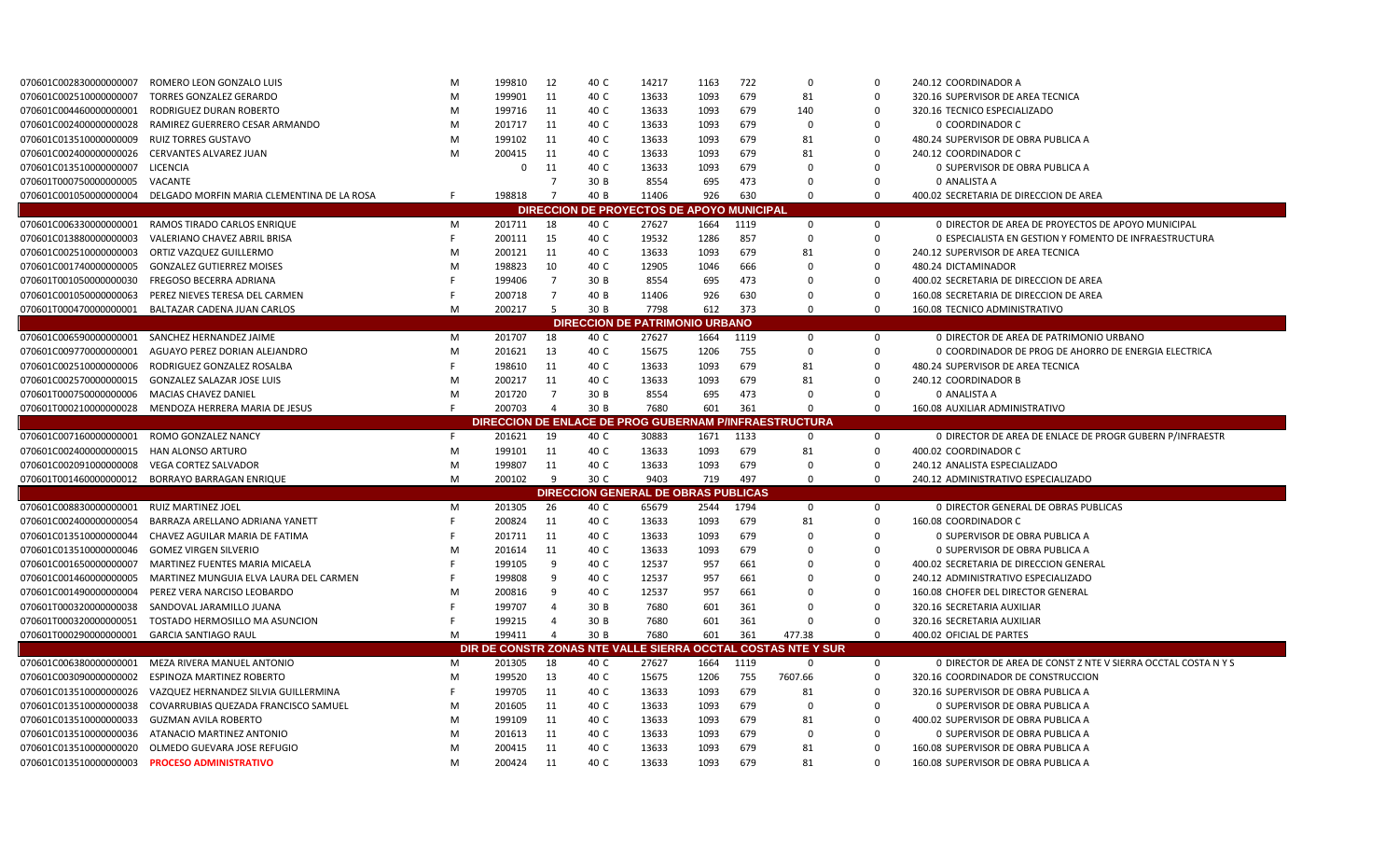| 070601C002830000000007                     | ROMERO LEON GONZALO LUIS                        | м      | 199810           | 12             | 40 C         | 14217                                      | 1163         | 722        | $\Omega$                                                     | $\Omega$             | 240.12 COORDINADOR A                                                       |
|--------------------------------------------|-------------------------------------------------|--------|------------------|----------------|--------------|--------------------------------------------|--------------|------------|--------------------------------------------------------------|----------------------|----------------------------------------------------------------------------|
| 070601C002510000000007                     | <b>TORRES GONZALEZ GERARDO</b>                  | M      | 199901           | 11             | 40 C         | 13633                                      | 1093         | 679        | 81                                                           | $\Omega$             | 320.16 SUPERVISOR DE AREA TECNICA                                          |
| 070601C004460000000001                     | RODRIGUEZ DURAN ROBERTO                         | M      | 199716           | 11             | 40 C         | 13633                                      | 1093         | 679        | 140                                                          | $\Omega$             | 320.16 TECNICO ESPECIALIZADO                                               |
| 070601C002400000000028                     | RAMIREZ GUERRERO CESAR ARMANDO                  | M      | 201717           | 11             | 40 C         | 13633                                      | 1093         | 679        | $\mathbf 0$                                                  | $\Omega$             | 0 COORDINADOR C                                                            |
| 070601C013510000000009                     | <b>RUIZ TORRES GUSTAVO</b>                      | M      | 199102           | 11             | 40 C         | 13633                                      | 1093         | 679        | 81                                                           | $\Omega$             | 480.24 SUPERVISOR DE OBRA PUBLICA A                                        |
| 070601C002400000000026                     | <b>CERVANTES ALVAREZ JUAN</b>                   | M      | 200415           | 11             | 40 C         | 13633                                      | 1093         | 679        | 81                                                           | $\Omega$             | 240.12 COORDINADOR C                                                       |
| 070601C013510000000007                     | LICENCIA                                        |        | $\mathbf 0$      | 11             | 40 C         | 13633                                      | 1093         | 679        | 0                                                            | 0                    | 0 SUPERVISOR DE OBRA PUBLICA A                                             |
| 070601T000750000000005                     | VACANTE                                         |        |                  | -7             | 30 B         | 8554                                       | 695          | 473        | $\Omega$                                                     | $\Omega$             | 0 ANALISTA A                                                               |
| 070601C001050000000004                     | DELGADO MORFIN MARIA CLEMENTINA DE LA ROSA      | -F     | 198818           | $\overline{7}$ | 40 B         | 11406                                      | 926          | 630        | $\Omega$                                                     | $\Omega$             | 400.02 SECRETARIA DE DIRECCION DE AREA                                     |
|                                            |                                                 |        |                  |                |              | DIRECCION DE PROYECTOS DE APOYO MUNICIPAL  |              |            |                                                              |                      |                                                                            |
| 070601C0063300000000001                    | RAMOS TIRADO CARLOS ENRIQUE                     | M      | 201711           | 18             | 40 C         | 27627                                      | 1664         | 1119       | $\mathbf 0$                                                  | $\mathbf 0$          | 0 DIRECTOR DE AREA DE PROYECTOS DE APOYO MUNICIPAL                         |
| 070601C013880000000003                     | VALERIANO CHAVEZ ABRIL BRISA                    | F      | 200111           | 15             | 40 C         | 19532                                      | 1286         | 857        | $\Omega$                                                     | $\Omega$             | O ESPECIALISTA EN GESTION Y FOMENTO DE INFRAESTRUCTURA                     |
| 070601C002510000000003                     | ORTIZ VAZQUEZ GUILLERMO                         | M      | 200121           | 11             | 40 C         | 13633                                      | 1093         | 679        | 81                                                           | 0                    | 240.12 SUPERVISOR DE AREA TECNICA                                          |
| 070601C001740000000005                     | <b>GONZALEZ GUTIERREZ MOISES</b>                | M      | 198823           | 10             | 40 C         | 12905                                      | 1046         | 666        | 0                                                            | $\Omega$             | 480.24 DICTAMINADOR                                                        |
| 070601T001050000000030                     | <b>FREGOSO BECERRA ADRIANA</b>                  |        | 199406           | $\overline{7}$ | 30 B         | 8554                                       | 695          | 473        | $\mathbf 0$                                                  | $\mathbf 0$          | 400.02 SECRETARIA DE DIRECCION DE AREA                                     |
| 070601C001050000000063                     | PEREZ NIEVES TERESA DEL CARMEN                  |        | 200718           | $\overline{7}$ | 40 B         | 11406                                      | 926          | 630        | 0                                                            | $\Omega$             | 160.08 SECRETARIA DE DIRECCION DE AREA                                     |
| 070601T000470000000001                     | BALTAZAR CADENA JUAN CARLOS                     | M      | 200217           | -5             | 30 B         | 7798                                       | 612          | 373        | $\Omega$                                                     | $\Omega$             | 160.08 TECNICO ADMINISTRATIVO                                              |
|                                            |                                                 |        |                  |                |              | <b>DIRECCION DE PATRIMONIO URBANO</b>      |              |            |                                                              |                      |                                                                            |
| 070601C006590000000001                     | SANCHEZ HERNANDEZ JAIME                         | M      | 201707           | 18             | 40 C         | 27627                                      | 1664         | 1119       | $\mathbf 0$                                                  | 0                    | 0 DIRECTOR DE AREA DE PATRIMONIO URBANO                                    |
| 070601C009770000000001                     | AGUAYO PEREZ DORIAN ALEJANDRO                   | M      | 201621           | 13             | 40 C         | 15675                                      | 1206         | 755        | $\mathbf 0$                                                  | $\Omega$             | O COORDINADOR DE PROG DE AHORRO DE ENERGIA ELECTRICA                       |
| 070601C002510000000006                     | RODRIGUEZ GONZALEZ ROSALBA                      |        | 198610           | 11             | 40 C         | 13633                                      | 1093         | 679        | 81                                                           | $\Omega$             | 480.24 SUPERVISOR DE AREA TECNICA                                          |
| 070601C002570000000015                     | <b>GONZALEZ SALAZAR JOSE LUIS</b>               | M      | 200217           | 11             | 40 C         | 13633                                      | 1093         | 679        | 81                                                           | $\Omega$             | 240.12 COORDINADOR B                                                       |
| 070601T000750000000006                     | MACIAS CHAVEZ DANIEL                            | M      | 201720           | $\overline{7}$ | 30 B         | 8554                                       | 695          | 473        | $\Omega$                                                     | $\Omega$             | 0 ANALISTA A                                                               |
| 070601T000210000000028                     | MENDOZA HERRERA MARIA DE JESUS                  |        | 200703           | $\Delta$       | 30 B         | 7680                                       | 601          | 361        | $\Omega$                                                     | $\Omega$             | 160.08 AUXILIAR ADMINISTRATIVO                                             |
|                                            |                                                 |        |                  |                |              |                                            |              |            | DIRECCION DE ENLACE DE PROG GUBERNAM P/INFRAESTRUCTURA       |                      |                                                                            |
|                                            |                                                 |        |                  |                |              |                                            |              |            |                                                              |                      |                                                                            |
|                                            |                                                 |        |                  |                |              |                                            |              |            |                                                              |                      |                                                                            |
| 070601C007160000000001 ROMO GONZALEZ NANCY |                                                 | F      | 201621           | 19             | 40 C         | 30883                                      | 1671         | 1133       | $\mathbf 0$                                                  | $\mathbf 0$          | 0 DIRECTOR DE AREA DE ENLACE DE PROGR GUBERN P/INFRAESTR                   |
| 070601C002400000000015                     | HAN ALONSO ARTURO                               | M      | 199101           | 11             | 40 C         | 13633                                      | 1093         | 679        | 81                                                           | $\mathbf 0$          | 400.02 COORDINADOR C                                                       |
| 070601C002091000000008                     | <b>VEGA CORTEZ SALVADOR</b>                     | M      | 199807           | 11             | 40 C         | 13633                                      | 1093         | 679        | $\mathbf 0$                                                  | $\mathbf 0$          | 240.12 ANALISTA ESPECIALIZADO                                              |
|                                            | 070601T001460000000012 BORRAYO BARRAGAN ENRIQUE | M      | 200102           | 9              | 30 C         | 9403                                       | 719          | 497        | $\mathbf 0$                                                  | $\mathbf 0$          | 240.12 ADMINISTRATIVO ESPECIALIZADO                                        |
|                                            |                                                 |        |                  |                |              | <b>DIRECCION GENERAL DE OBRAS PUBLICAS</b> |              |            |                                                              |                      |                                                                            |
| 070601C008830000000001                     | RUIZ MARTINEZ JOEL                              | M<br>F | 201305           | 26             | 40 C         | 65679                                      | 2544         | 1794       | $\mathbf 0$                                                  | $\mathbf 0$          | <b>0 DIRECTOR GENERAL DE OBRAS PUBLICAS</b>                                |
| 070601C002400000000054                     | BARRAZA ARELLANO ADRIANA YANETT                 |        | 200824           | 11             | 40 C         | 13633                                      | 1093         | 679        | 81                                                           | 0                    | 160.08 COORDINADOR C                                                       |
| 070601C013510000000044                     | CHAVEZ AGUILAR MARIA DE FATIMA                  |        | 201711           | 11             | 40 C         | 13633                                      | 1093         | 679        | 0                                                            | $\Omega$             | 0 SUPERVISOR DE OBRA PUBLICA A                                             |
| 070601C013510000000046                     | <b>GOMEZ VIRGEN SILVERIO</b>                    | M      | 201614           | 11             | 40 C         | 13633                                      | 1093         | 679        | 0                                                            | $\Omega$             | 0 SUPERVISOR DE OBRA PUBLICA A                                             |
| 070601C001650000000007                     | MARTINEZ FUENTES MARIA MICAELA                  |        | 199105           | 9              | 40 C         | 12537                                      | 957          | 661        | 0                                                            | $\Omega$             | 400.02 SECRETARIA DE DIRECCION GENERAL                                     |
| 070601C001460000000005                     | MARTINEZ MUNGUIA ELVA LAURA DEL CARMEN          |        | 199808           | -9             | 40 C         | 12537                                      | 957          | 661        | 0                                                            | $\Omega$             | 240.12 ADMINISTRATIVO ESPECIALIZADO                                        |
| 070601C001490000000004                     | PEREZ VERA NARCISO LEOBARDO                     | M      | 200816           | 9              | 40 C         | 12537                                      | 957          | 661        | 0                                                            | $\Omega$             | 160.08 CHOFER DEL DIRECTOR GENERAL                                         |
| 070601T000320000000038                     | SANDOVAL JARAMILLO JUANA                        |        | 199707           | $\Delta$       | 30 B         | 7680                                       | 601          | 361        | $\Omega$                                                     | $\Omega$             | 320.16 SECRETARIA AUXILIAR                                                 |
| 070601T000320000000051                     | TOSTADO HERMOSILLO MA ASUNCION                  |        | 199215           | $\overline{a}$ | 30 B         | 7680                                       | 601          | 361        | ი                                                            | $\Omega$             | 320.16 SECRETARIA AUXILIAR                                                 |
| 070601T000290000000001                     | <b>GARCIA SANTIAGO RAUL</b>                     | M      | 199411           | $\overline{a}$ | 30 B         | 7680                                       | 601          | 361        | 477.38                                                       | $\Omega$             | 400.02 OFICIAL DE PARTES                                                   |
|                                            |                                                 |        |                  |                |              |                                            |              |            | DIR DE CONSTR ZONAS NTE VALLE SIERRA OCCTAL COSTAS NTE Y SUR |                      |                                                                            |
| 070601C006380000000001                     | MEZA RIVERA MANUEL ANTONIO                      | M      | 201305           | 18             | 40 C         | 27627                                      | 1664         | 1119       | $\mathbf 0$                                                  | 0                    | 0 DIRECTOR DE AREA DE CONST Z NTE V SIERRA OCCTAL COSTA N Y S              |
| 070601C003090000000002                     | ESPINOZA MARTINEZ ROBERTO                       | M      | 199520           | 13             | 40 C         | 15675                                      | 1206         | 755        | 7607.66                                                      | 0                    | 320.16 COORDINADOR DE CONSTRUCCION                                         |
| 070601C013510000000026                     | VAZQUEZ HERNANDEZ SILVIA GUILLERMINA            | F      | 199705           | 11             | 40 C         | 13633                                      | 1093         | 679        | 81                                                           | $\Omega$             | 320.16 SUPERVISOR DE OBRA PUBLICA A                                        |
| 070601C013510000000038                     | COVARRUBIAS QUEZADA FRANCISCO SAMUEL            | M      | 201605           | 11             | 40 C         | 13633                                      | 1093         | 679        | $\mathbf 0$                                                  | $\mathbf 0$          | 0 SUPERVISOR DE OBRA PUBLICA A                                             |
| 070601C013510000000033                     | <b>GUZMAN AVILA ROBERTO</b>                     | M      | 199109           | 11             | 40 C         | 13633                                      | 1093         | 679        | 81                                                           | $\Omega$             | 400.02 SUPERVISOR DE OBRA PUBLICA A                                        |
| 070601C013510000000036                     | ATANACIO MARTINEZ ANTONIO                       | M      | 201613           | 11             | 40 C         | 13633                                      | 1093         | 679        | 0                                                            | $\Omega$             | 0 SUPERVISOR DE OBRA PUBLICA A                                             |
| 070601C013510000000020                     | OLMEDO GUEVARA JOSE REFUGIO                     | M<br>M | 200415<br>200424 | 11<br>11       | 40 C<br>40 C | 13633<br>13633                             | 1093<br>1093 | 679<br>679 | 81<br>81                                                     | $\Omega$<br>$\Omega$ | 160.08 SUPERVISOR DE OBRA PUBLICA A<br>160.08 SUPERVISOR DE OBRA PUBLICA A |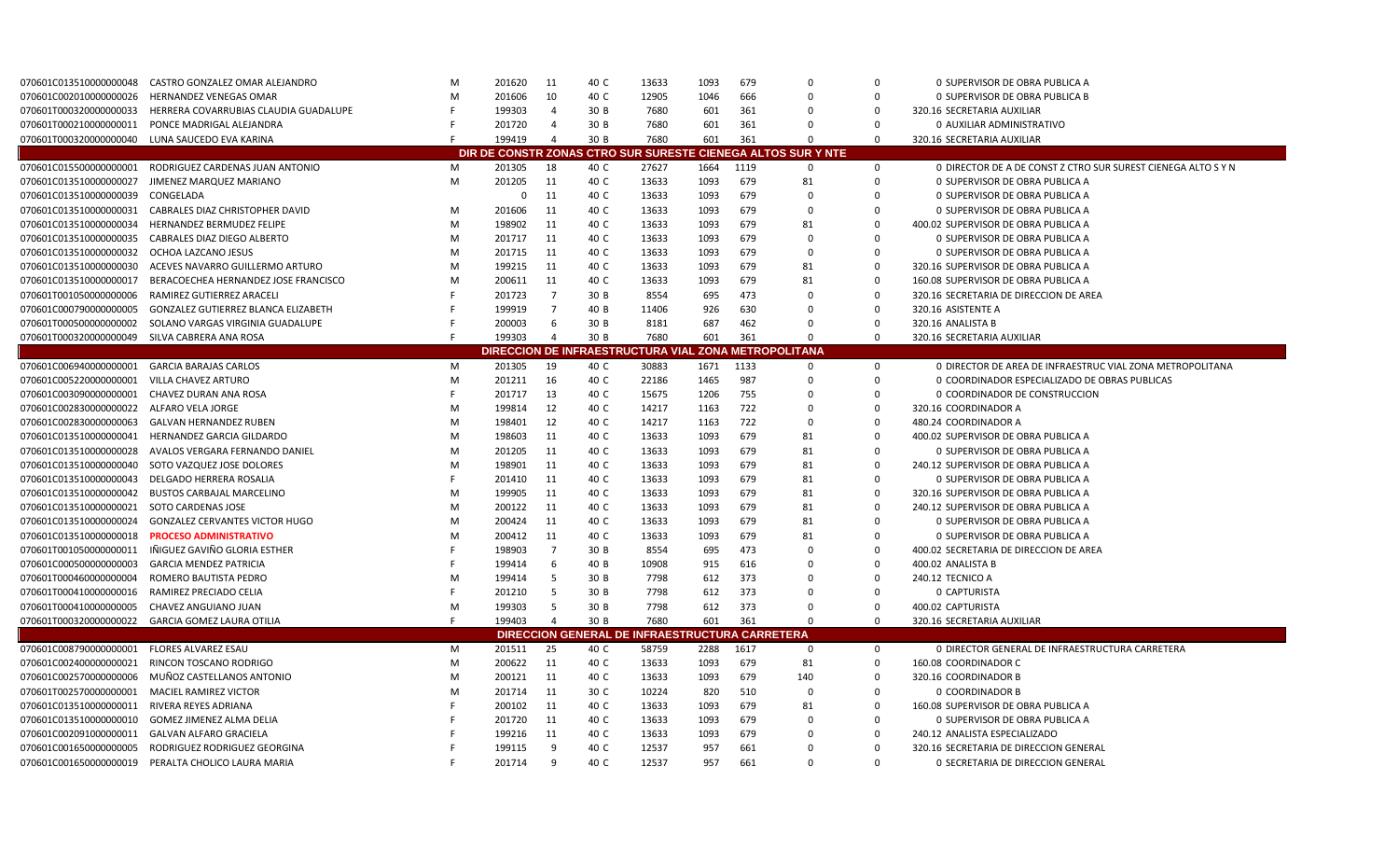| 070601C013510000000048  | CASTRO GONZALEZ OMAR ALEJANDRO         | M | 201620   | 11             | 40 C                        | 13633                                   | 1093 | 679  | $\Omega$                                                     | $\Omega$    | <b>0 SUPERVISOR DE OBRA PUBLICA A</b>                         |
|-------------------------|----------------------------------------|---|----------|----------------|-----------------------------|-----------------------------------------|------|------|--------------------------------------------------------------|-------------|---------------------------------------------------------------|
| 070601C002010000000026  | <b>HERNANDEZ VENEGAS OMAR</b>          | M | 201606   | 10             | 40 C                        | 12905                                   | 1046 | 666  | $\mathbf 0$                                                  | $\mathbf 0$ | <b>0 SUPERVISOR DE OBRA PUBLICA B</b>                         |
| 070601T0003200000000033 | HERRERA COVARRUBIAS CLAUDIA GUADALUPE  | F | 199303   | $\overline{4}$ | 30 B                        | 7680                                    | 601  | 361  | $\Omega$                                                     | $\Omega$    | 320.16 SECRETARIA AUXILIAR                                    |
| 070601T000210000000011  | PONCE MADRIGAL ALEJANDRA               |   | 201720   | $\overline{4}$ | 30 B                        | 7680                                    | 601  | 361  | $\Omega$                                                     | $\Omega$    | 0 AUXILIAR ADMINISTRATIVO                                     |
| 070601T0003200000000040 | LUNA SAUCEDO EVA KARINA                |   | 199419   | $\overline{4}$ | 30 B                        | 7680                                    | 601  | 361  | $\Omega$                                                     | $\Omega$    | 320.16 SECRETARIA AUXILIAR                                    |
|                         |                                        |   |          |                |                             |                                         |      |      | DIR DE CONSTR ZONAS CTRO SUR SURESTE CIENEGA ALTOS SUR Y NTE |             |                                                               |
| 070601C015500000000001  | RODRIGUEZ CARDENAS JUAN ANTONIO        | M | 201305   | 18             | 40 C                        | 27627                                   | 1664 | 1119 | 0                                                            | $\mathbf 0$ | 0 DIRECTOR DE A DE CONST Z CTRO SUR SUREST CIENEGA ALTO S Y N |
| 070601C013510000000027  | JIMENEZ MARQUEZ MARIANO                | M | 201205   | 11             | 40 C                        | 13633                                   | 1093 | 679  | 81                                                           | $\Omega$    | 0 SUPERVISOR DE OBRA PUBLICA A                                |
| 070601C013510000000039  | CONGELADA                              |   | $\Omega$ | 11             | 40 C                        | 13633                                   | 1093 | 679  | 0                                                            | $\Omega$    | 0 SUPERVISOR DE OBRA PUBLICA A                                |
| 070601C013510000000031  | <b>CABRALES DIAZ CHRISTOPHER DAVID</b> | M | 201606   | 11             | 40 C                        | 13633                                   | 1093 | 679  | $\Omega$                                                     | $\Omega$    | 0 SUPERVISOR DE OBRA PUBLICA A                                |
| 070601C013510000000034  | HERNANDEZ BERMUDEZ FELIPE              | M | 198902   | 11             | 40 C                        | 13633                                   | 1093 | 679  | 81                                                           | $\mathbf 0$ | 400.02 SUPERVISOR DE OBRA PUBLICA A                           |
| 070601C013510000000035  | <b>CABRALES DIAZ DIEGO ALBERTO</b>     | M | 201717   | 11             | 40 C                        | 13633                                   | 1093 | 679  | $\Omega$                                                     | $\Omega$    | <b>0 SUPERVISOR DE OBRA PUBLICA A</b>                         |
| 070601C013510000000032  | OCHOA LAZCANO JESUS                    | M | 201715   | 11             | 40 C                        | 13633                                   | 1093 | 679  | $\Omega$                                                     | $\Omega$    | O SUPERVISOR DE OBRA PUBLICA A                                |
| 070601C013510000000030  | ACEVES NAVARRO GUILLERMO ARTURO        | M | 199215   | 11             | 40 C                        | 13633                                   | 1093 | 679  | 81                                                           | $\Omega$    | 320.16 SUPERVISOR DE OBRA PUBLICA A                           |
| 070601C013510000000017  | BERACOECHEA HERNANDEZ JOSE FRANCISCO   | M | 200611   | 11             | 40 C                        | 13633                                   | 1093 | 679  | 81                                                           | $\mathbf 0$ | 160.08 SUPERVISOR DE OBRA PUBLICA A                           |
| 070601T001050000000006  | RAMIREZ GUTIERREZ ARACELI              | F | 201723   | $\overline{7}$ | 30 B                        | 8554                                    | 695  | 473  | $\mathbf 0$                                                  | $\Omega$    | 320.16 SECRETARIA DE DIRECCION DE AREA                        |
| 070601C000790000000005  | GONZALEZ GUTIERREZ BLANCA ELIZABETH    | F | 199919   | $\overline{7}$ | 40 B                        | 11406                                   | 926  | 630  | $\Omega$                                                     | $\Omega$    | 320.16 ASISTENTE A                                            |
| 070601T000500000000002  | SOLANO VARGAS VIRGINIA GUADALUPE       | F | 200003   | 6              | 30 B                        | 8181                                    | 687  | 462  | $\Omega$                                                     | $\Omega$    | 320.16 ANALISTA B                                             |
| 070601T0003200000000049 | SILVA CABRERA ANA ROSA                 | F | 199303   | $\overline{4}$ | 30 B                        | 7680                                    | 601  | 361  | $\Omega$                                                     | $\Omega$    | 320.16 SECRETARIA AUXILIAR                                    |
|                         |                                        |   |          |                |                             | <b>DIRECCION DE INFRAESTRUCTURA VIA</b> |      |      | L ZONA METROPOLITANA                                         |             |                                                               |
| 070601C006940000000001  | <b>GARCIA BARAJAS CARLOS</b>           | M | 201305   | 19             | 40 C                        | 30883                                   | 1671 | 1133 | $\mathbf 0$                                                  | 0           | 0 DIRECTOR DE AREA DE INFRAESTRUC VIAL ZONA METROPOLITANA     |
| 070601C005220000000001  | <b>VILLA CHAVEZ ARTURO</b>             | M | 201211   | 16             | 40 C                        | 22186                                   | 1465 | 987  | $\Omega$                                                     | $\Omega$    | O COORDINADOR ESPECIALIZADO DE OBRAS PUBLICAS                 |
| 070601C003090000000001  | CHAVEZ DURAN ANA ROSA                  | F | 201717   | 13             | 40 C                        | 15675                                   | 1206 | 755  | $\Omega$                                                     | 0           | 0 COORDINADOR DE CONSTRUCCION                                 |
| 070601C002830000000022  | ALFARO VELA JORGE                      | M | 199814   | 12             | 40 C                        | 14217                                   | 1163 | 722  | 0                                                            | $\Omega$    | 320.16 COORDINADOR A                                          |
| 070601C002830000000063  | <b>GALVAN HERNANDEZ RUBEN</b>          | M | 198401   | 12             | 40 C                        | 14217                                   | 1163 | 722  | $\mathbf 0$                                                  | $\Omega$    | 480.24 COORDINADOR A                                          |
| 070601C013510000000041  | HERNANDEZ GARCIA GILDARDO              | M | 198603   | 11             | 40 C                        | 13633                                   | 1093 | 679  | 81                                                           | $\Omega$    | 400.02 SUPERVISOR DE OBRA PUBLICA A                           |
| 070601C013510000000028  | AVALOS VERGARA FERNANDO DANIEL         | M | 201205   | 11             | 40 C                        | 13633                                   | 1093 | 679  | 81                                                           | $\Omega$    | 0 SUPERVISOR DE OBRA PUBLICA A                                |
| 070601C013510000000040  | SOTO VAZQUEZ JOSE DOLORES              | M | 198901   | 11             | 40 C                        | 13633                                   | 1093 | 679  | 81                                                           | $\Omega$    | 240.12 SUPERVISOR DE OBRA PUBLICA A                           |
| 070601C013510000000043  | DELGADO HERRERA ROSALIA                | F | 201410   | 11             | 40 C                        | 13633                                   | 1093 | 679  | 81                                                           | $\Omega$    | 0 SUPERVISOR DE OBRA PUBLICA A                                |
| 070601C013510000000042  | <b>BUSTOS CARBAJAL MARCELINO</b>       | M | 199905   | 11             | 40 C                        | 13633                                   | 1093 | 679  | 81                                                           | $\mathbf 0$ | 320.16 SUPERVISOR DE OBRA PUBLICA A                           |
| 070601C013510000000021  | SOTO CARDENAS JOSE                     | M | 200122   | 11             | 40 C                        | 13633                                   | 1093 | 679  | 81                                                           | $\Omega$    | 240.12 SUPERVISOR DE OBRA PUBLICA A                           |
| 070601C013510000000024  | GONZALEZ CERVANTES VICTOR HUGO         | M | 200424   | 11             | 40 C                        | 13633                                   | 1093 | 679  | 81                                                           | $\Omega$    | 0 SUPERVISOR DE OBRA PUBLICA A                                |
| 070601C013510000000018  | <b>PROCESO ADMINISTRATIVO</b>          | M | 200412   | 11             | 40 C                        | 13633                                   | 1093 | 679  | 81                                                           | $\Omega$    | 0 SUPERVISOR DE OBRA PUBLICA A                                |
| 070601T001050000000011  | IÑIGUEZ GAVIÑO GLORIA ESTHER           | F | 198903   | $\overline{7}$ | 30 B                        | 8554                                    | 695  | 473  | $\mathbf 0$                                                  | $\mathbf 0$ | 400.02 SECRETARIA DE DIRECCION DE AREA                        |
| 070601C000500000000003  | <b>GARCIA MENDEZ PATRICIA</b>          | F | 199414   | 6              | 40 B                        | 10908                                   | 915  | 616  | 0                                                            | $\Omega$    | 400.02 ANALISTA B                                             |
| 070601T000460000000004  | ROMERO BAUTISTA PEDRO                  | M | 199414   | 5              | 30 B                        | 7798                                    | 612  | 373  | $\Omega$                                                     | $\Omega$    | 240.12 TECNICO A                                              |
| 070601T000410000000016  | RAMIREZ PRECIADO CELIA                 | F | 201210   | -5             | 30 B                        | 7798                                    | 612  | 373  | $\Omega$                                                     | $\Omega$    | 0 CAPTURISTA                                                  |
| 070601T000410000000005  | CHAVEZ ANGUIANO JUAN                   | M | 199303   | -5             | 30 B                        | 7798                                    | 612  | 373  | $\Omega$                                                     | $\Omega$    | 400.02 CAPTURISTA                                             |
| 070601T000320000000022  | GARCIA GOMEZ LAURA OTILIA              | F | 199403   | $\overline{4}$ | 30 B                        | 7680                                    | 601  | 361  | $\Omega$                                                     | $\mathbf 0$ | 320.16 SECRETARIA AUXILIAR                                    |
|                         |                                        |   |          |                | <b>DIRECCION GENERAL DE</b> | INFRAESTRUCTURA CARRETERA               |      |      |                                                              |             |                                                               |
| 070601C008790000000001  | <b>FLORES ALVAREZ ESAU</b>             | M | 201511   | 25             | 40 C                        | 58759                                   | 2288 | 1617 | $\mathbf 0$                                                  | $\mathbf 0$ | 0 DIRECTOR GENERAL DE INFRAESTRUCTURA CARRETERA               |
| 070601C002400000000021  | RINCON TOSCANO RODRIGO                 | M | 200622   | 11             | 40 C                        | 13633                                   | 1093 | 679  | 81                                                           | $\mathbf 0$ | 160.08 COORDINADOR C                                          |
| 070601C002570000000006  | MUÑOZ CASTELLANOS ANTONIO              | M | 200121   | 11             | 40 C                        | 13633                                   | 1093 | 679  | 140                                                          | $\Omega$    | 320.16 COORDINADOR B                                          |
| 070601T002570000000001  | <b>MACIEL RAMIREZ VICTOR</b>           | M | 201714   | 11             | 30 C                        | 10224                                   | 820  | 510  | $\mathbf 0$                                                  | $\Omega$    | <b>0 COORDINADOR B</b>                                        |
| 070601C013510000000011  | RIVERA REYES ADRIANA                   | F | 200102   | 11             | 40 C                        | 13633                                   | 1093 | 679  | 81                                                           | $\Omega$    | 160.08 SUPERVISOR DE OBRA PUBLICA A                           |
| 070601C013510000000010  | GOMEZ JIMENEZ ALMA DELIA               |   | 201720   | 11             | 40 C                        | 13633                                   | 1093 | 679  | $\Omega$                                                     | $\Omega$    | 0 SUPERVISOR DE OBRA PUBLICA A                                |
| 070601C002091000000011  | <b>GALVAN ALFARO GRACIELA</b>          |   | 199216   | 11             | 40 C                        | 13633                                   | 1093 | 679  | $\Omega$                                                     | $\Omega$    | 240.12 ANALISTA ESPECIALIZADO                                 |
| 070601C001650000000005  | RODRIGUEZ RODRIGUEZ GEORGINA           |   | 199115   | 9              | 40 C                        | 12537                                   | 957  | 661  | $\Omega$                                                     | $\Omega$    | 320.16 SECRETARIA DE DIRECCION GENERAL                        |
| 070601C001650000000019  | PERALTA CHOLICO LAURA MARIA            | F | 201714   | 9              | 40 C                        | 12537                                   | 957  | 661  | $\Omega$                                                     | $\Omega$    | <b>0 SECRETARIA DE DIRECCION GENERAL</b>                      |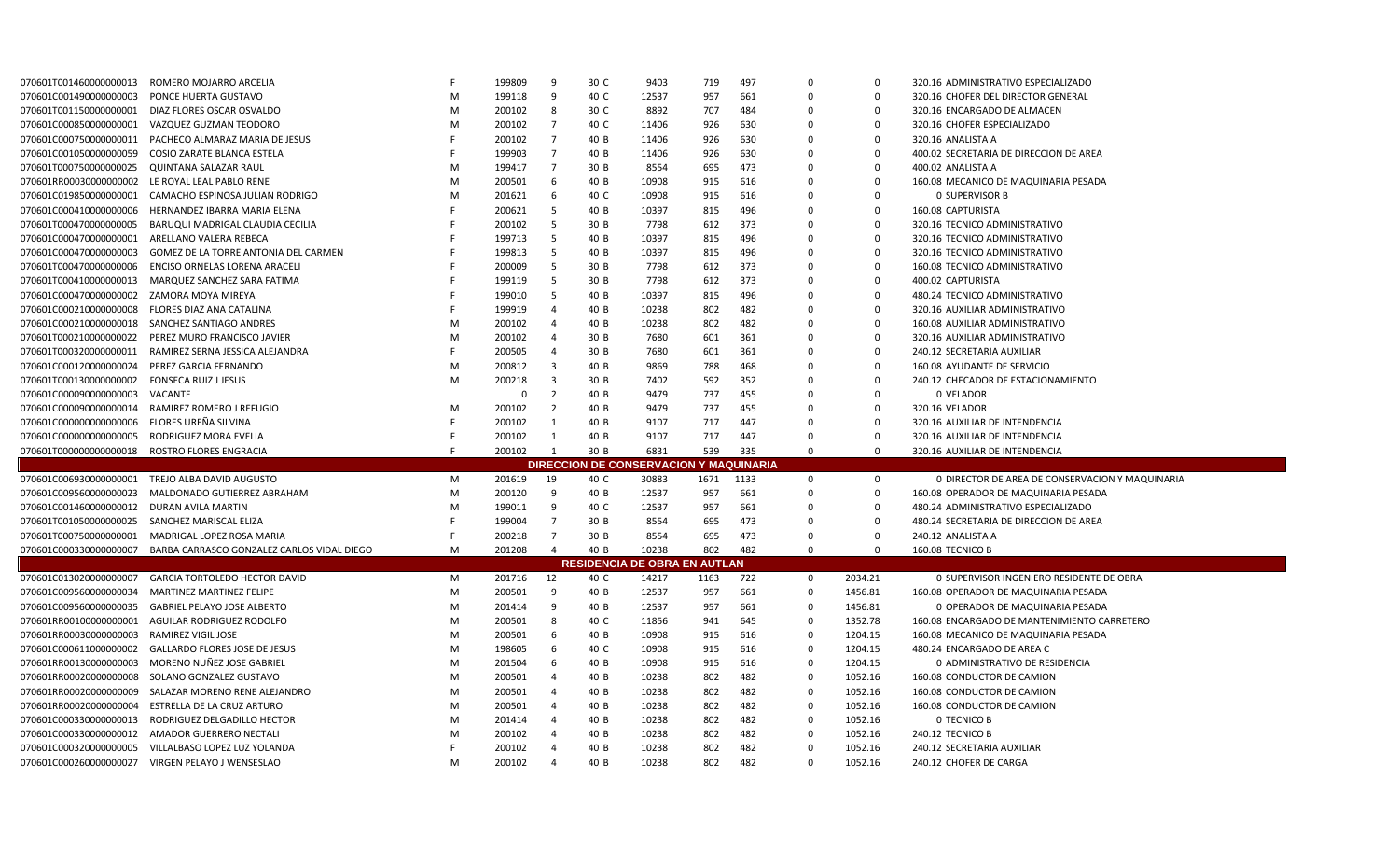| 070601T001460000000013                         | ROMERO MOJARRO ARCELIA                                    |   | 199809           | 9              | 30 C | 9403                                          | 719       | 497        | $\Omega$             | $\mathbf 0$        | 320.16 ADMINISTRATIVO ESPECIALIZADO             |
|------------------------------------------------|-----------------------------------------------------------|---|------------------|----------------|------|-----------------------------------------------|-----------|------------|----------------------|--------------------|-------------------------------------------------|
| 070601C001490000000003                         | PONCE HUERTA GUSTAVO                                      | M | 199118           | 9              | 40 C | 12537                                         | 957       | 661        | $\Omega$             | $\mathbf 0$        | 320.16 CHOFER DEL DIRECTOR GENERAL              |
| 070601T001150000000001                         | DIAZ FLORES OSCAR OSVALDO                                 | M | 200102           | 8              | 30 C | 8892                                          | 707       | 484        | $\Omega$             | $\mathbf 0$        | 320.16 ENCARGADO DE ALMACEN                     |
| 070601C000850000000001                         | VAZQUEZ GUZMAN TEODORO                                    | M | 200102           | $\overline{7}$ | 40 C | 11406                                         | 926       | 630        | $\Omega$             | 0                  | 320.16 CHOFER ESPECIALIZADO                     |
| 070601C000750000000011                         | PACHECO ALMARAZ MARIA DE JESUS                            |   | 200102           | $\overline{7}$ | 40 B | 11406                                         | 926       | 630        | $\Omega$             | $\Omega$           | 320.16 ANALISTA A                               |
| 070601C0010500000000059                        | COSIO ZARATE BLANCA ESTELA                                |   | 199903           | 7              | 40 B | 11406                                         | 926       | 630        | $\Omega$             | $\Omega$           | 400.02 SECRETARIA DE DIRECCION DE AREA          |
| 070601T000750000000025                         | <b>QUINTANA SALAZAR RAUL</b>                              | M | 199417           | $\overline{7}$ | 30 B | 8554                                          | 695       | 473        | $\Omega$             | $\Omega$           | 400.02 ANALISTA A                               |
| 070601RR00030000000002                         | LE ROYAL LEAL PABLO RENE                                  | M | 200501           | 6              | 40 B | 10908                                         | 915       | 616        | $\Omega$             | $\Omega$           | 160.08 MECANICO DE MAQUINARIA PESADA            |
| 070601C019850000000001                         | CAMACHO ESPINOSA JULIAN RODRIGO                           | M | 201621           | 6              | 40 C | 10908                                         | 915       | 616        | $\Omega$             | $\mathbf 0$        | <b>0 SUPERVISOR B</b>                           |
| 070601C000410000000006                         | HERNANDEZ IBARRA MARIA ELENA                              |   | 200621           | -5             | 40 B | 10397                                         | 815       | 496        | $\Omega$             | $\mathbf 0$        | 160.08 CAPTURISTA                               |
| 070601T000470000000005                         | BARUQUI MADRIGAL CLAUDIA CECILIA                          |   | 200102           | 5              | 30 B | 7798                                          | 612       | 373        | $\Omega$             | $\Omega$           | 320.16 TECNICO ADMINISTRATIVO                   |
| 070601C000470000000001                         | ARELLANO VALERA REBECA                                    |   | 199713           | -5             | 40 B | 10397                                         | 815       | 496        | $\Omega$             | $\mathbf 0$        | 320.16 TECNICO ADMINISTRATIVO                   |
| 070601C000470000000003                         | GOMEZ DE LA TORRE ANTONIA DEL CARMEN                      |   | 199813           | -5             | 40 B | 10397                                         | 815       | 496        | $\Omega$             | 0                  | 320.16 TECNICO ADMINISTRATIVO                   |
| 070601T000470000000006                         | ENCISO ORNELAS LORENA ARACELI                             |   | 200009           | -5             | 30 B | 7798                                          | 612       | 373        | $\Omega$             | $\mathbf 0$        | 160.08 TECNICO ADMINISTRATIVO                   |
| 070601T000410000000013                         | MARQUEZ SANCHEZ SARA FATIMA                               |   | 199119           | 5              | 30 B | 7798                                          | 612       | 373        | $\Omega$             | $\mathbf 0$        | 400.02 CAPTURISTA                               |
| 070601C000470000000002                         | ZAMORA MOYA MIREYA                                        |   | 199010           | -5             | 40 B | 10397                                         | 815       | 496        | $\Omega$             | $\mathbf 0$        | 480.24 TECNICO ADMINISTRATIVO                   |
| 070601C000210000000008                         | FLORES DIAZ ANA CATALINA                                  |   | 199919           | $\overline{4}$ | 40 B | 10238                                         | 802       | 482        | 0                    | $\mathbf 0$        | 320.16 AUXILIAR ADMINISTRATIVO                  |
|                                                | 070601C000210000000018 SANCHEZ SANTIAGO ANDRES            | M | 200102           | $\overline{4}$ | 40 B | 10238                                         | 802       | 482        | $\Omega$             | $\mathbf 0$        | 160.08 AUXILIAR ADMINISTRATIVO                  |
|                                                | 070601T000210000000022 PEREZ MURO FRANCISCO JAVIER        | M | 200102           | $\overline{4}$ | 30 B | 7680                                          | 601       | 361        | $\Omega$             | 0                  | 320.16 AUXILIAR ADMINISTRATIVO                  |
|                                                | 070601T000320000000011 RAMIREZ SERNA JESSICA ALEJANDRA    |   | 200505           | $\overline{4}$ | 30 B | 7680                                          | 601       | 361        | $\Omega$             | 0                  | 240.12 SECRETARIA AUXILIAR                      |
| 070601C000120000000024                         | PEREZ GARCIA FERNANDO                                     | M | 200812           | -3             | 40 B | 9869                                          | 788       | 468        | $\Omega$             | 0                  | 160.08 AYUDANTE DE SERVICIO                     |
| 070601T000130000000002                         | <b>FONSECA RUIZ J JESUS</b>                               | M | 200218           | $\overline{3}$ | 30 B | 7402                                          | 592       | 352        | $\Omega$             | $\mathbf 0$        | 240.12 CHECADOR DE ESTACIONAMIENTO              |
| 070601C000090000000003                         | VACANTE                                                   |   | 0                | $\overline{2}$ | 40 B | 9479                                          | 737       | 455        | $\Omega$             | $\mathbf 0$        | 0 VELADOR                                       |
| 070601C0000900000000014                        | RAMIREZ ROMERO J REFUGIO                                  | M | 200102           | $\overline{2}$ | 40 B | 9479                                          | 737       | 455        | $\Omega$             | $\mathbf 0$        | 320.16 VELADOR                                  |
| 070601C0000000000000006                        | FLORES UREÑA SILVINA                                      |   | 200102           | $\mathbf{1}$   | 40 B | 9107                                          | 717       | 447        | $\Omega$             | $\mathbf 0$        | 320.16 AUXILIAR DE INTENDENCIA                  |
| 070601C0000000000000005                        | RODRIGUEZ MORA EVELIA                                     |   | 200102           | 1              | 40 B | 9107                                          | 717       | 447        | $\Omega$             | $\mathbf 0$        | 320.16 AUXILIAR DE INTENDENCIA                  |
|                                                |                                                           |   | 200102           | 1              | 30 B | 6831                                          | 539       | 335        | $\Omega$             | $\mathbf 0$        | 320.16 AUXILIAR DE INTENDENCIA                  |
| 070601T0000000000000018 ROSTRO FLORES ENGRACIA |                                                           |   |                  |                |      |                                               |           |            |                      |                    |                                                 |
|                                                |                                                           |   |                  |                |      | <b>DIRECCION DE CONSERVACION Y MAQUINARIA</b> |           |            |                      |                    |                                                 |
|                                                | 070601C006930000000001 TREJO ALBA DAVID AUGUSTO           | M | 201619           | 19             | 40 C | 30883                                         | 1671 1133 |            | $\mathbf 0$          | 0                  | 0 DIRECTOR DE AREA DE CONSERVACION Y MAQUINARIA |
| 070601C009560000000023                         | MALDONADO GUTIERREZ ABRAHAM                               | M | 200120           | 9              | 40 B | 12537                                         | 957       | 661        | $\Omega$             | $\mathbf 0$        | 160.08 OPERADOR DE MAQUINARIA PESADA            |
| 070601C001460000000012 DURAN AVILA MARTIN      |                                                           | M | 199011           | 9              | 40 C | 12537                                         | 957       | 661        | $\Omega$             | $\mathbf 0$        | 480.24 ADMINISTRATIVO ESPECIALIZADO             |
| 070601T001050000000025                         | SANCHEZ MARISCAL ELIZA                                    |   | 199004           | $\overline{7}$ | 30 B | 8554                                          | 695       | 473        | $\Omega$             | $\Omega$           | 480.24 SECRETARIA DE DIRECCION DE AREA          |
| 070601T000750000000001                         | MADRIGAL LOPEZ ROSA MARIA                                 |   | 200218           | 7              | 30 B | 8554                                          | 695       | 473        | $\Omega$             | $\Omega$           | 240.12 ANALISTA A                               |
| 070601C000330000000007                         | BARBA CARRASCO GONZALEZ CARLOS VIDAL DIEGO                | M | 201208           | $\Delta$       | 40 B | 10238                                         | 802       | 482        | $\Omega$             | $\Omega$           | 160.08 TECNICO B                                |
|                                                |                                                           |   |                  |                |      | <b>RESIDENCIA DE OBRA EN AUTLAN</b>           |           |            |                      |                    |                                                 |
| 070601C013020000000007                         | <b>GARCIA TORTOLEDO HECTOR DAVID</b>                      | M | 201716           | 12             | 40 C | 14217                                         | 1163      | 722        | $\mathbf 0$          | 2034.21            | 0 SUPERVISOR INGENIERO RESIDENTE DE OBRA        |
| 070601C009560000000034                         | <b>MARTINEZ MARTINEZ FELIPE</b>                           | M | 200501           | 9              | 40 B | 12537                                         | 957       | 661        | $\mathbf 0$          | 1456.81            | 160.08 OPERADOR DE MAQUINARIA PESADA            |
| 070601C009560000000035                         | <b>GABRIEL PELAYO JOSE ALBERTO</b>                        | M | 201414           | 9              | 40 B | 12537                                         | 957       | 661        | $\mathbf 0$          | 1456.81            | 0 OPERADOR DE MAQUINARIA PESADA                 |
| 070601RR00100000000001                         | AGUILAR RODRIGUEZ RODOLFO                                 | M | 200501           | 8              | 40 C | 11856                                         | 941       | 645        | $\mathbf 0$          | 1352.78            | 160.08 ENCARGADO DE MANTENIMIENTO CARRETERO     |
| 070601RR00030000000003                         | <b>RAMIREZ VIGIL JOSE</b>                                 | M | 200501           | 6              | 40 B | 10908                                         | 915       | 616        | 0                    | 1204.15            | 160.08 MECANICO DE MAQUINARIA PESADA            |
| 070601C000611000000002                         | <b>GALLARDO FLORES JOSE DE JESUS</b>                      | M | 198605           | 6              | 40 C | 10908                                         | 915       | 616        | $\Omega$             | 1204.15            | 480.24 ENCARGADO DE AREA C                      |
| 070601RR00130000000003                         | MORENO NUÑEZ JOSE GABRIEL                                 | M | 201504           | 6              | 40 B | 10908                                         | 915       | 616        | 0                    | 1204.15            | 0 ADMINISTRATIVO DE RESIDENCIA                  |
| 070601RR00020000000008                         | SOLANO GONZALEZ GUSTAVO                                   | M | 200501           | 4              | 40 B | 10238                                         | 802       | 482        | $\mathbf 0$          | 1052.16            | 160.08 CONDUCTOR DE CAMION                      |
| 070601RR00020000000009                         | SALAZAR MORENO RENE ALEJANDRO                             | M | 200501           | $\overline{4}$ | 40 B | 10238                                         | 802       | 482        | $\mathbf 0$          | 1052.16            | 160.08 CONDUCTOR DE CAMION                      |
| 070601RR00020000000004                         | ESTRELLA DE LA CRUZ ARTURO                                | M | 200501           | $\overline{4}$ | 40 B | 10238                                         | 802       | 482        | $\mathbf 0$          | 1052.16            | 160.08 CONDUCTOR DE CAMION                      |
| 070601C0003300000000013                        | RODRIGUEZ DELGADILLO HECTOR                               | M | 201414           | $\overline{4}$ | 40 B | 10238                                         | 802       | 482        | $\mathbf 0$          | 1052.16            | O TECNICO B                                     |
| 070601C0003300000000012                        | AMADOR GUERRERO NECTALI                                   | M | 200102           | $\overline{4}$ | 40 B | 10238                                         | 802       | 482        | $\Omega$             | 1052.16            | 240.12 TECNICO B                                |
| 070601C0003200000000005                        | VILLALBASO LOPEZ LUZ YOLANDA<br>VIRGEN PELAYO J WENSESLAO | M | 200102<br>200102 | 4              | 40 B | 10238<br>10238                                | 802       | 482<br>482 | $\Omega$<br>$\Omega$ | 1052.16<br>1052.16 | 240.12 SECRETARIA AUXILIAR                      |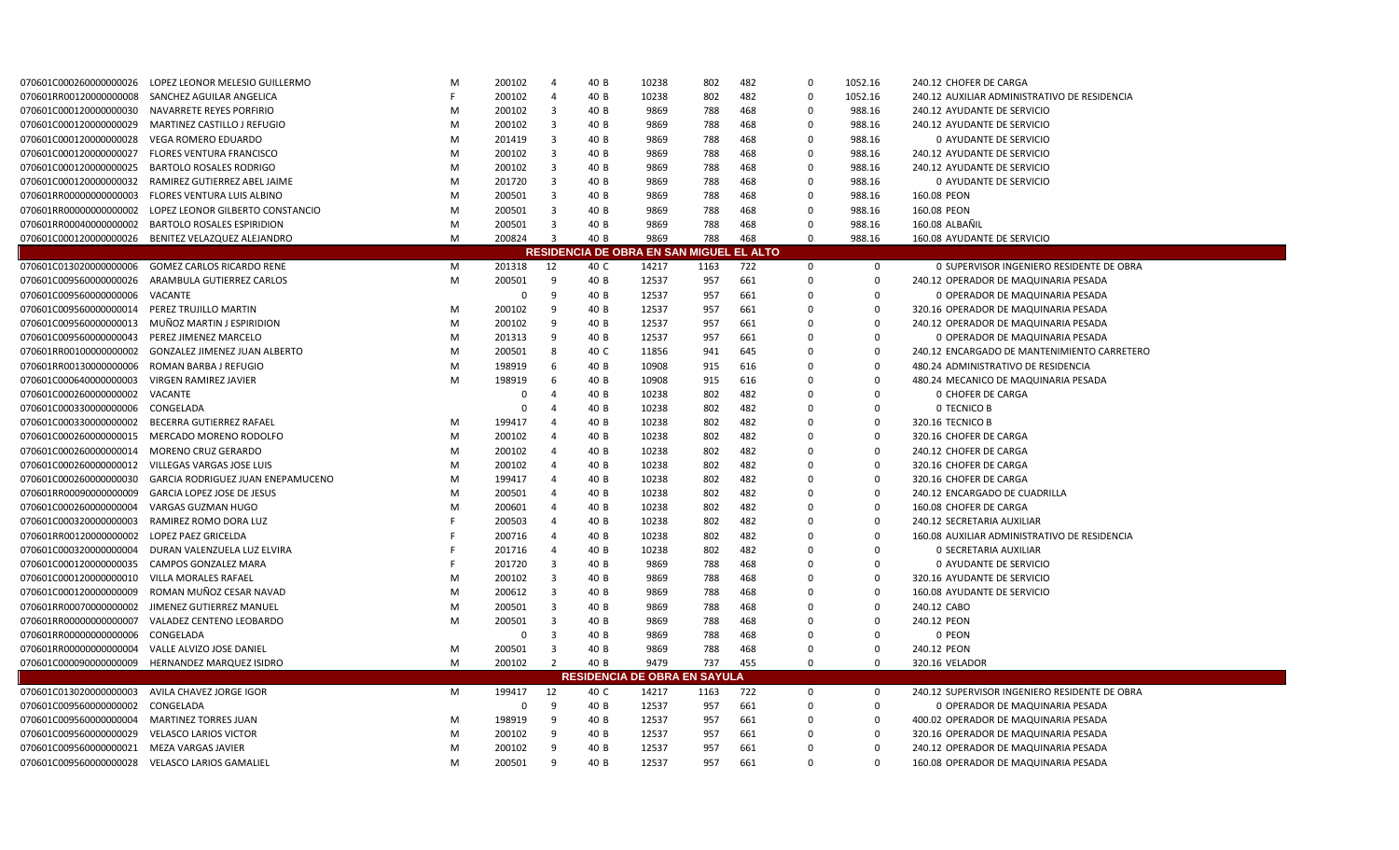| 070601C000260000000026                         | LOPEZ LEONOR MELESIO GUILLERMO                           | M | 200102      | $\overline{4}$ | 40 B | 10238                                    | 802  | 482 | $\Omega$    | 1052.16      | 240.12 CHOFER DE CARGA                        |
|------------------------------------------------|----------------------------------------------------------|---|-------------|----------------|------|------------------------------------------|------|-----|-------------|--------------|-----------------------------------------------|
| 070601RR00120000000008                         | SANCHEZ AGUILAR ANGELICA                                 |   | 200102      | $\overline{4}$ | 40 B | 10238                                    | 802  | 482 | $\mathbf 0$ | 1052.16      | 240.12 AUXILIAR ADMINISTRATIVO DE RESIDENCIA  |
| 070601C0001200000000030                        | NAVARRETE REYES PORFIRIO                                 | M | 200102      | 3              | 40 B | 9869                                     | 788  | 468 | $\Omega$    | 988.16       | 240.12 AYUDANTE DE SERVICIO                   |
| 070601C000120000000029                         | MARTINEZ CASTILLO J REFUGIO                              | M | 200102      | 3              | 40 B | 9869                                     | 788  | 468 | 0           | 988.16       | 240.12 AYUDANTE DE SERVICIO                   |
| 070601C000120000000028                         | <b>VEGA ROMERO EDUARDO</b>                               | M | 201419      | 3              | 40 B | 9869                                     | 788  | 468 | 0           | 988.16       | 0 AYUDANTE DE SERVICIO                        |
| 070601C000120000000027                         | <b>FLORES VENTURA FRANCISCO</b>                          | M | 200102      | $\overline{3}$ | 40 B | 9869                                     | 788  | 468 | $\mathbf 0$ | 988.16       | 240.12 AYUDANTE DE SERVICIO                   |
| 070601C000120000000025                         | <b>BARTOLO ROSALES RODRIGO</b>                           | M | 200102      | $\overline{3}$ | 40 B | 9869                                     | 788  | 468 | 0           | 988.16       | 240.12 AYUDANTE DE SERVICIO                   |
|                                                | 070601C000120000000032 RAMIREZ GUTIERREZ ABEL JAIME      | M | 201720      | $\overline{3}$ | 40 B | 9869                                     | 788  | 468 | $\Omega$    | 988.16       | 0 AYUDANTE DE SERVICIO                        |
| 070601RR00000000000003                         | FLORES VENTURA LUIS ALBINO                               | M | 200501      | 3              | 40 B | 9869                                     | 788  | 468 | 0           | 988.16       | 160.08 PEON                                   |
|                                                | 070601RR000000000000002 LOPEZ LEONOR GILBERTO CONSTANCIO | M | 200501      | $\overline{3}$ | 40 B | 9869                                     | 788  | 468 | $\mathbf 0$ | 988.16       | 160.08 PEON                                   |
|                                                | 070601RR00040000000002 BARTOLO ROSALES ESPIRIDION        | M | 200501      | $\overline{3}$ | 40 B | 9869                                     | 788  | 468 | 0           | 988.16       | 160.08 ALBAÑIL                                |
|                                                | 070601C000120000000026 BENITEZ VELAZQUEZ ALEJANDRO       | M | 200824      | $\overline{3}$ | 40 B | 9869                                     | 788  | 468 | $\Omega$    | 988.16       | 160.08 AYUDANTE DE SERVICIO                   |
|                                                |                                                          |   |             |                |      | RESIDENCIA DE OBRA EN SAN MIGUEL EL ALTO |      |     |             |              |                                               |
| 070601C013020000000006                         | <b>GOMEZ CARLOS RICARDO RENE</b>                         | M | 201318      | 12             | 40 C | 14217                                    | 1163 | 722 | 0           | $\mathbf 0$  | 0 SUPERVISOR INGENIERO RESIDENTE DE OBRA      |
| 070601C009560000000026                         | ARAMBULA GUTIERREZ CARLOS                                | M | 200501      | -9             | 40 B | 12537                                    | 957  | 661 | $\mathbf 0$ | $\mathbf 0$  | 240.12 OPERADOR DE MAQUINARIA PESADA          |
| 070601C009560000000006                         | VACANTE                                                  |   | $\Omega$    | 9              | 40 B | 12537                                    | 957  | 661 | $\Omega$    | $\Omega$     | 0 OPERADOR DE MAQUINARIA PESADA               |
| 070601C009560000000014 PEREZ TRUJILLO MARTIN   |                                                          | M | 200102      | -9             | 40 B | 12537                                    | 957  | 661 | $\Omega$    | $\mathbf 0$  | 320.16 OPERADOR DE MAQUINARIA PESADA          |
| 070601C009560000000013                         | MUÑOZ MARTIN J ESPIRIDION                                | M | 200102      | 9              | 40 B | 12537                                    | 957  | 661 | $\Omega$    | $\Omega$     | 240.12 OPERADOR DE MAQUINARIA PESADA          |
| 070601C009560000000043                         | PEREZ JIMENEZ MARCELO                                    | M | 201313      | -9             | 40 B | 12537                                    | 957  | 661 | $\Omega$    | $\Omega$     | 0 OPERADOR DE MAQUINARIA PESADA               |
| 070601RR00100000000002                         | <b>GONZALEZ JIMENEZ JUAN ALBERTO</b>                     | M | 200501      | 8              | 40 C | 11856                                    | 941  | 645 | $\Omega$    | $\mathbf 0$  | 240.12 ENCARGADO DE MANTENIMIENTO CARRETERO   |
| 070601RR00130000000006                         | ROMAN BARBA J REFUGIO                                    | M | 198919      | -6             | 40 B | 10908                                    | 915  | 616 | $\Omega$    | 0            | 480.24 ADMINISTRATIVO DE RESIDENCIA           |
| 070601C000640000000003                         | <b>VIRGEN RAMIREZ JAVIER</b>                             | M | 198919      | 6              | 40 B | 10908                                    | 915  | 616 | 0           | 0            | 480.24 MECANICO DE MAQUINARIA PESADA          |
| 070601C000260000000002                         | VACANTE                                                  |   | 0           | Δ              | 40 B | 10238                                    | 802  | 482 | $\Omega$    | $\mathbf 0$  | <b>0 CHOFER DE CARGA</b>                      |
| 070601C000330000000006                         | CONGELADA                                                |   | $\Omega$    | $\Delta$       | 40 B | 10238                                    | 802  | 482 | 0           | $\mathbf 0$  | <b>0 TECNICO B</b>                            |
| 070601C000330000000002                         | BECERRA GUTIERREZ RAFAEI                                 | M | 199417      |                | 40 B | 10238                                    | 802  | 482 | $\Omega$    | $\Omega$     | 320.16 TECNICO B                              |
| 070601C000260000000015                         | MERCADO MORENO RODOLFO                                   | M | 200102      | -4             | 40 B | 10238                                    | 802  | 482 | 0           | $\mathbf 0$  | 320.16 CHOFER DE CARGA                        |
| 070601C000260000000014 MORENO CRUZ GERARDO     |                                                          | M | 200102      | $\overline{4}$ | 40 B | 10238                                    | 802  | 482 | $\mathbf 0$ | $\mathbf 0$  | 240.12 CHOFER DE CARGA                        |
|                                                | 070601C000260000000012 VILLEGAS VARGAS JOSE LUIS         | M | 200102      | 4              | 40 B | 10238                                    | 802  | 482 | 0           | $\mathbf 0$  | 320.16 CHOFER DE CARGA                        |
| 070601C0002600000000030                        | <b>GARCIA RODRIGUEZ JUAN ENEPAMUCENO</b>                 | M | 199417      | $\overline{4}$ | 40 B | 10238                                    | 802  | 482 | 0           | $\mathbf 0$  | 320.16 CHOFER DE CARGA                        |
| 070601RR00090000000009                         | <b>GARCIA LOPEZ JOSE DE JESUS</b>                        | M | 200501      | $\overline{4}$ | 40 B | 10238                                    | 802  | 482 | 0           | 0            | 240.12 ENCARGADO DE CUADRILLA                 |
| 070601C000260000000004                         | VARGAS GUZMAN HUGO                                       | M | 200601      | 4              | 40 B | 10238                                    | 802  | 482 | $\Omega$    | 0            | 160.08 CHOFER DE CARGA                        |
| 070601C0003200000000003                        | RAMIREZ ROMO DORA LUZ                                    |   | 200503      | $\overline{4}$ | 40 B | 10238                                    | 802  | 482 | 0           | $\mathbf 0$  | 240.12 SECRETARIA AUXILIAR                    |
| 070601RR00120000000002                         | <b>LOPEZ PAEZ GRICELDA</b>                               |   | 200716      | $\overline{a}$ | 40 B | 10238                                    | 802  | 482 | $\mathbf 0$ | $\mathbf 0$  | 160.08 AUXILIAR ADMINISTRATIVO DE RESIDENCIA  |
| 070601C0003200000000004                        | DURAN VALENZUELA LUZ ELVIRA                              |   | 201716      | $\overline{a}$ | 40 B | 10238                                    | 802  | 482 | $\Omega$    | $\Omega$     | 0 SECRETARIA AUXILIAR                         |
| 070601C000120000000035                         | CAMPOS GONZALEZ MARA                                     |   | 201720      | 3              | 40 B | 9869                                     | 788  | 468 | $\Omega$    | 0            | 0 AYUDANTE DE SERVICIO                        |
| 070601C000120000000010                         | VILLA MORALES RAFAEL                                     | M | 200102      | $\overline{3}$ | 40 B | 9869                                     | 788  | 468 | 0           | $\mathbf 0$  | 320.16 AYUDANTE DE SERVICIO                   |
| 070601C000120000000009                         | ROMAN MUÑOZ CESAR NAVAD                                  | M | 200612      | 3              | 40 B | 9869                                     | 788  | 468 | $\Omega$    | $\mathbf 0$  | 160.08 AYUDANTE DE SERVICIO                   |
| 070601RR00070000000002                         | JIMENEZ GUTIERREZ MANUEL                                 | M | 200501      | 3              | 40 B | 9869                                     | 788  | 468 | $\Omega$    | $\Omega$     | 240.12 CABO                                   |
| 070601RR00000000000007                         | VALADEZ CENTENO LEOBARDO                                 | M | 200501      | 3              | 40 B | 9869                                     | 788  | 468 | $\Omega$    | $\Omega$     | 240.12 PEON                                   |
| 070601RR00000000000006                         | CONGELADA                                                |   | 0           | 3              | 40 B | 9869                                     | 788  | 468 | $\Omega$    | $\Omega$     | 0 PEON                                        |
| 070601RR00000000000004                         | VALLE ALVIZO JOSE DANIEL                                 | M | 200501      | $\overline{3}$ | 40 B | 9869                                     | 788  | 468 | $\Omega$    | $\mathbf 0$  | 240.12 PEON                                   |
| 070601C0000900000000009                        | HERNANDEZ MARQUEZ ISIDRO                                 | M | 200102      | 2              | 40 B | 9479                                     | 737  | 455 | $\mathbf 0$ | $\Omega$     | 320.16 VELADOR                                |
|                                                |                                                          |   |             |                |      | <b>RESIDENCIA DE OBRA EN SAYULA</b>      |      |     |             |              |                                               |
| 070601C013020000000003                         | AVILA CHAVEZ JORGE IGOR                                  | M | 199417      | 12             | 40 C | 14217                                    | 1163 | 722 | 0           | $\mathbf{0}$ | 240.12 SUPERVISOR INGENIERO RESIDENTE DE OBRA |
| 070601C009560000000002                         | CONGELADA                                                |   | $\mathbf 0$ | 9              | 40 B | 12537                                    | 957  | 661 | $\mathbf 0$ | 0            | 0 OPERADOR DE MAQUINARIA PESADA               |
| 070601C009560000000004 MARTINEZ TORRES JUAN    |                                                          | M | 198919      | 9              | 40 B | 12537                                    | 957  | 661 | 0           | $\mathbf 0$  | 400.02 OPERADOR DE MAQUINARIA PESADA          |
| 070601C009560000000029                         | <b>VELASCO LARIOS VICTOR</b>                             | M | 200102      | -9             | 40 B | 12537                                    | 957  | 661 | $\Omega$    | 0            | 320.16 OPERADOR DE MAQUINARIA PESADA          |
| 070601C009560000000021 MEZA VARGAS JAVIER      |                                                          | M | 200102      | 9              | 40 B | 12537                                    | 957  | 661 | $\Omega$    | $\Omega$     | 240.12 OPERADOR DE MAQUINARIA PESADA          |
| 070601C009560000000028 VELASCO LARIOS GAMALIEL |                                                          | M | 200501      | q              | 40 B | 12537                                    | 957  | 661 | $\Omega$    | $\Omega$     | 160.08 OPERADOR DE MAQUINARIA PESADA          |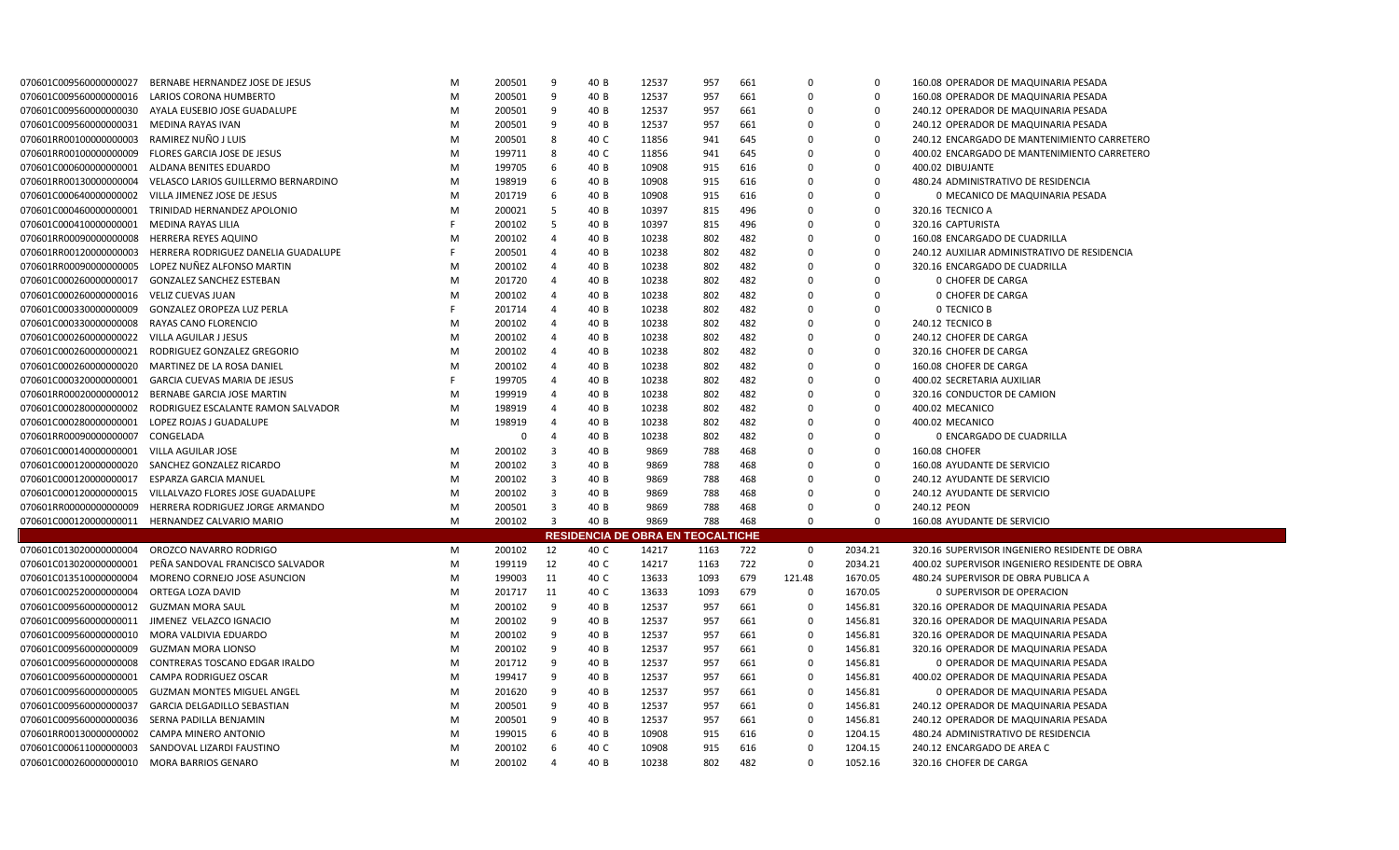| 070601C009560000000027                        | BERNABE HERNANDEZ JOSE DE JESUS                   | M | 200501      | -9                      | 40 B | 12537                                    | 957  | 661 | $\Omega$    | $\mathbf 0$ | 160.08 OPERADOR DE MAQUINARIA PESADA          |
|-----------------------------------------------|---------------------------------------------------|---|-------------|-------------------------|------|------------------------------------------|------|-----|-------------|-------------|-----------------------------------------------|
| 070601C0095600000000016                       | LARIOS CORONA HUMBERTO                            | M | 200501      | 9                       | 40 B | 12537                                    | 957  | 661 | $\mathbf 0$ | $\mathbf 0$ | 160.08 OPERADOR DE MAQUINARIA PESADA          |
| 070601C009560000000030                        | AYALA EUSEBIO JOSE GUADALUPE                      | M | 200501      | 9                       | 40 B | 12537                                    | 957  | 661 | 0           | $\mathbf 0$ | 240.12 OPERADOR DE MAQUINARIA PESADA          |
| 070601C009560000000031                        | MEDINA RAYAS IVAN                                 | M | 200501      | 9                       | 40 B | 12537                                    | 957  | 661 | 0           | $\mathbf 0$ | 240.12 OPERADOR DE MAQUINARIA PESADA          |
| 070601RR00100000000003                        | RAMIREZ NUÑO J LUIS                               | M | 200501      | 8                       | 40 C | 11856                                    | 941  | 645 | 0           | $\Omega$    | 240.12 ENCARGADO DE MANTENIMIENTO CARRETERO   |
| 070601RR00100000000009                        | <b>FLORES GARCIA JOSE DE JESUS</b>                | M | 199711      | 8                       | 40 C | 11856                                    | 941  | 645 | $\Omega$    | $\mathbf 0$ | 400.02 ENCARGADO DE MANTENIMIENTO CARRETERO   |
| 070601C000600000000001                        | ALDANA BENITES EDUARDO                            | M | 199705      | 6                       | 40 B | 10908                                    | 915  | 616 | $\Omega$    | 0           | 400.02 DIBUJANTE                              |
| 070601RR00130000000004                        | VELASCO LARIOS GUILLERMO BERNARDINO               | M | 198919      | 6                       | 40 B | 10908                                    | 915  | 616 | $\Omega$    | $\Omega$    | 480.24 ADMINISTRATIVO DE RESIDENCIA           |
| 070601C000640000000002                        | VILLA JIMENEZ JOSE DE JESUS                       | M | 201719      | 6                       | 40 B | 10908                                    | 915  | 616 | 0           | $\Omega$    | 0 MECANICO DE MAQUINARIA PESADA               |
| 070601C000460000000001                        | TRINIDAD HERNANDEZ APOLONIO                       | M | 200021      | - 5                     | 40 B | 10397                                    | 815  | 496 | $\Omega$    | $\Omega$    | 320.16 TECNICO A                              |
| 070601C000410000000001                        | MEDINA RAYAS LILIA                                | F | 200102      | -5                      | 40 B | 10397                                    | 815  | 496 | O           | 0           | 320.16 CAPTURISTA                             |
| 070601RR00090000000008                        | HERRERA REYES AQUINO                              | M | 200102      | $\overline{4}$          | 40 B | 10238                                    | 802  | 482 | $\Omega$    | $\Omega$    | 160.08 ENCARGADO DE CUADRILLA                 |
| 070601RR00120000000003                        | HERRERA RODRIGUEZ DANELIA GUADALUPE               | F | 200501      | $\overline{4}$          | 40 B | 10238                                    | 802  | 482 | $\Omega$    | 0           | 240.12 AUXILIAR ADMINISTRATIVO DE RESIDENCIA  |
|                                               | 070601RR00090000000005 LOPEZ NUÑEZ ALFONSO MARTIN | M | 200102      | $\overline{4}$          | 40 B | 10238                                    | 802  | 482 | $\Omega$    | $\Omega$    | 320.16 ENCARGADO DE CUADRILLA                 |
|                                               | 070601C000260000000017 GONZALEZ SANCHEZ ESTEBAN   | M | 201720      | $\overline{4}$          | 40 B | 10238                                    | 802  | 482 | $\Omega$    | 0           | <b>0 CHOFER DE CARGA</b>                      |
| 070601C000260000000016 VELIZ CUEVAS JUAN      |                                                   | M | 200102      | $\overline{4}$          | 40 B | 10238                                    | 802  | 482 | $\mathbf 0$ | 0           | <b>0 CHOFER DE CARGA</b>                      |
| 070601C000330000000009                        | <b>GONZALEZ OROPEZA LUZ PERLA</b>                 | F | 201714      | $\overline{4}$          | 40 B | 10238                                    | 802  | 482 | 0           | 0           | <b>0 TECNICO B</b>                            |
| 070601C000330000000008                        | RAYAS CANO FLORENCIO                              | M | 200102      | $\overline{4}$          | 40 B | 10238                                    | 802  | 482 | $\mathbf 0$ | 0           | 240.12 TECNICO B                              |
| 070601C000260000000022                        | VILLA AGUILAR J JESUS                             | M | 200102      | $\overline{4}$          | 40 B | 10238                                    | 802  | 482 | 0           | $\mathbf 0$ | 240.12 CHOFER DE CARGA                        |
| 070601C000260000000021                        | RODRIGUEZ GONZALEZ GREGORIO                       | M | 200102      | $\overline{4}$          | 40 B | 10238                                    | 802  | 482 | 0           | $\Omega$    | 320.16 CHOFER DE CARGA                        |
| 070601C000260000000020                        | MARTINEZ DE LA ROSA DANIEL                        | M | 200102      | $\overline{4}$          | 40 B | 10238                                    | 802  | 482 | 0           | 0           | 160.08 CHOFER DE CARGA                        |
| 070601C000320000000001                        | <b>GARCIA CUEVAS MARIA DE JESUS</b>               | F | 199705      | $\overline{4}$          | 40 B | 10238                                    | 802  | 482 | 0           | $\mathbf 0$ | 400.02 SECRETARIA AUXILIAR                    |
| 070601RR000200000000012                       | BERNABE GARCIA JOSE MARTIN                        | M | 199919      | $\overline{4}$          | 40 B | 10238                                    | 802  | 482 | 0           | 0           | 320.16 CONDUCTOR DE CAMION                    |
| 070601C000280000000002                        | RODRIGUEZ ESCALANTE RAMON SALVADOR                | M | 198919      | $\overline{4}$          | 40 B | 10238                                    | 802  | 482 | $\Omega$    | 0           | 400.02 MECANICO                               |
| 070601C000280000000001                        | LOPEZ ROJAS J GUADALUPE                           | M | 198919      | $\overline{4}$          | 40 B | 10238                                    | 802  | 482 | 0           | 0           | 400.02 MECANICO                               |
| 070601RR00090000000007                        | CONGELADA                                         |   | $\mathbf 0$ | $\overline{4}$          | 40 B | 10238                                    | 802  | 482 | $\Omega$    | 0           | 0 ENCARGADO DE CUADRILLA                      |
| 070601C000140000000001                        | VILLA AGUILAR JOSE                                | M | 200102      | - 3                     | 40 B | 9869                                     | 788  | 468 | $\Omega$    | 0           | 160.08 CHOFER                                 |
| 070601C000120000000020                        | SANCHEZ GONZALEZ RICARDO                          | M | 200102      | $\overline{3}$          | 40 B | 9869                                     | 788  | 468 | $\Omega$    | $\Omega$    | 160.08 AYUDANTE DE SERVICIO                   |
| 070601C000120000000017                        | ESPARZA GARCIA MANUEL                             | M | 200102      | 3                       | 40 B | 9869                                     | 788  | 468 | 0           | $\mathbf 0$ | 240.12 AYUDANTE DE SERVICIO                   |
| 070601C000120000000015                        | VILLALVAZO FLORES JOSE GUADALUPE                  | M | 200102      | $\overline{\mathbf{3}}$ | 40 B | 9869                                     | 788  | 468 | 0           | $\mathbf 0$ | 240.12 AYUDANTE DE SERVICIO                   |
| 070601RR00000000000009                        | HERRERA RODRIGUEZ JORGE ARMANDO                   | M | 200501      | $\overline{3}$          | 40 B | 9869                                     | 788  | 468 | 0           | $\mathbf 0$ | 240.12 PEON                                   |
|                                               | 070601C000120000000011 HERNANDEZ CALVARIO MARIO   | M | 200102      | $\overline{\mathbf{3}}$ | 40 B | 9869                                     | 788  | 468 | 0           | $\mathbf 0$ | 160.08 AYUDANTE DE SERVICIO                   |
|                                               |                                                   |   |             |                         |      | <b>RESIDENCIA DE OBRA EN TEOCALTICHE</b> |      |     |             |             |                                               |
| 070601C013020000000004                        | OROZCO NAVARRO RODRIGO                            | M | 200102      | 12                      | 40 C | 14217                                    | 1163 | 722 | $\mathbf 0$ | 2034.21     | 320.16 SUPERVISOR INGENIERO RESIDENTE DE OBRA |
| 070601C013020000000001                        | PEÑA SANDOVAL FRANCISCO SALVADOR                  | M | 199119      | 12                      | 40 C | 14217                                    | 1163 | 722 | $\mathbf 0$ | 2034.21     | 400.02 SUPERVISOR INGENIERO RESIDENTE DE OBRA |
| 070601C013510000000004                        | MORENO CORNEJO JOSE ASUNCION                      | M | 199003      | 11                      | 40 C | 13633                                    | 1093 | 679 | 121.48      | 1670.05     | 480.24 SUPERVISOR DE OBRA PUBLICA A           |
| 070601C002520000000004                        | ORTEGA LOZA DAVID                                 | M | 201717      | 11                      | 40 C | 13633                                    | 1093 | 679 | $\mathbf 0$ | 1670.05     | 0 SUPERVISOR DE OPERACION                     |
| 070601C0095600000000012                       | <b>GUZMAN MORA SAUL</b>                           | M | 200102      | 9                       | 40 B | 12537                                    | 957  | 661 | 0           | 1456.81     | 320.16 OPERADOR DE MAQUINARIA PESADA          |
| 070601C009560000000011                        | JIMENEZ VELAZCO IGNACIO                           | M | 200102      | 9                       | 40 B | 12537                                    | 957  | 661 | $\mathbf 0$ | 1456.81     | 320.16 OPERADOR DE MAQUINARIA PESADA          |
| 070601C0095600000000010                       | MORA VALDIVIA EDUARDO                             | M | 200102      | 9                       | 40 B | 12537                                    | 957  | 661 | $\Omega$    | 1456.81     | 320.16 OPERADOR DE MAQUINARIA PESADA          |
| 070601C009560000000009 GUZMAN MORA LIONSO     |                                                   | M | 200102      | -9                      | 40 B | 12537                                    | 957  | 661 | $\mathbf 0$ | 1456.81     | 320.16 OPERADOR DE MAQUINARIA PESADA          |
| 070601C009560000000008                        | CONTRERAS TOSCANO EDGAR IRALDO                    | M | 201712      | 9                       | 40 B | 12537                                    | 957  | 661 | $\mathbf 0$ | 1456.81     | 0 OPERADOR DE MAQUINARIA PESADA               |
| 070601C0095600000000001 CAMPA RODRIGUEZ OSCAR |                                                   | M | 199417      | 9                       | 40 B | 12537                                    | 957  | 661 | $\mathbf 0$ | 1456.81     | 400.02 OPERADOR DE MAQUINARIA PESADA          |
| 070601C009560000000005                        | GUZMAN MONTES MIGUEL ANGEL                        | M | 201620      | 9                       | 40 B | 12537                                    | 957  | 661 | 0           | 1456.81     | 0 OPERADOR DE MAQUINARIA PESADA               |
| 070601C009560000000037                        | <b>GARCIA DELGADILLO SEBASTIAN</b>                | M | 200501      | 9                       | 40 B | 12537                                    | 957  | 661 | $\mathbf 0$ | 1456.81     | 240.12 OPERADOR DE MAQUINARIA PESADA          |
| 070601C009560000000036 SERNA PADILLA BENJAMIN |                                                   | M | 200501      | 9                       | 40 B | 12537                                    | 957  | 661 | 0           | 1456.81     | 240.12 OPERADOR DE MAQUINARIA PESADA          |
| 070601RR00130000000002                        | CAMPA MINERO ANTONIO                              | M | 199015      | 6                       | 40 B | 10908                                    | 915  | 616 | $\mathbf 0$ | 1204.15     | 480.24 ADMINISTRATIVO DE RESIDENCIA           |
| 070601C000611000000003                        | SANDOVAL LIZARDI FAUSTINO                         | M | 200102      | 6                       | 40 C | 10908                                    | 915  | 616 | $\mathbf 0$ | 1204.15     | 240.12 ENCARGADO DE AREA C                    |
| 070601C000260000000010 MORA BARRIOS GENARO    |                                                   | M | 200102      | $\overline{4}$          | 40 B | 10238                                    | 802  | 482 | $\mathbf 0$ | 1052.16     | 320.16 CHOFER DE CARGA                        |
|                                               |                                                   |   |             |                         |      |                                          |      |     |             |             |                                               |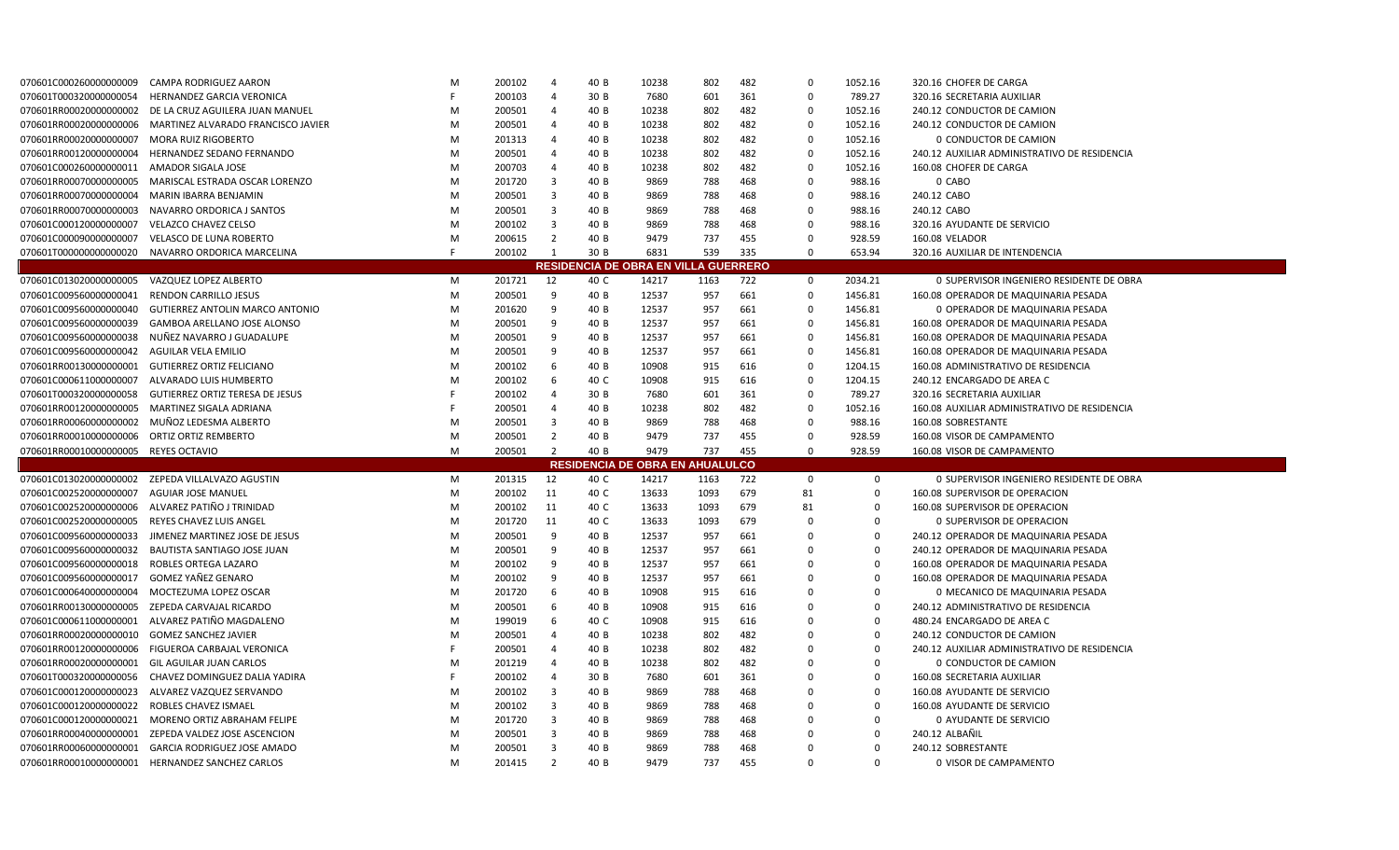| 070601C000260000000009               | CAMPA RODRIGUEZ AARON                                                                 | M      | 200102 | 4                   | 40 B | 10238                                       | 802        | 482 | $\mathbf 0$    | 1052.16                 | 320.16 CHOFER DE CARGA                       |
|--------------------------------------|---------------------------------------------------------------------------------------|--------|--------|---------------------|------|---------------------------------------------|------------|-----|----------------|-------------------------|----------------------------------------------|
| 070601T000320000000054               | HERNANDEZ GARCIA VERONICA                                                             | F      | 200103 | $\overline{4}$      | 30 B | 7680                                        | 601        | 361 | $\mathbf 0$    | 789.27                  | 320.16 SECRETARIA AUXILIAR                   |
| 070601RR00020000000002               | DE LA CRUZ AGUILERA JUAN MANUEL                                                       | M      | 200501 | $\overline{4}$      | 40 B | 10238                                       | 802        | 482 | $\overline{0}$ | 1052.16                 | 240.12 CONDUCTOR DE CAMION                   |
| 070601RR00020000000006               | MARTINEZ ALVARADO FRANCISCO JAVIER                                                    | M      | 200501 | 4                   | 40 B | 10238                                       | 802        | 482 | $\Omega$       | 1052.16                 | 240.12 CONDUCTOR DE CAMION                   |
| 070601RR00020000000007               | <b>MORA RUIZ RIGOBERTO</b>                                                            | M      | 201313 | $\overline{a}$      | 40 B | 10238                                       | 802        | 482 | $\mathbf 0$    | 1052.16                 | 0 CONDUCTOR DE CAMION                        |
| 070601RR00120000000004               | HERNANDEZ SEDANO FERNANDO                                                             | M      | 200501 | $\overline{a}$      | 40 B | 10238                                       | 802        | 482 | 0              | 1052.16                 | 240.12 AUXILIAR ADMINISTRATIVO DE RESIDENCIA |
| 070601C000260000000011               | AMADOR SIGALA JOSE                                                                    | M      | 200703 | $\overline{4}$      | 40 B | 10238                                       | 802        | 482 | $\mathbf 0$    | 1052.16                 | 160.08 CHOFER DE CARGA                       |
| 070601RR00070000000005               | MARISCAL ESTRADA OSCAR LORENZO                                                        | M      | 201720 | $\overline{3}$      | 40 B | 9869                                        | 788        | 468 | $\mathbf 0$    | 988.16                  | 0 CABO                                       |
| 070601RR00070000000004               | MARIN IBARRA BENJAMIN                                                                 | M      | 200501 | $\overline{3}$      | 40 B | 9869                                        | 788        | 468 | $\mathbf 0$    | 988.16                  | 240.12 CABO                                  |
| 070601RR00070000000003               | NAVARRO ORDORICA J SANTOS                                                             | M      | 200501 | $\overline{3}$      | 40 B | 9869                                        | 788        | 468 | $\mathbf 0$    | 988.16                  | 240.12 CABO                                  |
| 070601C000120000000007               | <b>VELAZCO CHAVEZ CELSO</b>                                                           | M      | 200102 | $\overline{3}$      | 40 B | 9869                                        | 788        | 468 | $\mathbf 0$    | 988.16                  | 320.16 AYUDANTE DE SERVICIO                  |
| 070601C000090000000007               | <b>VELASCO DE LUNA ROBERTO</b>                                                        | M      | 200615 | 2                   | 40 B | 9479                                        | 737        | 455 | $\mathbf 0$    | 928.59                  | 160.08 VELADOR                               |
| 070601T000000000000020               | NAVARRO ORDORICA MARCELINA                                                            | F      | 200102 | - 1                 | 30 B | 6831                                        | 539        | 335 | $\mathbf 0$    | 653.94                  | 320.16 AUXILIAR DE INTENDENCIA               |
|                                      |                                                                                       |        |        |                     |      | <b>RESIDENCIA DE OBRA EN VILLA GUERRERO</b> |            |     |                |                         |                                              |
| 070601C013020000000005               | VAZQUEZ LOPEZ ALBERTO                                                                 | M      | 201721 | 12                  | 40 C | 14217                                       | 1163       | 722 | $\mathbf 0$    | 2034.21                 | 0 SUPERVISOR INGENIERO RESIDENTE DE OBRA     |
| 070601C009560000000041               | <b>RENDON CARRILLO JESUS</b>                                                          | M      | 200501 | 9                   | 40 B | 12537                                       | 957        | 661 | $\mathbf 0$    | 1456.81                 | 160.08 OPERADOR DE MAQUINARIA PESADA         |
| 070601C009560000000040               | <b>GUTIERREZ ANTOLIN MARCO ANTONIO</b>                                                | M      | 201620 | 9                   | 40 B | 12537                                       | 957        | 661 | $\overline{0}$ | 1456.81                 | 0 OPERADOR DE MAQUINARIA PESADA              |
| 070601C009560000000039               | <b>GAMBOA ARELLANO JOSE ALONSO</b>                                                    | M      | 200501 | 9                   | 40 B | 12537                                       | 957        | 661 | $\mathbf 0$    | 1456.81                 | 160.08 OPERADOR DE MAQUINARIA PESADA         |
| 070601C009560000000038               | NUÑEZ NAVARRO J GUADALUPE                                                             | M      | 200501 | 9                   | 40 B | 12537                                       | 957        | 661 | $\overline{0}$ | 1456.81                 | 160.08 OPERADOR DE MAQUINARIA PESADA         |
| 070601C009560000000042               | AGUILAR VELA EMILIO                                                                   | M      | 200501 | 9                   | 40 B | 12537                                       | 957        | 661 | $\mathbf 0$    | 1456.81                 | 160.08 OPERADOR DE MAQUINARIA PESADA         |
| 070601RR00130000000001               | <b>GUTIERREZ ORTIZ FELICIANO</b>                                                      | M      | 200102 | 6                   | 40 B | 10908                                       | 915        | 616 | $\overline{0}$ | 1204.15                 | 160.08 ADMINISTRATIVO DE RESIDENCIA          |
| 070601C000611000000007               | ALVARADO LUIS HUMBERTO                                                                | M      | 200102 | 6                   | 40 C | 10908                                       | 915        | 616 | $\mathbf 0$    | 1204.15                 | 240.12 ENCARGADO DE AREA C                   |
| 070601T0003200000000058              | <b>GUTIERREZ ORTIZ TERESA DE JESUS</b>                                                | F      | 200102 | $\overline{a}$      | 30 B | 7680                                        | 601        | 361 | $\overline{0}$ | 789.27                  | 320.16 SECRETARIA AUXILIAR                   |
| 070601RR00120000000005               | MARTINEZ SIGALA ADRIANA                                                               | F      | 200501 | $\overline{4}$      | 40 B | 10238                                       | 802        | 482 | $\Omega$       | 1052.16                 | 160.08 AUXILIAR ADMINISTRATIVO DE RESIDENCIA |
|                                      |                                                                                       |        |        | $\overline{3}$      |      |                                             |            |     | $\overline{0}$ | 988.16                  |                                              |
| 070601RR00060000000002               | MUÑOZ LEDESMA ALBERTO                                                                 | M      | 200501 |                     | 40 B | 9869                                        | 788        | 468 |                |                         | 160.08 SOBRESTANTE                           |
| 070601RR00010000000006               | <b>ORTIZ ORTIZ REMBERTO</b>                                                           | M      | 200501 | $\overline{2}$      | 40 B | 9479                                        | 737        | 455 | $\overline{0}$ | 928.59                  | 160.08 VISOR DE CAMPAMENTO                   |
| 070601RR00010000000005 REYES OCTAVIO |                                                                                       | M      | 200501 | $\overline{2}$      | 40 B | 9479                                        | 737        | 455 | $\Omega$       | 928.59                  | 160.08 VISOR DE CAMPAMENTO                   |
|                                      |                                                                                       |        |        |                     |      | <b>RESIDENCIA DE OBRA EN AHUALULCO</b>      |            |     |                |                         |                                              |
| 070601C013020000000002               | ZEPEDA VILLALVAZO AGUSTIN                                                             | M      | 201315 | 12                  | 40 C | 14217                                       | 1163       | 722 | 0              | 0                       | 0 SUPERVISOR INGENIERO RESIDENTE DE OBRA     |
| 070601C002520000000007               | <b>AGUIAR JOSE MANUEL</b>                                                             | M      | 200102 | 11                  | 40 C | 13633                                       | 1093       | 679 | 81             | $\Omega$                | 160.08 SUPERVISOR DE OPERACION               |
| 070601C002520000000006               | ALVAREZ PATIÑO J TRINIDAD                                                             | M      | 200102 | 11                  | 40 C | 13633                                       | 1093       | 679 | 81             | $\Omega$                | 160.08 SUPERVISOR DE OPERACION               |
| 070601C002520000000005               | REYES CHAVEZ LUIS ANGEL                                                               | M      | 201720 | 11                  | 40 C | 13633                                       | 1093       | 679 | 0              | 0                       | 0 SUPERVISOR DE OPERACION                    |
| 070601C009560000000033               | JIMENEZ MARTINEZ JOSE DE JESUS                                                        | M      | 200501 | 9                   | 40 B | 12537                                       | 957        | 661 | $\overline{0}$ | $\mathbf 0$             | 240.12 OPERADOR DE MAQUINARIA PESADA         |
| 070601C009560000000032               | BAUTISTA SANTIAGO JOSE JUAN                                                           | M      | 200501 | 9                   | 40 B | 12537                                       | 957        | 661 | 0              | $\mathbf 0$             | 240.12 OPERADOR DE MAQUINARIA PESADA         |
| 070601C0095600000000018              | ROBLES ORTEGA LAZARO                                                                  | M      | 200102 | 9                   | 40 B | 12537                                       | 957        | 661 | $\overline{0}$ | $\mathbf 0$             | 160.08 OPERADOR DE MAQUINARIA PESADA         |
| 070601C009560000000017               | GOMEZ YAÑEZ GENARO                                                                    | M      | 200102 | 9                   | 40 B | 12537                                       | 957        | 661 | $\Omega$       | $\Omega$                | 160.08 OPERADOR DE MAQUINARIA PESADA         |
| 070601C000640000000004               | MOCTEZUMA LOPEZ OSCAR                                                                 | M      | 201720 | 6                   | 40 B | 10908                                       | 915        | 616 | $\Omega$       | $\Omega$                | 0 MECANICO DE MAQUINARIA PESADA              |
| 070601RR00130000000005               | ZEPEDA CARVAJAL RICARDO                                                               | M      | 200501 | 6                   | 40 B | 10908                                       | 915        | 616 | 0              | 0                       | 240.12 ADMINISTRATIVO DE RESIDENCIA          |
| 070601C000611000000001               | ALVAREZ PATIÑO MAGDALENO                                                              | M      | 199019 | 6                   | 40 C | 10908                                       | 915        | 616 | $\Omega$       | $\Omega$                | 480.24 ENCARGADO DE AREA C                   |
| 070601RR00020000000010               | <b>GOMEZ SANCHEZ JAVIER</b>                                                           | M      | 200501 | 4                   | 40 B | 10238                                       | 802        | 482 | 0              | $\mathbf 0$             | 240.12 CONDUCTOR DE CAMION                   |
| 070601RR00120000000006               | FIGUEROA CARBAJAL VERONICA                                                            | F      | 200501 | $\overline{4}$      | 40 B | 10238                                       | 802        | 482 | $\mathbf 0$    | $\mathbf 0$             | 240.12 AUXILIAR ADMINISTRATIVO DE RESIDENCIA |
| 070601RR00020000000001               | GIL AGUILAR JUAN CARLOS                                                               | M      | 201219 | $\overline{4}$      | 40 B | 10238                                       | 802        | 482 | 0              | $\mathbf 0$             | 0 CONDUCTOR DE CAMION                        |
| 070601T0003200000000056              | CHAVEZ DOMINGUEZ DALIA YADIRA                                                         | F      | 200102 | 4                   | 30 B | 7680                                        | 601        | 361 | $\Omega$       | $\Omega$                | 160.08 SECRETARIA AUXILIAR                   |
| 070601C000120000000023               | ALVAREZ VAZQUEZ SERVANDO                                                              | M      | 200102 | $\overline{3}$      | 40 B | 9869                                        | 788        | 468 | $\Omega$       | $\Omega$                | 160.08 AYUDANTE DE SERVICIO                  |
| 070601C000120000000022               | ROBLES CHAVEZ ISMAEL                                                                  | M      | 200102 | $\overline{3}$      | 40 B | 9869                                        | 788        | 468 | $\mathbf 0$    | $\Omega$                | 160.08 AYUDANTE DE SERVICIO                  |
| 070601C000120000000021               | MORENO ORTIZ ABRAHAM FELIPE                                                           | M      | 201720 | $\overline{3}$      | 40 B | 9869                                        | 788        | 468 | $\Omega$       | $\Omega$                | <b>0 AYUDANTE DE SERVICIO</b>                |
| 070601RR00040000000001               | ZEPEDA VALDEZ JOSE ASCENCION                                                          | M      | 200501 | $\overline{3}$      | 40 B | 9869                                        | 788        | 468 | $\Omega$       | $\Omega$                | 240.12 ALBAÑIL                               |
| 070601RR00060000000001               | <b>GARCIA RODRIGUEZ JOSE AMADO</b><br>070601RR00010000000001 HERNANDEZ SANCHEZ CARLOS | M<br>M | 200501 | 3<br>$\overline{2}$ | 40 B | 9869<br>9479                                | 788<br>737 | 468 | $\Omega$       | $\mathbf 0$<br>$\Omega$ | 240.12 SOBRESTANTE                           |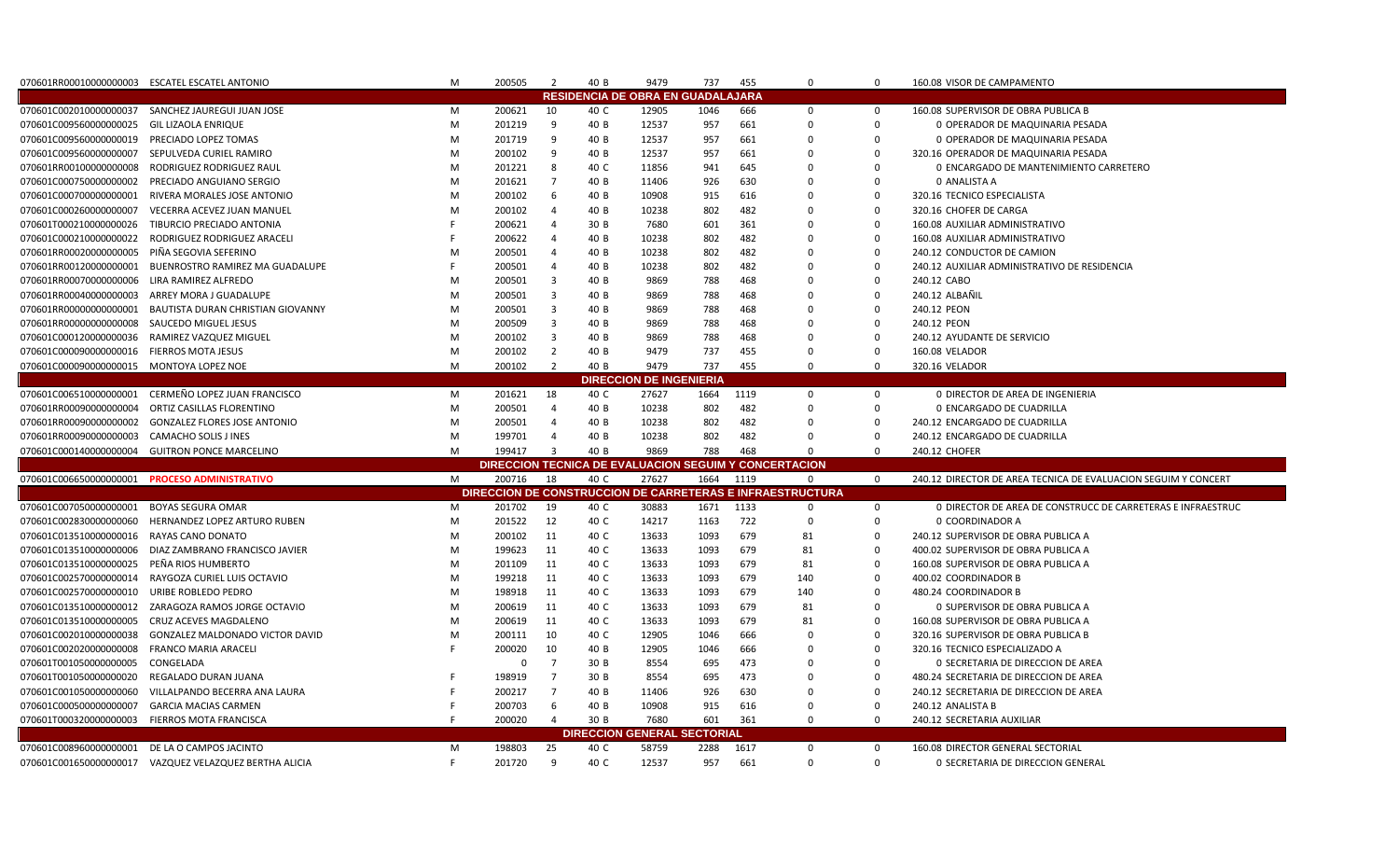| 070601RR00010000000003 ESCATEL ESCATEL ANTONIO |                                                        | M  | 200505 | $\overline{2}$ | 40 B | 9479                                                  | 737  | 455  | $\mathbf 0$                                               | $\Omega$    | 160.08 VISOR DE CAMPAMENTO                                     |
|------------------------------------------------|--------------------------------------------------------|----|--------|----------------|------|-------------------------------------------------------|------|------|-----------------------------------------------------------|-------------|----------------------------------------------------------------|
|                                                |                                                        |    |        |                |      | <b>RESIDENCIA DE OBRA EN GUADALAJARA</b>              |      |      |                                                           |             |                                                                |
|                                                | 070601C002010000000037 SANCHEZ JAUREGUI JUAN JOSE      | м  | 200621 | 10             | 40 C | 12905                                                 | 1046 | 666  | $\mathbf 0$                                               | $\mathbf 0$ | 160.08 SUPERVISOR DE OBRA PUBLICA B                            |
| 070601C009560000000025                         | <b>GIL LIZAOLA ENRIQUE</b>                             | M  | 201219 | q              | 40 B | 12537                                                 | 957  | 661  | $\mathbf 0$                                               | 0           | 0 OPERADOR DE MAQUINARIA PESADA                                |
| 070601C0095600000000019                        | PRECIADO LOPEZ TOMAS                                   | M  | 201719 | q              | 40 B | 12537                                                 | 957  | 661  | $\Omega$                                                  | $\Omega$    | 0 OPERADOR DE MAQUINARIA PESADA                                |
| 070601C009560000000007                         | SEPULVEDA CURIEL RAMIRO                                | M  | 200102 | 9              | 40 B | 12537                                                 | 957  | 661  | $\Omega$                                                  | $\Omega$    | 320.16 OPERADOR DE MAQUINARIA PESADA                           |
| 070601RR00100000000008                         | RODRIGUEZ RODRIGUEZ RAUL                               | M  | 201221 | 8              | 40 C | 11856                                                 | 941  | 645  | $\Omega$                                                  | $\Omega$    | 0 ENCARGADO DE MANTENIMIENTO CARRETERO                         |
| 070601C000750000000002                         | PRECIADO ANGUIANO SERGIO                               | M  | 201621 | $\overline{7}$ | 40 B | 11406                                                 | 926  | 630  | 0                                                         | $\mathbf 0$ | 0 ANALISTA A                                                   |
| 070601C000700000000001                         | RIVERA MORALES JOSE ANTONIO                            | M  | 200102 | -6             | 40 B | 10908                                                 | 915  | 616  | $\Omega$                                                  | $\Omega$    | 320.16 TECNICO ESPECIALISTA                                    |
| 070601C000260000000007                         | VECERRA ACEVEZ JUAN MANUEL                             | M  | 200102 | $\overline{a}$ | 40 B | 10238                                                 | 802  | 482  | $\Omega$                                                  | $\Omega$    | 320.16 CHOFER DE CARGA                                         |
| 070601T000210000000026                         | TIBURCIO PRECIADO ANTONIA                              |    | 200621 | $\overline{4}$ | 30 B | 7680                                                  | 601  | 361  | $\Omega$                                                  | $\Omega$    | 160.08 AUXILIAR ADMINISTRATIVO                                 |
| 070601C000210000000022                         | RODRIGUEZ RODRIGUEZ ARACELI                            |    | 200622 | -4             | 40 B | 10238                                                 | 802  | 482  | $\mathbf 0$                                               | $\Omega$    | 160.08 AUXILIAR ADMINISTRATIVO                                 |
| 070601RR00020000000005                         | PIÑA SEGOVIA SEFERINO                                  | м  | 200501 | $\overline{a}$ | 40 B | 10238                                                 | 802  | 482  | 0                                                         | $\Omega$    | 240.12 CONDUCTOR DE CAMION                                     |
| 070601RR00120000000001                         | BUENROSTRO RAMIREZ MA GUADALUPE                        |    | 200501 | $\overline{a}$ | 40 B | 10238                                                 | 802  | 482  | $\Omega$                                                  | $\Omega$    | 240.12 AUXILIAR ADMINISTRATIVO DE RESIDENCIA                   |
| 070601RR00070000000006                         | LIRA RAMIREZ ALFREDO                                   | м  | 200501 | 3              | 40 B | 9869                                                  | 788  | 468  | 0                                                         | $\Omega$    | 240.12 CABO                                                    |
| 070601RR00040000000003                         | ARREY MORA J GUADALUPE                                 | M  | 200501 | 3              | 40 B | 9869                                                  | 788  | 468  | $\Omega$                                                  | $\Omega$    | 240.12 ALBAÑIL                                                 |
| 070601RR00000000000001                         | BAUTISTA DURAN CHRISTIAN GIOVANNY                      | M  | 200501 | 3              | 40 B | 9869                                                  | 788  | 468  | $\Omega$                                                  | $\Omega$    | 240.12 PEON                                                    |
| 070601RR00000000000008                         | SAUCEDO MIGUEL JESUS                                   | M  | 200509 | 3              | 40 B | 9869                                                  | 788  | 468  | $\Omega$                                                  | $\Omega$    | 240.12 PEON                                                    |
| 070601C000120000000036                         | RAMIREZ VAZQUEZ MIGUEL                                 | M  | 200102 | $\overline{3}$ | 40 B | 9869                                                  | 788  | 468  | $\Omega$                                                  | $\Omega$    | 240.12 AYUDANTE DE SERVICIO                                    |
| 070601C0000900000000016 FIERROS MOTA JESUS     |                                                        | M  | 200102 | 2              | 40 B | 9479                                                  | 737  | 455  | $\Omega$                                                  | $\Omega$    | 160.08 VELADOR                                                 |
| 070601C0000900000000015 MONTOYA LOPEZ NOE      |                                                        | M  | 200102 | 2              | 40 B | 9479                                                  | 737  | 455  | $\mathbf 0$                                               | $\Omega$    | 320.16 VELADOR                                                 |
|                                                |                                                        |    |        |                |      | <b>DIRECCION DE INGENIERIA</b>                        |      |      |                                                           |             |                                                                |
| 070601C006510000000001                         | CERMEÑO LOPEZ JUAN FRANCISCO                           | M  | 201621 | 18             | 40 C | 27627                                                 | 1664 | 1119 | $\mathbf 0$                                               | $\Omega$    | 0 DIRECTOR DE AREA DE INGENIERIA                               |
| 070601RR00090000000004                         | ORTIZ CASILLAS FLORENTINO                              | M  | 200501 | $\overline{4}$ | 40 B | 10238                                                 | 802  | 482  | $\Omega$                                                  | $\Omega$    | 0 ENCARGADO DE CUADRILLA                                       |
| 070601RR00090000000002                         | <b>GONZALEZ FLORES JOSE ANTONIO</b>                    | M  | 200501 | $\overline{4}$ | 40 B | 10238                                                 | 802  | 482  | 0                                                         | $\mathbf 0$ | 240.12 ENCARGADO DE CUADRILLA                                  |
| 070601RR00090000000003                         | <b>CAMACHO SOLIS J INES</b>                            | M  | 199701 | $\overline{4}$ | 40 B | 10238                                                 | 802  | 482  | 0                                                         | $\mathbf 0$ | 240.12 ENCARGADO DE CUADRILLA                                  |
|                                                | 070601C000140000000004 GUITRON PONCE MARCELINO         | M  | 199417 | $\mathbf{R}$   | 40 B | 9869                                                  | 788  | 468  | $\Omega$                                                  | $\Omega$    | 240.12 CHOFER                                                  |
|                                                |                                                        |    |        |                |      | DIRECCION TECNICA DE EVALUACION SEGUIM Y CONCERTACION |      |      |                                                           |             |                                                                |
|                                                | 070601C0066500000000001 PROCESO ADMINISTRATIVO         | M  | 200716 | 18             | 40 C | 27627                                                 | 1664 | 1119 | $\mathbf 0$                                               | $\mathbf 0$ | 240.12 DIRECTOR DE AREA TECNICA DE EVALUACION SEGUIM Y CONCERT |
|                                                |                                                        |    |        |                |      |                                                       |      |      | DIRECCION DE CONSTRUCCION DE CARRETERAS E INFRAESTRUCTURA |             |                                                                |
| 070601C007050000000001                         | <b>BOYAS SEGURA OMAR</b>                               | м  | 201702 | 19             | 40 C | 30883                                                 | 1671 | 1133 | $\mathbf 0$                                               | $\mathbf 0$ | 0 DIRECTOR DE AREA DE CONSTRUCC DE CARRETERAS E INFRAESTRUC    |
| 070601C002830000000060                         | HERNANDEZ LOPEZ ARTURO RUBEN                           | M  | 201522 | 12             | 40 C | 14217                                                 | 1163 | 722  | $\Omega$                                                  | $\Omega$    | 0 COORDINADOR A                                                |
| 070601C013510000000016                         | RAYAS CANO DONATO                                      | M  | 200102 | 11             | 40 C | 13633                                                 | 1093 | 679  | 81                                                        | $\Omega$    | 240.12 SUPERVISOR DE OBRA PUBLICA A                            |
| 070601C013510000000006                         | DIAZ ZAMBRANO FRANCISCO JAVIER                         | M  | 199623 | 11             | 40 C | 13633                                                 | 1093 | 679  | 81                                                        | $\Omega$    | 400.02 SUPERVISOR DE OBRA PUBLICA A                            |
| 070601C013510000000025                         | PEÑA RIOS HUMBERTO                                     | M  | 201109 | 11             | 40 C | 13633                                                 | 1093 | 679  | 81                                                        | $\Omega$    | 160.08 SUPERVISOR DE OBRA PUBLICA A                            |
| 070601C002570000000014                         | RAYGOZA CURIEL LUIS OCTAVIO                            | M  | 199218 | 11             | 40 C | 13633                                                 | 1093 | 679  | 140                                                       | $\Omega$    | 400.02 COORDINADOR B                                           |
| 070601C002570000000010                         | URIBE ROBLEDO PEDRO                                    | M  | 198918 | 11             | 40 C | 13633                                                 | 1093 | 679  | 140                                                       | $\Omega$    | 480.24 COORDINADOR B                                           |
| 070601C013510000000012                         | ZARAGOZA RAMOS JORGE OCTAVIO                           | M  | 200619 | 11             | 40 C | 13633                                                 | 1093 | 679  | 81                                                        | $\mathbf 0$ | 0 SUPERVISOR DE OBRA PUBLICA A                                 |
| 070601C013510000000005                         | CRUZ ACEVES MAGDALENO                                  | M  | 200619 | 11             | 40 C | 13633                                                 | 1093 | 679  | 81                                                        | $\Omega$    | 160.08 SUPERVISOR DE OBRA PUBLICA A                            |
| 070601C002010000000038                         | <b>GONZALEZ MALDONADO VICTOR DAVID</b>                 | M  | 200111 | 10             | 40 C | 12905                                                 | 1046 | 666  | $\Omega$                                                  | $\Omega$    | 320.16 SUPERVISOR DE OBRA PUBLICA B                            |
| 070601C0020200000000008                        | <b>FRANCO MARIA ARACELI</b>                            |    | 200020 | 10             | 40 B | 12905                                                 | 1046 | 666  | $\Omega$                                                  | $\Omega$    | 320.16 TECNICO ESPECIALIZADO A                                 |
| 070601T001050000000005                         | CONGELADA                                              |    | 0      | 7              | 30 B | 8554                                                  | 695  | 473  | 0                                                         | 0           | O SECRETARIA DE DIRECCION DE AREA                              |
| 070601T001050000000020                         | REGALADO DURAN JUANA                                   |    | 198919 | $\overline{7}$ | 30 B | 8554                                                  | 695  | 473  | $\Omega$                                                  | $\Omega$    | 480.24 SECRETARIA DE DIRECCION DE AREA                         |
| 070601C001050000000060                         | VILLALPANDO BECERRA ANA LAURA                          |    | 200217 | $\overline{7}$ | 40 B | 11406                                                 | 926  | 630  | $\Omega$                                                  | $\Omega$    | 240.12 SECRETARIA DE DIRECCION DE AREA                         |
| 070601C000500000000007                         | <b>GARCIA MACIAS CARMEN</b>                            |    | 200703 | 6              | 40 B | 10908                                                 | 915  | 616  | $\Omega$                                                  | $\Omega$    | 240.12 ANALISTA B                                              |
| 070601T000320000000003                         | FIERROS MOTA FRANCISCA                                 |    | 200020 | 4              | 30 B | 7680                                                  | 601  | 361  | $\mathbf 0$                                               | $\Omega$    | 240.12 SECRETARIA AUXILIAR                                     |
|                                                |                                                        |    |        |                |      | <b>DIRECCION GENERAL SECTORIAL</b>                    |      |      |                                                           |             |                                                                |
| 070601C008960000000001                         | DE LA O CAMPOS JACINTO                                 | м  | 198803 | 25             | 40 C | 58759                                                 | 2288 | 1617 | $\mathbf 0$                                               | $\mathbf 0$ | 160.08 DIRECTOR GENERAL SECTORIAL                              |
|                                                | 070601C001650000000017 VAZQUEZ VELAZQUEZ BERTHA ALICIA | F. | 201720 | 9              | 40 C | 12537                                                 | 957  | 661  | $\Omega$                                                  | $\mathbf 0$ | O SECRETARIA DE DIRECCION GENERAL                              |
|                                                |                                                        |    |        |                |      |                                                       |      |      |                                                           |             |                                                                |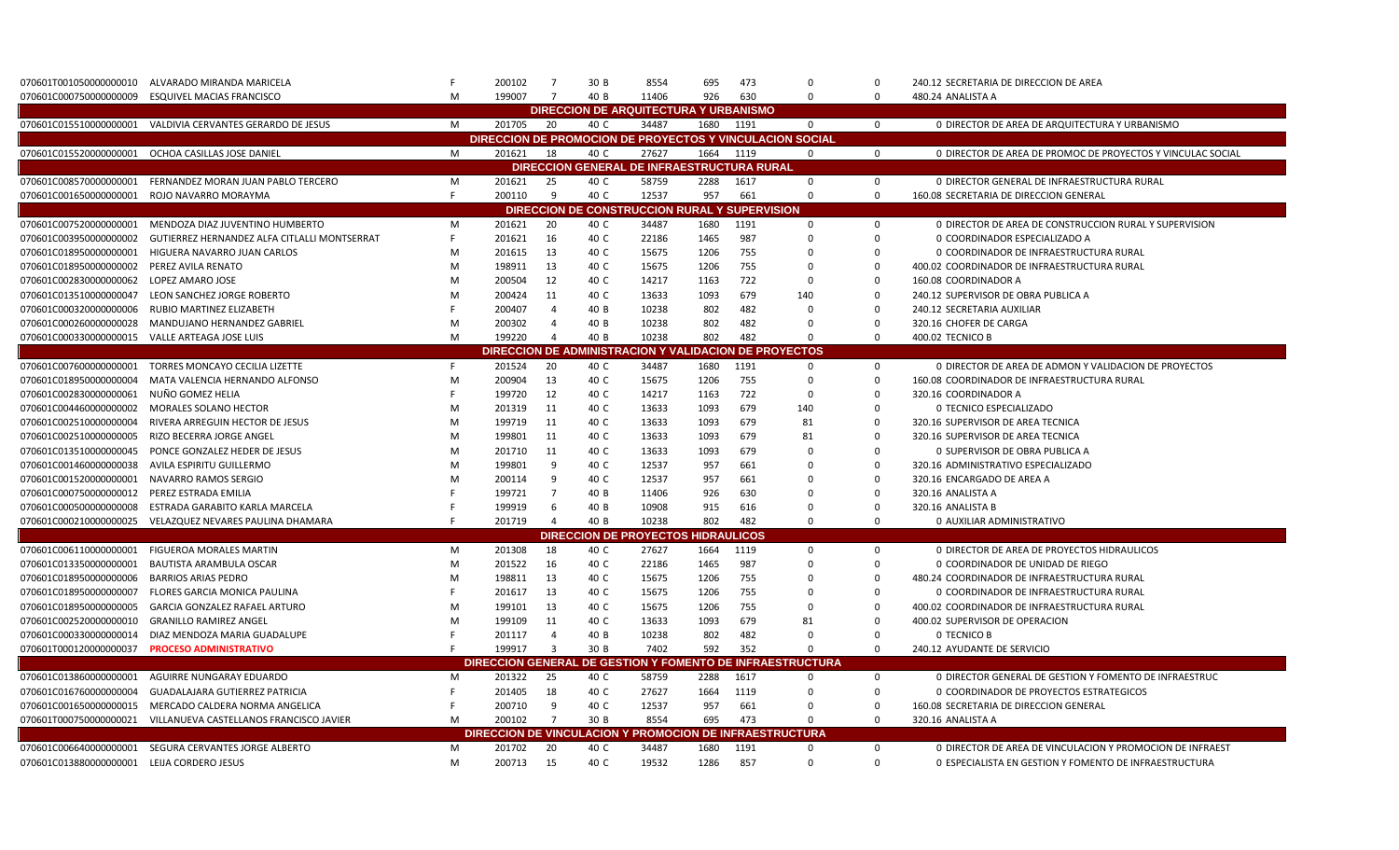| 070601T001050000000010                     | ALVARADO MIRANDA MARICELA                                  |   | 200102                            | $\overline{7}$          | 30 B | 8554                                                  | 695  | 473  | $\Omega$                                                  | $\Omega$    | 240.12 SECRETARIA DE DIRECCION DE AREA                      |
|--------------------------------------------|------------------------------------------------------------|---|-----------------------------------|-------------------------|------|-------------------------------------------------------|------|------|-----------------------------------------------------------|-------------|-------------------------------------------------------------|
| 070601C000750000000009                     | ESQUIVEL MACIAS FRANCISCO                                  | M | 199007                            | $\overline{7}$          | 40 B | 11406                                                 | 926  | 630  | $\Omega$                                                  | $\mathbf 0$ | 480.24 ANALISTA A                                           |
|                                            |                                                            |   |                                   |                         |      | <b>DIRECCION DE ARQUITECTURA Y URBANISMO</b>          |      |      |                                                           |             |                                                             |
|                                            | 070601C015510000000001 VALDIVIA CERVANTES GERARDO DE JESUS | M | 201705                            | 20                      | 40 C | 34487                                                 | 1680 | 1191 | $\mathbf 0$                                               | $\mathbf 0$ | 0 DIRECTOR DE AREA DE ARQUITECTURA Y URBANISMO              |
|                                            |                                                            |   |                                   |                         |      |                                                       |      |      | DIRECCION DE PROMOCION DE PROYECTOS Y VINCULACION SOCIAL  |             |                                                             |
|                                            | 070601C015520000000001 OCHOA CASILLAS JOSE DANIEL          | M | 201621                            | 18                      | 40 C | 27627                                                 | 1664 | 1119 | $\mathbf 0$                                               | $\mathbf 0$ | 0 DIRECTOR DE AREA DE PROMOC DE PROYECTOS Y VINCULAC SOCIAL |
|                                            |                                                            |   |                                   |                         |      | DIRECCION GENERAL DE INFRAESTRUCTURA RURAL            |      |      |                                                           |             |                                                             |
| 070601C008570000000001                     | FERNANDEZ MORAN JUAN PABLO TERCERO                         | M | 201621                            | 25                      | 40 C | 58759                                                 | 2288 | 1617 | $\mathbf 0$                                               | $\mathbf 0$ | O DIRECTOR GENERAL DE INFRAESTRUCTURA RURAL                 |
| 070601C001650000000001                     | ROJO NAVARRO MORAYMA                                       | F | 200110                            | 9                       | 40 C | 12537                                                 | 957  | 661  | $\Omega$                                                  | $\mathbf 0$ | 160.08 SECRETARIA DE DIRECCION GENERAL                      |
|                                            |                                                            |   |                                   |                         |      | DIRECCION DE CONSTRUCCION RURAL Y SUPERVISION         |      |      |                                                           |             |                                                             |
| 070601C007520000000001                     | MENDOZA DIAZ JUVENTINO HUMBERTO                            | M | 201621                            | 20                      | 40 C | 34487                                                 | 1680 | 1191 | 0                                                         | 0           | 0 DIRECTOR DE AREA DE CONSTRUCCION RURAL Y SUPERVISION      |
| 070601C003950000000002                     | GUTIERREZ HERNANDEZ ALFA CITLALLI MONTSERRAT               | F | 201621                            | 16                      | 40 C | 22186                                                 | 1465 | 987  | $\mathbf 0$                                               | $\Omega$    | 0 COORDINADOR ESPECIALIZADO A                               |
| 070601C018950000000001                     | HIGUERA NAVARRO JUAN CARLOS                                | M | 201615                            | 13                      | 40 C | 15675                                                 | 1206 | 755  | $\mathbf 0$                                               | $\mathbf 0$ | 0 COORDINADOR DE INFRAESTRUCTURA RURAL                      |
| 070601C018950000000002                     | PEREZ AVILA RENATO                                         | M | 198911                            | 13                      | 40 C | 15675                                                 | 1206 | 755  | $\mathbf 0$                                               | $\mathbf 0$ | 400.02 COORDINADOR DE INFRAESTRUCTURA RURAL                 |
| 070601C002830000000062                     | LOPEZ AMARO JOSE                                           | M | 200504                            | 12                      | 40 C | 14217                                                 | 1163 | 722  | $\mathbf 0$                                               | $\mathbf 0$ | 160.08 COORDINADOR A                                        |
| 070601C013510000000047                     | LEON SANCHEZ JORGE ROBERTO                                 | M | 200424                            | 11                      | 40 C | 13633                                                 | 1093 | 679  | 140                                                       | $\Omega$    | 240.12 SUPERVISOR DE OBRA PUBLICA A                         |
| 070601C000320000000006                     | RUBIO MARTINEZ ELIZABETH                                   |   | 200407                            | $\overline{4}$          | 40 B | 10238                                                 | 802  | 482  | $\Omega$                                                  | $\mathbf 0$ | 240.12 SECRETARIA AUXILIAR                                  |
| 070601C000260000000028                     | MANDUJANO HERNANDEZ GABRIEL                                | M | 200302                            | $\overline{4}$          | 40 B | 10238                                                 | 802  | 482  | $\Omega$                                                  | $\mathbf 0$ | 320.16 CHOFER DE CARGA                                      |
| 070601C000330000000015                     | VALLE ARTEAGA JOSE LUIS                                    | M | 199220                            | $\overline{a}$          | 40 B | 10238                                                 | 802  | 482  | $\Omega$                                                  | $\mathbf 0$ | 400.02 TECNICO B                                            |
|                                            |                                                            |   |                                   |                         |      | DIRECCION DE ADMINISTRACION Y VALIDACION DE PROYECTOS |      |      |                                                           |             |                                                             |
| 070601C007600000000001                     | TORRES MONCAYO CECILIA LIZETTE                             | F | 201524                            | 20                      | 40 C | 34487                                                 | 1680 | 1191 | $\mathbf 0$                                               | $\mathbf 0$ | 0 DIRECTOR DE AREA DE ADMON Y VALIDACION DE PROYECTOS       |
| 070601C018950000000004                     | MATA VALENCIA HERNANDO ALFONSO                             | M | 200904                            | 13                      | 40 C | 15675                                                 | 1206 | 755  | $\mathbf 0$                                               | $\mathbf 0$ | 160.08 COORDINADOR DE INFRAESTRUCTURA RURAL                 |
| 070601C002830000000061                     | NUÑO GOMEZ HELIA                                           | F | 199720                            | 12                      | 40 C | 14217                                                 | 1163 | 722  | $\mathbf 0$                                               | $\mathbf 0$ | 320.16 COORDINADOR A                                        |
| 070601C004460000000002                     | MORALES SOLANO HECTOR                                      | M | 201319                            | 11                      | 40 C | 13633                                                 | 1093 | 679  | 140                                                       | $\Omega$    | 0 TECNICO ESPECIALIZADO                                     |
| 070601C002510000000004                     | RIVERA ARREGUIN HECTOR DE JESUS                            | M | 199719                            | 11                      | 40 C | 13633                                                 | 1093 | 679  | 81                                                        | $\Omega$    | 320.16 SUPERVISOR DE AREA TECNICA                           |
| 070601C002510000000005                     | RIZO BECERRA JORGE ANGEL                                   | M | 199801                            | 11                      | 40 C | 13633                                                 | 1093 | 679  | 81                                                        | $\Omega$    | 320.16 SUPERVISOR DE AREA TECNICA                           |
| 070601C013510000000045                     | PONCE GONZALEZ HEDER DE JESUS                              | M | 201710                            | 11                      | 40 C | 13633                                                 | 1093 | 679  | $\Omega$                                                  | $\Omega$    | 0 SUPERVISOR DE OBRA PUBLICA A                              |
| 070601C001460000000038                     | AVILA ESPIRITU GUILLERMO                                   | M | 199801                            | -9                      | 40 C | 12537                                                 | 957  | 661  | $\Omega$                                                  | $\mathbf 0$ | 320.16 ADMINISTRATIVO ESPECIALIZADO                         |
| 070601C001520000000001                     | NAVARRO RAMOS SERGIO                                       | M | 200114                            | 9                       | 40 C | 12537                                                 | 957  | 661  | $\Omega$                                                  | $\mathbf 0$ | 320.16 ENCARGADO DE AREA A                                  |
| 070601C000750000000012                     | PEREZ ESTRADA EMILIA                                       | F | 199721                            | $\overline{7}$          | 40 B | 11406                                                 | 926  | 630  | $\mathbf 0$                                               | $\mathsf 0$ | 320.16 ANALISTA A                                           |
| 070601C000500000000008                     | ESTRADA GARABITO KARLA MARCELA                             |   | 199919                            | 6                       | 40 B | 10908                                                 | 915  | 616  | $\mathbf 0$                                               | $\mathbf 0$ | 320.16 ANALISTA B                                           |
|                                            | 070601C000210000000025 VELAZQUEZ NEVARES PAULINA DHAMARA   |   | 201719                            | $\overline{4}$          | 40 B | 10238                                                 | 802  | 482  | $\Omega$                                                  | $\Omega$    | 0 AUXILIAR ADMINISTRATIVO                                   |
|                                            |                                                            |   |                                   |                         |      | <b>DIRECCION DE PROYECTOS HIDRAULICOS</b>             |      |      |                                                           |             |                                                             |
| 070601C006110000000001                     | <b>FIGUEROA MORALES MARTIN</b>                             | M | 201308                            | 18                      | 40 C | 27627                                                 | 1664 | 1119 | 0                                                         | $\mathbf 0$ | O DIRECTOR DE AREA DE PROYECTOS HIDRAULICOS                 |
| 070601C013350000000001                     | BAUTISTA ARAMBULA OSCAR                                    | M | 201522                            | 16                      | 40 C | 22186                                                 | 1465 | 987  | $\Omega$                                                  | $\Omega$    | 0 COORDINADOR DE UNIDAD DE RIEGO                            |
| 070601C018950000000006                     | <b>BARRIOS ARIAS PEDRO</b>                                 | M | 198811                            | 13                      | 40 C | 15675                                                 | 1206 | 755  | 0                                                         | 0           | 480.24 COORDINADOR DE INFRAESTRUCTURA RURAL                 |
| 070601C018950000000007                     | FLORES GARCIA MONICA PAULINA                               |   | 201617                            | 13                      | 40 C | 15675                                                 | 1206 | 755  | $\mathbf 0$                                               | $\mathbf 0$ | 0 COORDINADOR DE INFRAESTRUCTURA RURAL                      |
| 070601C018950000000005                     | GARCIA GONZALEZ RAFAEL ARTURO                              | M | 199101                            | 13                      | 40 C | 15675                                                 | 1206 | 755  | $\mathbf 0$                                               | $\mathbf 0$ | 400.02 COORDINADOR DE INFRAESTRUCTURA RURAL                 |
| 070601C002520000000010                     | <b>GRANILLO RAMIREZ ANGEL</b>                              | M | 199109                            | 11                      | 40 C | 13633                                                 | 1093 | 679  | 81                                                        | $\mathbf 0$ | 400.02 SUPERVISOR DE OPERACION                              |
| 070601C000330000000014                     | DIAZ MENDOZA MARIA GUADALUPE                               |   | 201117                            | $\overline{4}$          | 40 B | 10238                                                 | 802  | 482  | $\mathbf 0$                                               | $\mathbf 0$ | O TECNICO B                                                 |
| 070601T000120000000037                     | <b>PROCESO ADMINISTRATIVO</b>                              |   | 199917                            | $\overline{\mathbf{3}}$ | 30 B | 7402                                                  | 592  | 352  | $\Omega$                                                  | $\mathbf 0$ | 240.12 AYUDANTE DE SERVICIO                                 |
|                                            |                                                            |   |                                   |                         |      |                                                       |      |      | DIRECCION GENERAL DE GESTION Y FOMENTO DE INFRAESTRUCTURA |             |                                                             |
| 070601C013860000000001                     | AGUIRRE NUNGARAY EDUARDO                                   | M | 201322                            | 25                      | 40 C | 58759                                                 | 2288 | 1617 | $\mathbf 0$                                               | 0           | 0 DIRECTOR GENERAL DE GESTION Y FOMENTO DE INFRAESTRUC      |
| 070601C016760000000004                     | GUADALAJARA GUTIERREZ PATRICIA                             |   | 201405                            | 18                      | 40 C | 27627                                                 | 1664 | 1119 | $\Omega$                                                  | $\Omega$    | 0 COORDINADOR DE PROYECTOS ESTRATEGICOS                     |
| 070601C001650000000015                     | MERCADO CALDERA NORMA ANGELICA                             |   | 200710                            | 9                       | 40 C | 12537                                                 | 957  | 661  | $\Omega$                                                  | $\Omega$    | 160.08 SECRETARIA DE DIRECCION GENERAL                      |
| 070601T000750000000021                     | VILLANUEVA CASTELLANOS FRANCISCO JAVIER                    | M | 200102                            | $\overline{7}$          | 30 B | 8554                                                  | 695  | 473  | $\Omega$                                                  | $\mathbf 0$ | 320.16 ANALISTA A                                           |
|                                            |                                                            |   | <b>DIRECCION DE VINCULACION Y</b> |                         |      |                                                       |      |      | <b>PROMOCION DE INFRAESTRUCTURA</b>                       |             |                                                             |
| 070601C006640000000001                     | SEGURA CERVANTES JORGE ALBERTO                             | M | 201702                            | 20                      | 40 C | 34487                                                 | 1680 | 1191 | $\Omega$                                                  | $\mathbf 0$ | 0 DIRECTOR DE AREA DE VINCULACION Y PROMOCION DE INFRAEST   |
| 070601C013880000000001 LEIJA CORDERO JESUS |                                                            | M | 200713                            | 15                      | 40 C | 19532                                                 | 1286 | 857  | $\Omega$                                                  | $\Omega$    | 0 ESPECIALISTA EN GESTION Y FOMENTO DE INFRAESTRUCTURA      |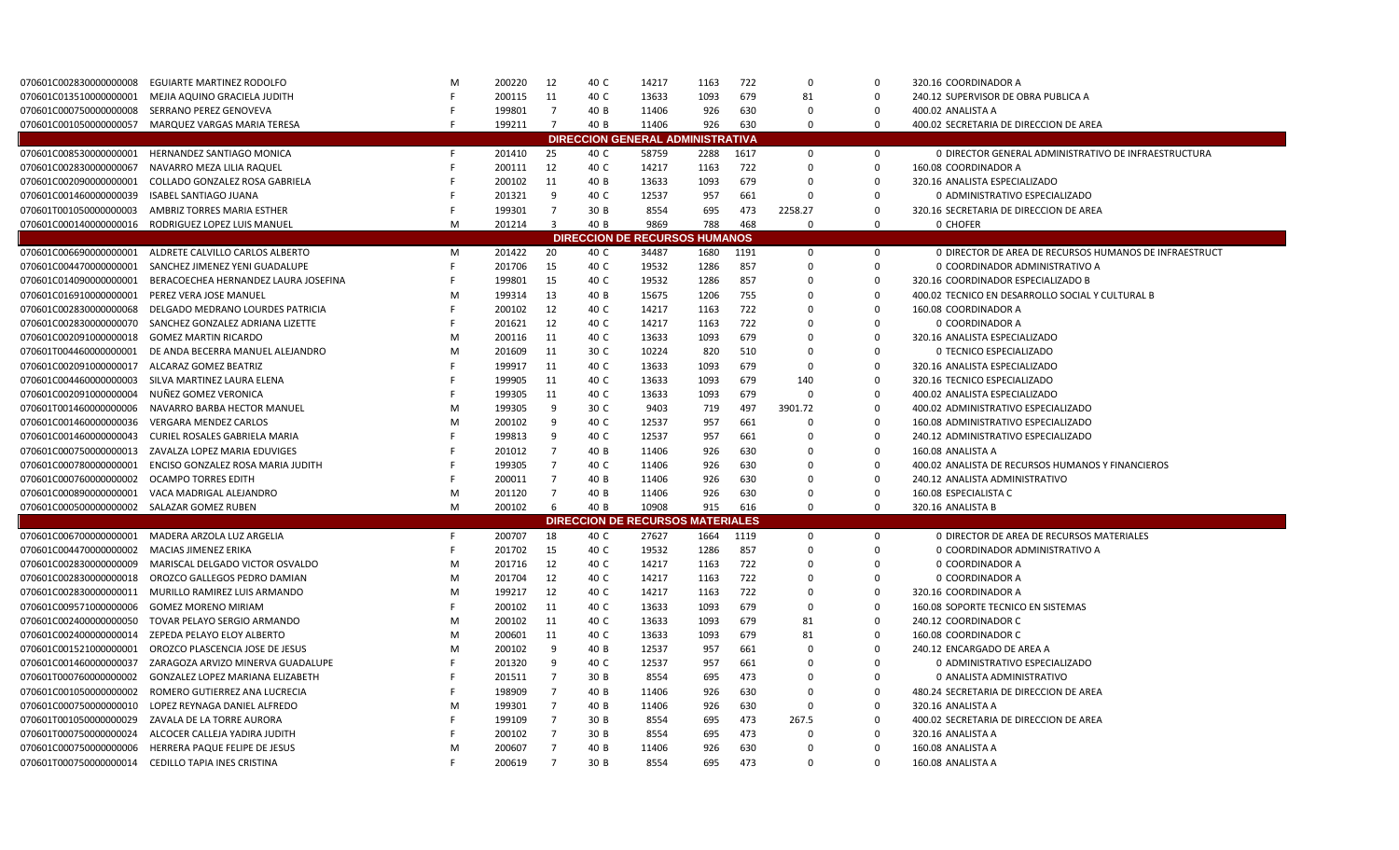| 070601C002830000000008                      | <b>EGUIARTE MARTINEZ RODOLFO</b>                       | M | 200220 | 12                      | 40 C | 14217                                            | 1163 | 722  | $\Omega$             | $\Omega$             | 320.16 COORDINADOR A                                   |
|---------------------------------------------|--------------------------------------------------------|---|--------|-------------------------|------|--------------------------------------------------|------|------|----------------------|----------------------|--------------------------------------------------------|
| 070601C013510000000001                      | MEJIA AQUINO GRACIELA JUDITH                           |   | 200115 | 11                      | 40 C | 13633                                            | 1093 | 679  | 81                   | $\Omega$             | 240.12 SUPERVISOR DE OBRA PUBLICA A                    |
| 070601C000750000000008                      | SERRANO PEREZ GENOVEVA                                 | F | 199801 | $\overline{7}$          | 40 B | 11406                                            | 926  | 630  | $\Omega$             | $\Omega$             | 400.02 ANALISTA A                                      |
| 070601C001050000000057                      | MARQUEZ VARGAS MARIA TERESA                            |   | 199211 | $\overline{7}$          | 40 B | 11406                                            | 926  | 630  | $\Omega$             | $\mathbf 0$          | 400.02 SECRETARIA DE DIRECCION DE AREA                 |
|                                             |                                                        |   |        |                         |      | <b>DIRECCION GENERAL ADMINISTRATIVA</b>          |      |      |                      |                      |                                                        |
| 070601C008530000000001                      | HERNANDEZ SANTIAGO MONICA                              | F | 201410 | 25                      | 40 C | 58759                                            | 2288 | 1617 | 0                    | $\mathbf 0$          | 0 DIRECTOR GENERAL ADMINISTRATIVO DE INFRAESTRUCTURA   |
| 070601C002830000000067                      | NAVARRO MEZA LILIA RAQUEL                              |   | 200111 | 12                      | 40 C | 14217                                            | 1163 | 722  | $\Omega$             | 0                    | 160.08 COORDINADOR A                                   |
| 070601C002090000000001                      | COLLADO GONZALEZ ROSA GABRIELA                         |   | 200102 | 11                      | 40 B | 13633                                            | 1093 | 679  | $\Omega$             | $\Omega$             | 320.16 ANALISTA ESPECIALIZADO                          |
| 070601C001460000000039                      | <b>ISABEL SANTIAGO JUANA</b>                           |   | 201321 | 9                       | 40 C | 12537                                            | 957  | 661  | $\Omega$             | $\Omega$             | 0 ADMINISTRATIVO ESPECIALIZADO                         |
| 070601T001050000000003                      | AMBRIZ TORRES MARIA ESTHER                             |   | 199301 | $\overline{7}$          | 30 B | 8554                                             | 695  | 473  | 2258.27              | $\Omega$             | 320.16 SECRETARIA DE DIRECCION DE AREA                 |
| 070601C000140000000016                      | RODRIGUEZ LOPEZ LUIS MANUEL                            | M | 201214 | $\overline{\mathbf{3}}$ | 40 B | 9869                                             | 788  | 468  | $\Omega$             | $\mathbf 0$          | 0 CHOFER                                               |
|                                             |                                                        |   |        |                         |      | <b>DIRECCION DE RECURSOS HUMANOS</b>             |      |      |                      |                      |                                                        |
|                                             | 070601C006690000000001 ALDRETE CALVILLO CARLOS ALBERTO | M | 201422 | 20                      | 40 C | 34487                                            | 1680 | 1191 | $\mathbf 0$          | $\mathbf 0$          | 0 DIRECTOR DE AREA DE RECURSOS HUMANOS DE INFRAESTRUCT |
| 070601C004470000000001                      | SANCHEZ JIMENEZ YENI GUADALUPE                         |   | 201706 | 15                      | 40 C | 19532                                            | 1286 | 857  | $\Omega$             | $\mathbf 0$          | 0 COORDINADOR ADMINISTRATIVO A                         |
| 070601C014090000000001                      | BERACOECHEA HERNANDEZ LAURA JOSEFINA                   | F | 199801 | 15                      | 40 C | 19532                                            | 1286 | 857  | 0                    | $\mathbf 0$          | 320.16 COORDINADOR ESPECIALIZADO B                     |
| 070601C016910000000001                      | PEREZ VERA JOSE MANUEL                                 | M | 199314 | 13                      | 40 B | 15675                                            | 1206 | 755  | $\Omega$             | $\Omega$             | 400.02 TECNICO EN DESARROLLO SOCIAL Y CULTURAL B       |
| 070601C002830000000068                      | DELGADO MEDRANO LOURDES PATRICIA                       | F | 200102 | 12                      | 40 C | 14217                                            | 1163 | 722  | 0                    | $\mathbf 0$          | 160.08 COORDINADOR A                                   |
| 070601C002830000000070                      | SANCHEZ GONZALEZ ADRIANA LIZETTE                       |   | 201621 | 12                      | 40 C | 14217                                            | 1163 | 722  | $\Omega$             | $\Omega$             | 0 COORDINADOR A                                        |
| 070601C002091000000018                      | <b>GOMEZ MARTIN RICARDO</b>                            | M | 200116 | 11                      | 40 C | 13633                                            | 1093 | 679  | 0                    | $\mathbf 0$          | 320.16 ANALISTA ESPECIALIZADO                          |
| 070601T004460000000001                      | DE ANDA BECERRA MANUEL ALEJANDRO                       | M | 201609 | 11                      | 30 C | 10224                                            | 820  | 510  | 0                    | $\mathbf 0$          | 0 TECNICO ESPECIALIZADO                                |
| 070601C0020910000000017                     | ALCARAZ GOMEZ BEATRIZ                                  |   | 199917 | 11                      | 40 C | 13633                                            | 1093 | 679  | $\mathbf 0$          | $\mathbf 0$          | 320.16 ANALISTA ESPECIALIZADO                          |
| 070601C004460000000003                      | SILVA MARTINEZ LAURA ELENA                             |   | 199905 | 11                      | 40 C | 13633                                            | 1093 | 679  | 140                  | $\mathbf 0$          | 320.16 TECNICO ESPECIALIZADO                           |
| 070601C002091000000004                      | NUÑEZ GOMEZ VERONICA                                   |   | 199305 | 11                      | 40 C | 13633                                            | 1093 | 679  | $\mathbf 0$          | $\mathbf 0$          | 400.02 ANALISTA ESPECIALIZADO                          |
| 070601T001460000000006                      | NAVARRO BARBA HECTOR MANUEL                            | M | 199305 | 9                       | 30 C | 9403                                             | 719  | 497  | 3901.72              | $\mathbf 0$          | 400.02 ADMINISTRATIVO ESPECIALIZADO                    |
| 070601C001460000000036                      | <b>VERGARA MENDEZ CARLOS</b>                           | M | 200102 | 9                       | 40 C | 12537                                            | 957  | 661  | 0                    | $\mathbf 0$          | 160.08 ADMINISTRATIVO ESPECIALIZADO                    |
| 070601C001460000000043                      | CURIEL ROSALES GABRIELA MARIA                          |   | 199813 | 9                       | 40 C | 12537                                            | 957  | 661  | $\Omega$             | $\Omega$             | 240.12 ADMINISTRATIVO ESPECIALIZADO                    |
| 070601C000750000000013                      | ZAVALZA LOPEZ MARIA EDUVIGES                           |   | 201012 | $\overline{7}$          | 40 B | 11406                                            | 926  | 630  | $\Omega$             | $\mathbf 0$          | 160.08 ANALISTA A                                      |
| 070601C000780000000001                      | ENCISO GONZALEZ ROSA MARIA JUDITH                      |   | 199305 | $\overline{7}$          | 40 C | 11406                                            | 926  | 630  | $\Omega$             | $\Omega$             | 400.02 ANALISTA DE RECURSOS HUMANOS Y FINANCIEROS      |
| 070601C000760000000002                      | <b>OCAMPO TORRES EDITH</b>                             |   | 200011 | 7                       | 40 B | 11406                                            | 926  | 630  | $\Omega$             | $\Omega$             | 240.12 ANALISTA ADMINISTRATIVO                         |
| 070601C000890000000001                      | VACA MADRIGAL ALEJANDRO                                | M | 201120 | 7<br>6                  | 40 B | 11406                                            | 926  | 630  | $\Omega$<br>$\Omega$ | $\Omega$<br>$\Omega$ | 160.08 ESPECIALISTA C                                  |
| 070601C0005000000000002 SALAZAR GOMEZ RUBEN |                                                        | M | 200102 |                         | 40 B | 10908<br><b>DIRECCION DE RECURSOS MATERIALES</b> | 915  | 616  |                      |                      | 320.16 ANALISTA B                                      |
|                                             | 070601C0067000000000001 MADERA ARZOLA LUZ ARGELIA      | F | 200707 | 18                      | 40 C | 27627                                            | 1664 | 1119 | $\mathbf 0$          | $\mathbf 0$          | 0 DIRECTOR DE AREA DE RECURSOS MATERIALES              |
| 070601C004470000000002                      | MACIAS JIMENEZ ERIKA                                   | F | 201702 | 15                      | 40 C | 19532                                            | 1286 | 857  | $\mathbf 0$          | $\mathbf 0$          | 0 COORDINADOR ADMINISTRATIVO A                         |
| 070601C002830000000009                      | MARISCAL DELGADO VICTOR OSVALDO                        | M | 201716 | 12                      | 40 C | 14217                                            | 1163 | 722  | 0                    | $\mathbf 0$          | 0 COORDINADOR A                                        |
| 070601C002830000000018                      | OROZCO GALLEGOS PEDRO DAMIAN                           | M | 201704 | 12                      | 40 C | 14217                                            | 1163 | 722  | 0                    | $\mathbf 0$          | 0 COORDINADOR A                                        |
| 070601C0028300000000011                     | MURILLO RAMIREZ LUIS ARMANDO                           | M | 199217 | 12                      | 40 C | 14217                                            | 1163 | 722  | $\Omega$             | $\Omega$             | 320.16 COORDINADOR A                                   |
| 070601C009571000000006                      | <b>GOMEZ MORENO MIRIAM</b>                             | F | 200102 | 11                      | 40 C | 13633                                            | 1093 | 679  | $\Omega$             | $\mathbf 0$          | 160.08 SOPORTE TECNICO EN SISTEMAS                     |
| 070601C0024000000000050                     | TOVAR PELAYO SERGIO ARMANDO                            | M | 200102 | 11                      | 40 C | 13633                                            | 1093 | 679  | 81                   | $\mathbf 0$          | 240.12 COORDINADOR C                                   |
| 070601C002400000000014                      | ZEPEDA PELAYO ELOY ALBERTO                             | M | 200601 | 11                      | 40 C | 13633                                            | 1093 | 679  | 81                   | $\mathsf 0$          | 160.08 COORDINADOR C                                   |
| 070601C001521000000001                      | OROZCO PLASCENCIA JOSE DE JESUS                        | M | 200102 | 9                       | 40 B | 12537                                            | 957  | 661  | $\Omega$             | $\Omega$             | 240.12 ENCARGADO DE AREA A                             |
| 070601C001460000000037                      | ZARAGOZA ARVIZO MINERVA GUADALUPE                      |   | 201320 | -9                      | 40 C | 12537                                            | 957  | 661  | $\mathbf 0$          | $\mathbf 0$          | 0 ADMINISTRATIVO ESPECIALIZADO                         |
| 070601T000760000000002                      | <b>GONZALEZ LOPEZ MARIANA ELIZABETH</b>                |   | 201511 | $\overline{7}$          | 30 B | 8554                                             | 695  | 473  | $\mathbf 0$          | $\mathbf 0$          | 0 ANALISTA ADMINISTRATIVO                              |
| 070601C001050000000002                      | ROMERO GUTIERREZ ANA LUCRECIA                          |   | 198909 | $\overline{7}$          | 40 B | 11406                                            | 926  | 630  | $\mathbf 0$          | $\mathbf 0$          | 480.24 SECRETARIA DE DIRECCION DE AREA                 |
| 070601C000750000000010                      | LOPEZ REYNAGA DANIEL ALFREDO                           | M | 199301 | $\overline{7}$          | 40 B | 11406                                            | 926  | 630  | 0                    | $\mathbf 0$          | 320.16 ANALISTA A                                      |
| 070601T001050000000029                      | ZAVALA DE LA TORRE AURORA                              |   | 199109 | $\overline{7}$          | 30 B | 8554                                             | 695  | 473  | 267.5                | $\mathbf 0$          | 400.02 SECRETARIA DE DIRECCION DE AREA                 |
| 070601T000750000000024                      | ALCOCER CALLEJA YADIRA JUDITH                          |   | 200102 | $\overline{7}$          | 30 B | 8554                                             | 695  | 473  | $\Omega$             | $\Omega$             | 320.16 ANALISTA A                                      |
| 070601C000750000000006                      | HERRERA PAQUE FELIPE DE JESUS                          | M | 200607 | $\overline{7}$          | 40 B | 11406                                            | 926  | 630  | $\Omega$             | $\Omega$             | 160.08 ANALISTA A                                      |
| 070601T000750000000014                      | CEDILLO TAPIA INES CRISTINA                            | F | 200619 | $\overline{7}$          | 30 B | 8554                                             | 695  | 473  | $\Omega$             | $\Omega$             | 160.08 ANALISTA A                                      |
|                                             |                                                        |   |        |                         |      |                                                  |      |      |                      |                      |                                                        |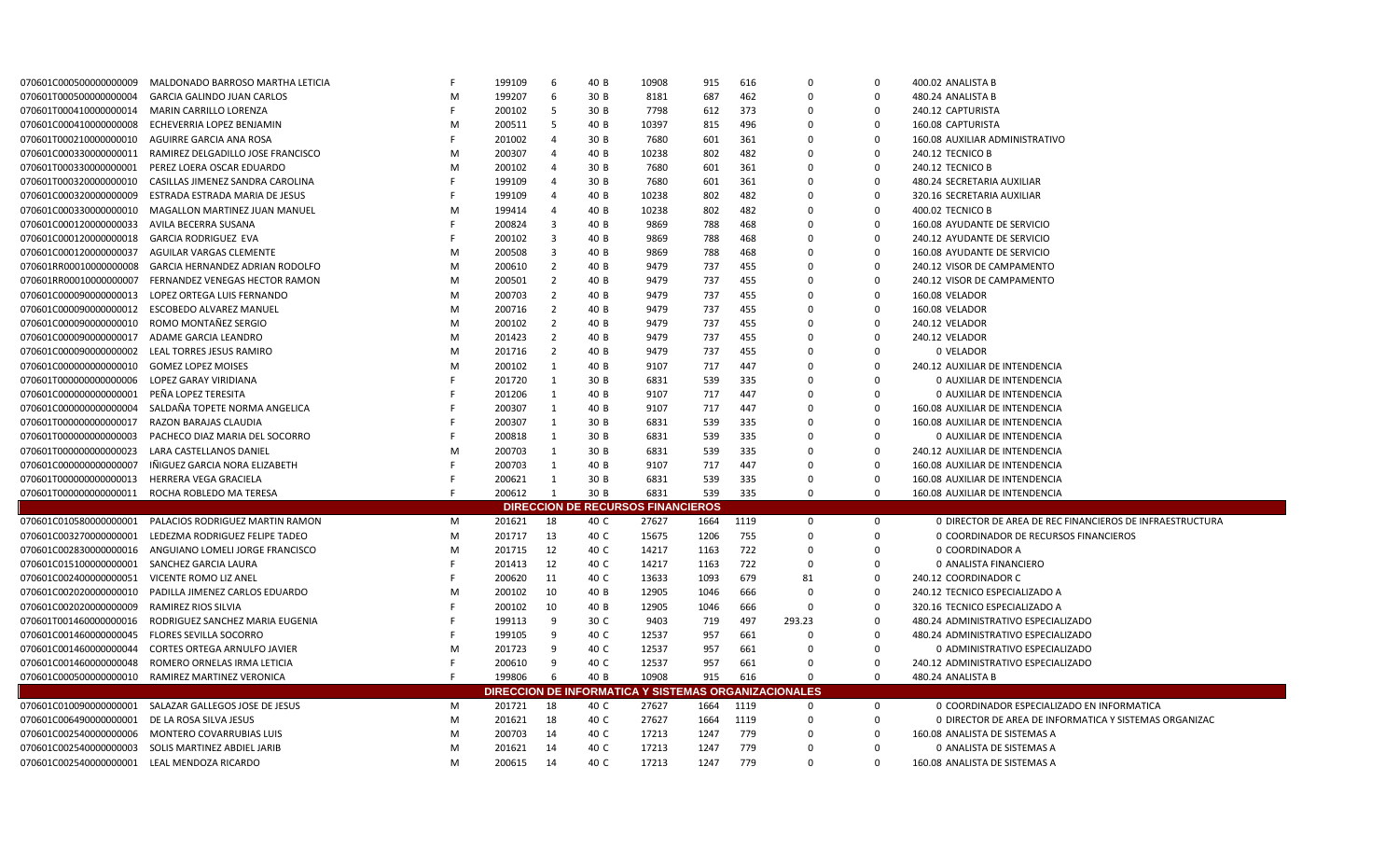| 070601C0005000000000009                          | MALDONADO BARROSO MARTHA LETICIA                   |    | 199109           | -6             | 40 B | 10908                                                       | 915  | 616  | $\Omega$ | $\Omega$       | 400.02 ANALISTA B                                        |
|--------------------------------------------------|----------------------------------------------------|----|------------------|----------------|------|-------------------------------------------------------------|------|------|----------|----------------|----------------------------------------------------------|
| 070601T000500000000004                           | <b>GARCIA GALINDO JUAN CARLOS</b>                  | M  | 199207           | -6             | 30 B | 8181                                                        | 687  | 462  | $\Omega$ | $\mathbf 0$    | 480.24 ANALISTA B                                        |
| 070601T000410000000014                           | MARIN CARRILLO LORENZA                             | -F | 200102           | 5              | 30 B | 7798                                                        | 612  | 373  | 0        | $\mathbf 0$    | 240.12 CAPTURISTA                                        |
| 070601C000410000000008                           | ECHEVERRIA LOPEZ BENJAMIN                          | M  | 200511           | -5             | 40 B | 10397                                                       | 815  | 496  | 0        | $\mathbf 0$    | 160.08 CAPTURISTA                                        |
| 070601T000210000000010                           | AGUIRRE GARCIA ANA ROSA                            | -F | 201002           | $\overline{4}$ | 30 B | 7680                                                        | 601  | 361  | 0        | $\overline{0}$ | 160.08 AUXILIAR ADMINISTRATIVO                           |
| 070601C000330000000011                           | RAMIREZ DELGADILLO JOSE FRANCISCO                  | M  | 200307           | $\overline{4}$ | 40 B | 10238                                                       | 802  | 482  | 0        | $\mathbf 0$    | 240.12 TECNICO B                                         |
| 070601T000330000000001                           | PEREZ LOERA OSCAR EDUARDO                          | M  | 200102           | $\overline{4}$ | 30 B | 7680                                                        | 601  | 361  | 0        | $\mathbf 0$    | 240.12 TECNICO B                                         |
| 070601T0003200000000010                          | CASILLAS JIMENEZ SANDRA CAROLINA                   |    | 199109           | $\overline{4}$ | 30 B | 7680                                                        | 601  | 361  | 0        | $\mathbf 0$    | 480.24 SECRETARIA AUXILIAR                               |
| 070601C000320000000009                           | ESTRADA ESTRADA MARIA DE JESUS                     |    | 199109           | $\overline{a}$ | 40 B | 10238                                                       | 802  | 482  | 0        | $\overline{0}$ | 320.16 SECRETARIA AUXILIAR                               |
| 070601C000330000000010                           | MAGALLON MARTINEZ JUAN MANUEL                      | M  | 199414           | $\overline{4}$ | 40 B | 10238                                                       | 802  | 482  | 0        | $\mathbf 0$    | 400.02 TECNICO B                                         |
| 070601C000120000000033                           | AVILA BECERRA SUSANA                               | -F | 200824           | 3              | 40 B | 9869                                                        | 788  | 468  | 0        | $\mathbf 0$    | 160.08 AYUDANTE DE SERVICIO                              |
| 070601C000120000000018                           | GARCIA RODRIGUEZ EVA                               | E  | 200102           | $\overline{3}$ | 40 B | 9869                                                        | 788  | 468  | 0        | $\mathbf 0$    | 240.12 AYUDANTE DE SERVICIO                              |
| 070601C000120000000037                           | AGUILAR VARGAS CLEMENTE                            | M  | 200508           | $\overline{3}$ | 40 B | 9869                                                        | 788  | 468  | 0        | $\mathbf 0$    | 160.08 AYUDANTE DE SERVICIO                              |
| 070601RR00010000000008                           | GARCIA HERNANDEZ ADRIAN RODOLFO                    | M  | 200610           | $\overline{2}$ | 40 B | 9479                                                        | 737  | 455  | 0        | 0              | 240.12 VISOR DE CAMPAMENTO                               |
| 070601RR00010000000007                           | FERNANDEZ VENEGAS HECTOR RAMON                     | M  | 200501           | $\overline{2}$ | 40 B | 9479                                                        | 737  | 455  | 0        | $\overline{0}$ | 240.12 VISOR DE CAMPAMENTO                               |
| 070601C000090000000013                           | LOPEZ ORTEGA LUIS FERNANDO                         | M  | 200703           | $\overline{2}$ | 40 B | 9479                                                        | 737  | 455  | 0        | $\Omega$       | 160.08 VELADOR                                           |
| 070601C000090000000012                           | <b>ESCOBEDO ALVAREZ MANUEL</b>                     | M  | 200716           | $\overline{2}$ | 40 B | 9479                                                        | 737  | 455  | 0        | $\mathbf 0$    | 160.08 VELADOR                                           |
| 070601C000090000000010                           | ROMO MONTAÑEZ SERGIO                               | M  | 200102           | $\overline{2}$ | 40 B | 9479                                                        | 737  | 455  | 0        | $\overline{0}$ | 240.12 VELADOR                                           |
| 070601C0000900000000017                          | ADAME GARCIA LEANDRO                               | M  | 201423           | $\overline{2}$ | 40 B | 9479                                                        | 737  | 455  | 0        | $\Omega$       | 240.12 VELADOR                                           |
| 070601C000090000000002                           | LEAL TORRES JESUS RAMIRO                           | M  | 201716           | $\overline{2}$ | 40 B | 9479                                                        | 737  | 455  | 0        | $\mathbf 0$    | 0 VELADOR                                                |
| 070601C000000000000010                           | <b>GOMEZ LOPEZ MOISES</b>                          | M  | 200102           | 1              | 40 B | 9107                                                        | 717  | 447  | 0        | $\overline{0}$ | 240.12 AUXILIAR DE INTENDENCIA                           |
| 070601T000000000000006                           | <b>LOPEZ GARAY VIRIDIANA</b>                       |    | 201720           | 1              | 30 B | 6831                                                        | 539  | 335  | 0        | $\mathbf 0$    | 0 AUXILIAR DE INTENDENCIA                                |
| 070601C000000000000001                           | PEÑA LOPEZ TERESITA                                |    | 201206           | 1              | 40 B | 9107                                                        | 717  | 447  | 0        | $\mathbf 0$    | 0 AUXILIAR DE INTENDENCIA                                |
| 070601C000000000000004                           | SALDAÑA TOPETE NORMA ANGELICA                      |    | 200307           | $\mathbf{1}$   | 40 B | 9107                                                        | 717  | 447  | $\Omega$ | $\mathbf 0$    | 160.08 AUXILIAR DE INTENDENCIA                           |
| 070601T000000000000017                           | RAZON BARAJAS CLAUDIA                              |    | 200307           | 1              | 30 B | 6831                                                        | 539  | 335  | $\Omega$ | $\mathbf 0$    | 160.08 AUXILIAR DE INTENDENCIA                           |
| 070601T000000000000003                           | PACHECO DIAZ MARIA DEL SOCORRO                     |    | 200818           | 1              | 30 B | 6831                                                        | 539  | 335  | 0        | $\mathbf 0$    | 0 AUXILIAR DE INTENDENCIA                                |
| 070601T000000000000023                           | LARA CASTELLANOS DANIEL                            | M  | 200703           | 1              | 30 B | 6831                                                        | 539  | 335  | $\Omega$ | $\mathbf 0$    | 240.12 AUXILIAR DE INTENDENCIA                           |
| 070601C000000000000007                           | IÑIGUEZ GARCIA NORA ELIZABETH                      |    | 200703           | 1              | 40 B | 9107                                                        | 717  | 447  | $\Omega$ | $\mathbf 0$    | 160.08 AUXILIAR DE INTENDENCIA                           |
| 070601T0000000000000013                          | <b>HERRERA VEGA GRACIELA</b>                       |    | 200621           | $\mathbf{1}$   | 30 B | 6831                                                        | 539  | 335  | 0        | $\overline{0}$ | 160.08 AUXILIAR DE INTENDENCIA                           |
| 070601T000000000000011                           | ROCHA ROBLEDO MA TERESA                            | E  | 200612           | $\overline{1}$ | 30 B | 6831                                                        | 539  | 335  | $\Omega$ | $\mathbf 0$    | 160.08 AUXILIAR DE INTENDENCIA                           |
|                                                  |                                                    |    |                  |                |      | <b>DIRECCION DE RECURSOS FINANCIEROS</b>                    |      |      |          |                |                                                          |
| 070601C010580000000001                           | PALACIOS RODRIGUEZ MARTIN RAMON                    | M  | 201621           | 18             | 40 C | 27627                                                       | 1664 | 1119 | 0        | $\mathbf 0$    | O DIRECTOR DE AREA DE REC FINANCIEROS DE INFRAESTRUCTURA |
| 070601C003270000000001                           | LEDEZMA RODRIGUEZ FELIPE TADEO                     | M  | 201717           | 13             | 40 C | 15675                                                       | 1206 | 755  | $\Omega$ | $\Omega$       | O COORDINADOR DE RECURSOS FINANCIEROS                    |
| 070601C002830000000016                           | ANGUIANO LOMELI JORGE FRANCISCO                    | M  | 201715           | 12             | 40 C | 14217                                                       | 1163 | 722  | $\Omega$ | $\mathbf 0$    | 0 COORDINADOR A                                          |
| 070601C015100000000001                           | SANCHEZ GARCIA LAURA                               | -F | 201413           | 12             | 40 C | 14217                                                       | 1163 | 722  | 0        | $\mathbf 0$    | 0 ANALISTA FINANCIERO                                    |
| 070601C002400000000051                           | VICENTE ROMO LIZ ANEL                              | -F | 200620           | 11             | 40 C | 13633                                                       | 1093 | 679  | 81       | $\mathbf 0$    | 240.12 COORDINADOR C                                     |
| 070601C0020200000000010                          | PADILLA JIMENEZ CARLOS EDUARDO                     | M  | 200102           | 10             | 40 B | 12905                                                       | 1046 | 666  | 0        | $\mathbf 0$    | 240.12 TECNICO ESPECIALIZADO A                           |
| 070601C0020200000000009                          | RAMIREZ RIOS SILVIA                                |    | 200102           | 10             | 40 B | 12905                                                       | 1046 | 666  | 0        | $\overline{0}$ | 320.16 TECNICO ESPECIALIZADO A                           |
| 070601T001460000000016                           | RODRIGUEZ SANCHEZ MARIA EUGENIA                    | F  | 199113           | 9              | 30 C | 9403                                                        | 719  | 497  | 293.23   | $\overline{0}$ | 480.24 ADMINISTRATIVO ESPECIALIZADO                      |
| 070601C001460000000045                           | <b>FLORES SEVILLA SOCORRO</b>                      | F  | 199105           | 9              | 40 C | 12537                                                       | 957  | 661  | 0        | $\overline{0}$ | 480.24 ADMINISTRATIVO ESPECIALIZADO                      |
| 070601C001460000000044                           | CORTES ORTEGA ARNULFO JAVIER                       | M  | 201723           | 9              | 40 C | 12537                                                       | 957  | 661  | 0        | $\mathbf 0$    | 0 ADMINISTRATIVO ESPECIALIZADO                           |
| 070601C001460000000048                           | ROMERO ORNELAS IRMA LETICIA                        |    | 200610           | 9              | 40 C | 12537                                                       | 957  | 661  | 0        | $\Omega$       | 240.12 ADMINISTRATIVO ESPECIALIZADO                      |
| 070601C0005000000000010                          | RAMIREZ MARTINEZ VERONICA                          | -F | 199806           | 6              | 40 B | 10908                                                       | 915  | 616  | $\Omega$ | $\mathbf 0$    | 480.24 ANALISTA B                                        |
|                                                  |                                                    |    |                  |                |      | <b>DIRECCION DE INFORMATICA Y SISTEMAS ORGANIZACIONALES</b> |      |      |          |                |                                                          |
| 070601C010090000000001                           | SALAZAR GALLEGOS JOSE DE JESUS                     | M  | 201721           | 18             | 40 C | 27627                                                       | 1664 | 1119 | $\Omega$ | $\mathbf 0$    | 0 COORDINADOR ESPECIALIZADO EN INFORMATICA               |
|                                                  |                                                    | M  |                  | 18             | 40 C | 27627                                                       | 1664 | 1119 | $\Omega$ | $\mathbf 0$    | 0 DIRECTOR DE AREA DE INFORMATICA Y SISTEMAS ORGANIZAC   |
| 070601C006490000000001<br>070601C002540000000006 | DE LA ROSA SILVA JESUS<br>MONTERO COVARRUBIAS LUIS | M  | 201621<br>200703 | 14             | 40 C | 17213                                                       | 1247 | 779  | $\Omega$ | $\mathbf 0$    | 160.08 ANALISTA DE SISTEMAS A                            |
| 070601C002540000000003                           | SOLIS MARTINEZ ABDIEL JARIB                        | M  | 201621           | 14             | 40 C | 17213                                                       | 1247 | 779  | $\Omega$ | $\mathbf 0$    | 0 ANALISTA DE SISTEMAS A                                 |
| 070601C002540000000001                           | LEAL MENDOZA RICARDO                               | M  | 200615           | 14             | 40 C | 17213                                                       | 1247 | 779  | $\Omega$ | $\Omega$       | 160.08 ANALISTA DE SISTEMAS A                            |
|                                                  |                                                    |    |                  |                |      |                                                             |      |      |          |                |                                                          |